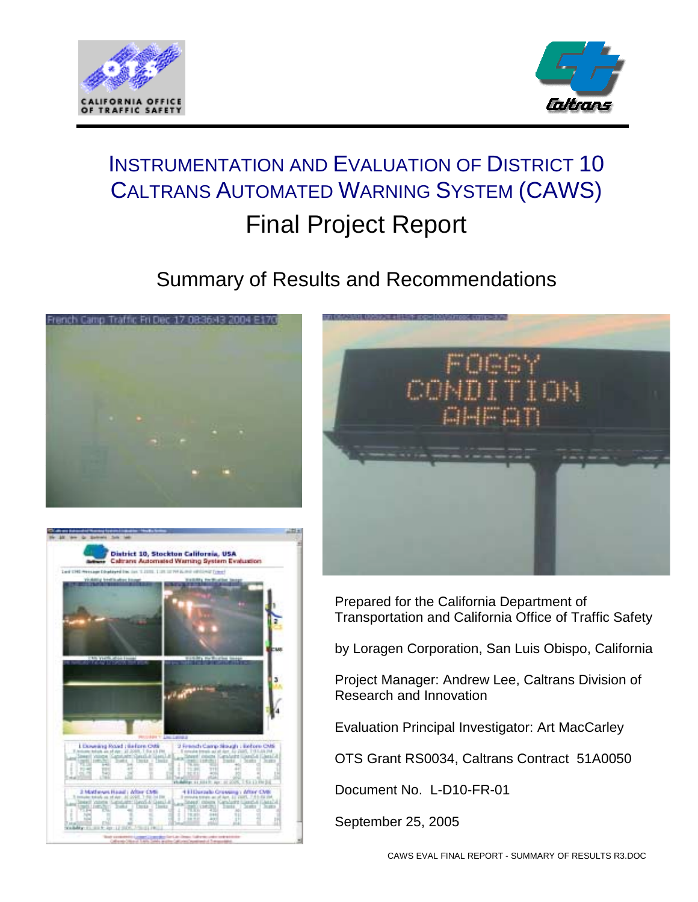



# INSTRUMENTATION AND EVALUATION OF DISTRICT 10 CALTRANS AUTOMATED WARNING SYSTEM (CAWS) Final Project Report

# Summary of Results and Recommendations



 $+111$ 

Arrive



Prepared for the California Department of Transportation and California Office of Traffic Safety

by Loragen Corporation, San Luis Obispo, California

Project Manager: Andrew Lee, Caltrans Division of Research and Innovation

Evaluation Principal Investigator: Art MacCarley

OTS Grant RS0034, Caltrans Contract 51A0050

Document No. L-D10-FR-01

September 25, 2005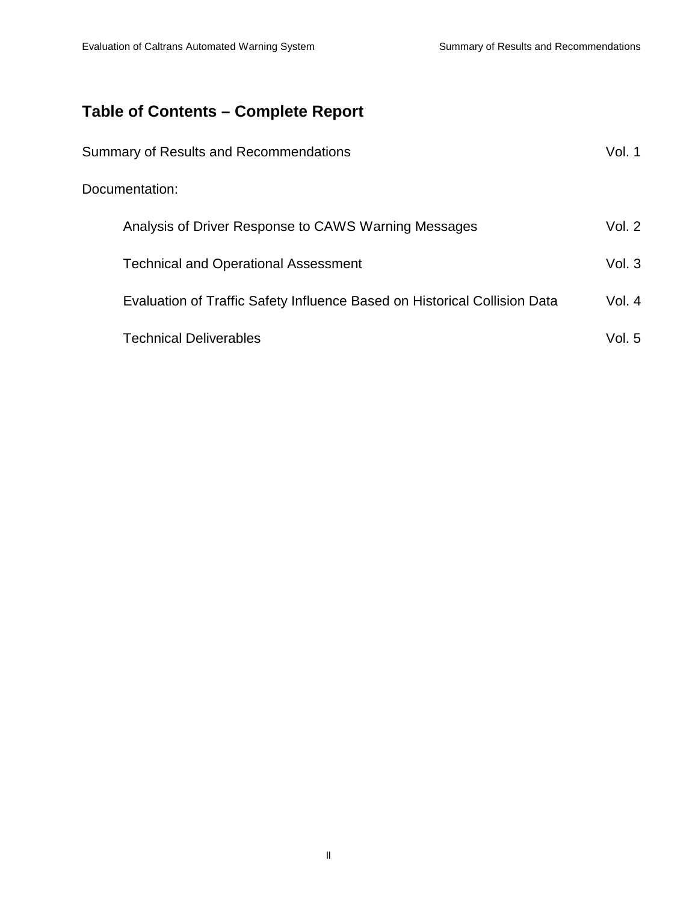# **Table of Contents – Complete Report**

| Summary of Results and Recommendations                                    | Vol. 1   |
|---------------------------------------------------------------------------|----------|
| Documentation:                                                            |          |
| Analysis of Driver Response to CAWS Warning Messages                      | Vol. $2$ |
| <b>Technical and Operational Assessment</b>                               | Vol. $3$ |
| Evaluation of Traffic Safety Influence Based on Historical Collision Data | Vol. $4$ |
| <b>Technical Deliverables</b>                                             | Vol. $5$ |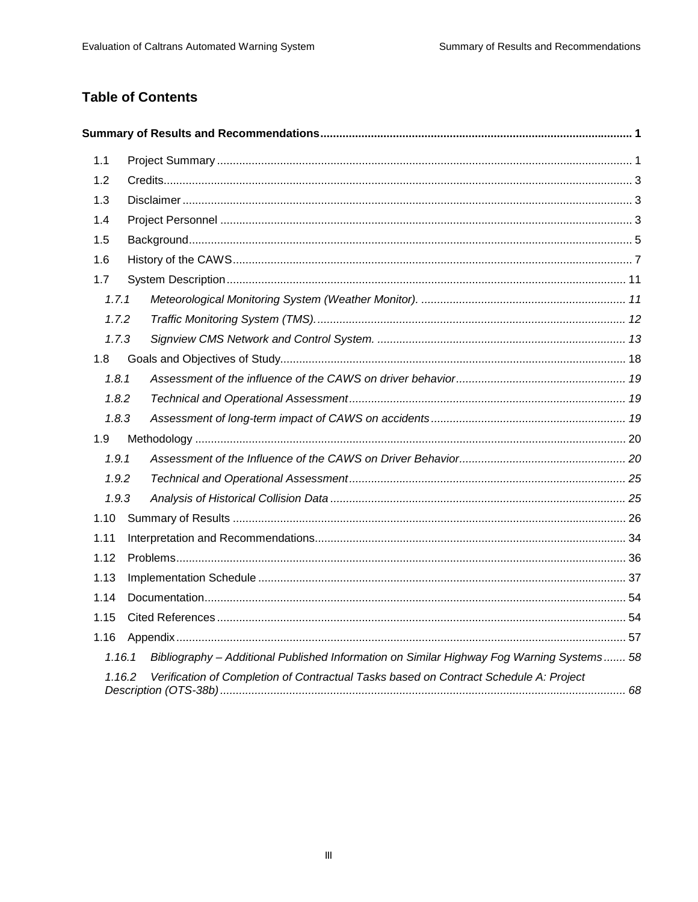# **Table of Contents**

| 1.1   |        |                                                                                           |  |
|-------|--------|-------------------------------------------------------------------------------------------|--|
| 1.2   |        |                                                                                           |  |
| 1.3   |        |                                                                                           |  |
| 1.4   |        |                                                                                           |  |
| 1.5   |        |                                                                                           |  |
| 1.6   |        |                                                                                           |  |
| 1.7   |        |                                                                                           |  |
| 1.7.1 |        |                                                                                           |  |
| 1.7.2 |        |                                                                                           |  |
| 1.7.3 |        |                                                                                           |  |
| 1.8   |        |                                                                                           |  |
| 1.8.1 |        |                                                                                           |  |
| 1.8.2 |        |                                                                                           |  |
| 1.8.3 |        |                                                                                           |  |
| 1.9   |        |                                                                                           |  |
| 1.9.1 |        |                                                                                           |  |
| 1.9.2 |        |                                                                                           |  |
| 1.9.3 |        |                                                                                           |  |
| 1.10  |        |                                                                                           |  |
| 1.11  |        |                                                                                           |  |
| 1.12  |        |                                                                                           |  |
| 1.13  |        |                                                                                           |  |
| 1.14  |        |                                                                                           |  |
| 1.15  |        |                                                                                           |  |
| 1.16  |        |                                                                                           |  |
|       | 1.16.1 | Bibliography - Additional Published Information on Similar Highway Fog Warning Systems 58 |  |
|       | 1.16.2 | Verification of Completion of Contractual Tasks based on Contract Schedule A: Project     |  |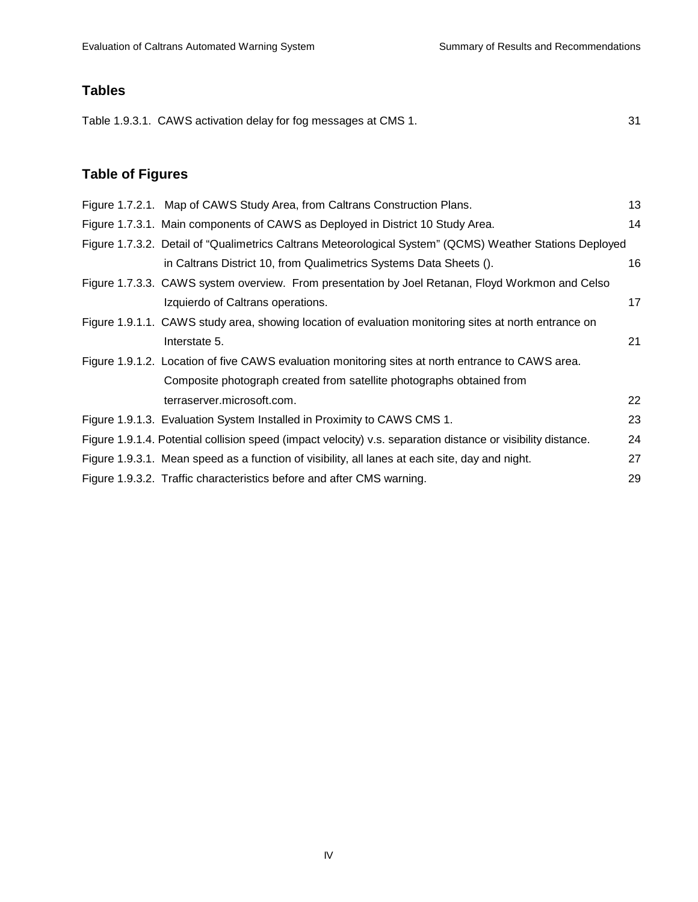# **Tables**

Table 1.9.3.1. CAWS activation delay for fog messages at CMS 1.  $31$ 

# **Table of Figures**

| Figure 1.7.2.1. Map of CAWS Study Area, from Caltrans Construction Plans.                                    | 13 |
|--------------------------------------------------------------------------------------------------------------|----|
| Figure 1.7.3.1. Main components of CAWS as Deployed in District 10 Study Area.                               | 14 |
| Figure 1.7.3.2. Detail of "Qualimetrics Caltrans Meteorological System" (QCMS) Weather Stations Deployed     |    |
| in Caltrans District 10, from Qualimetrics Systems Data Sheets ().                                           | 16 |
| Figure 1.7.3.3. CAWS system overview. From presentation by Joel Retanan, Floyd Workmon and Celso             |    |
| Izquierdo of Caltrans operations.                                                                            | 17 |
| Figure 1.9.1.1. CAWS study area, showing location of evaluation monitoring sites at north entrance on        |    |
| Interstate 5.                                                                                                | 21 |
| Figure 1.9.1.2. Location of five CAWS evaluation monitoring sites at north entrance to CAWS area.            |    |
| Composite photograph created from satellite photographs obtained from                                        |    |
| terraserver.microsoft.com.                                                                                   | 22 |
| Figure 1.9.1.3. Evaluation System Installed in Proximity to CAWS CMS 1.                                      | 23 |
| Figure 1.9.1.4. Potential collision speed (impact velocity) v.s. separation distance or visibility distance. | 24 |
| Figure 1.9.3.1. Mean speed as a function of visibility, all lanes at each site, day and night.               | 27 |
| Figure 1.9.3.2. Traffic characteristics before and after CMS warning.                                        | 29 |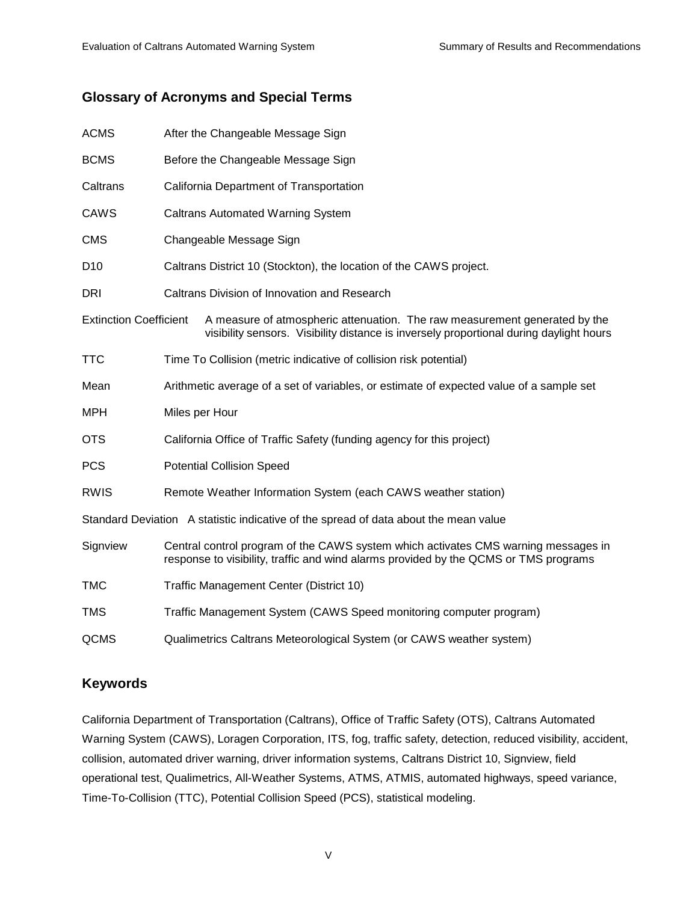# **Glossary of Acronyms and Special Terms**

| <b>ACMS</b>                   | After the Changeable Message Sign                                                                                                                                          |                                                                                                                                                                       |  |  |  |  |
|-------------------------------|----------------------------------------------------------------------------------------------------------------------------------------------------------------------------|-----------------------------------------------------------------------------------------------------------------------------------------------------------------------|--|--|--|--|
| <b>BCMS</b>                   |                                                                                                                                                                            | Before the Changeable Message Sign                                                                                                                                    |  |  |  |  |
| Caltrans                      |                                                                                                                                                                            | California Department of Transportation                                                                                                                               |  |  |  |  |
| <b>CAWS</b>                   | <b>Caltrans Automated Warning System</b>                                                                                                                                   |                                                                                                                                                                       |  |  |  |  |
| <b>CMS</b>                    |                                                                                                                                                                            | Changeable Message Sign                                                                                                                                               |  |  |  |  |
| D <sub>10</sub>               |                                                                                                                                                                            | Caltrans District 10 (Stockton), the location of the CAWS project.                                                                                                    |  |  |  |  |
| DRI                           | Caltrans Division of Innovation and Research                                                                                                                               |                                                                                                                                                                       |  |  |  |  |
| <b>Extinction Coefficient</b> |                                                                                                                                                                            | A measure of atmospheric attenuation. The raw measurement generated by the<br>visibility sensors. Visibility distance is inversely proportional during daylight hours |  |  |  |  |
| <b>TTC</b>                    |                                                                                                                                                                            | Time To Collision (metric indicative of collision risk potential)                                                                                                     |  |  |  |  |
| Mean                          |                                                                                                                                                                            | Arithmetic average of a set of variables, or estimate of expected value of a sample set                                                                               |  |  |  |  |
| <b>MPH</b>                    | Miles per Hour                                                                                                                                                             |                                                                                                                                                                       |  |  |  |  |
| <b>OTS</b>                    |                                                                                                                                                                            | California Office of Traffic Safety (funding agency for this project)                                                                                                 |  |  |  |  |
| <b>PCS</b>                    | <b>Potential Collision Speed</b>                                                                                                                                           |                                                                                                                                                                       |  |  |  |  |
| <b>RWIS</b>                   | Remote Weather Information System (each CAWS weather station)                                                                                                              |                                                                                                                                                                       |  |  |  |  |
|                               |                                                                                                                                                                            | Standard Deviation A statistic indicative of the spread of data about the mean value                                                                                  |  |  |  |  |
| Signview                      | Central control program of the CAWS system which activates CMS warning messages in<br>response to visibility, traffic and wind alarms provided by the QCMS or TMS programs |                                                                                                                                                                       |  |  |  |  |
| <b>TMC</b>                    | Traffic Management Center (District 10)                                                                                                                                    |                                                                                                                                                                       |  |  |  |  |
| <b>TMS</b>                    | Traffic Management System (CAWS Speed monitoring computer program)                                                                                                         |                                                                                                                                                                       |  |  |  |  |
| QCMS                          |                                                                                                                                                                            | Qualimetrics Caltrans Meteorological System (or CAWS weather system)                                                                                                  |  |  |  |  |

## **Keywords**

California Department of Transportation (Caltrans), Office of Traffic Safety (OTS), Caltrans Automated Warning System (CAWS), Loragen Corporation, ITS, fog, traffic safety, detection, reduced visibility, accident, collision, automated driver warning, driver information systems, Caltrans District 10, Signview, field operational test, Qualimetrics, All-Weather Systems, ATMS, ATMIS, automated highways, speed variance, Time-To-Collision (TTC), Potential Collision Speed (PCS), statistical modeling.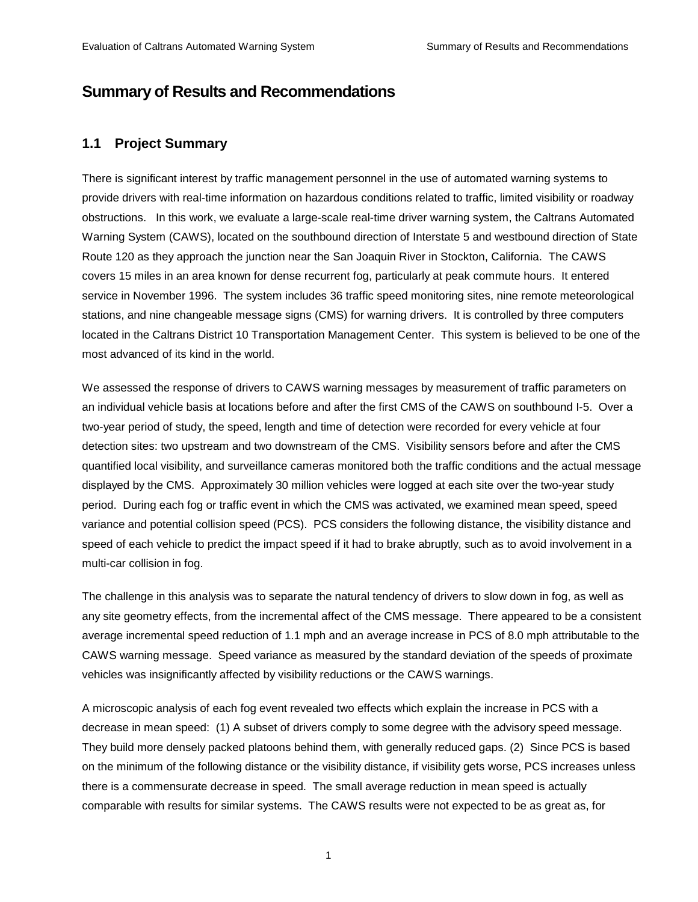# **Summary of Results and Recommendations**

## **1.1 Project Summary**

There is significant interest by traffic management personnel in the use of automated warning systems to provide drivers with real-time information on hazardous conditions related to traffic, limited visibility or roadway obstructions. In this work, we evaluate a large-scale real-time driver warning system, the Caltrans Automated Warning System (CAWS), located on the southbound direction of Interstate 5 and westbound direction of State Route 120 as they approach the junction near the San Joaquin River in Stockton, California. The CAWS covers 15 miles in an area known for dense recurrent fog, particularly at peak commute hours. It entered service in November 1996. The system includes 36 traffic speed monitoring sites, nine remote meteorological stations, and nine changeable message signs (CMS) for warning drivers. It is controlled by three computers located in the Caltrans District 10 Transportation Management Center. This system is believed to be one of the most advanced of its kind in the world.

We assessed the response of drivers to CAWS warning messages by measurement of traffic parameters on an individual vehicle basis at locations before and after the first CMS of the CAWS on southbound I-5. Over a two-year period of study, the speed, length and time of detection were recorded for every vehicle at four detection sites: two upstream and two downstream of the CMS. Visibility sensors before and after the CMS quantified local visibility, and surveillance cameras monitored both the traffic conditions and the actual message displayed by the CMS. Approximately 30 million vehicles were logged at each site over the two-year study period. During each fog or traffic event in which the CMS was activated, we examined mean speed, speed variance and potential collision speed (PCS). PCS considers the following distance, the visibility distance and speed of each vehicle to predict the impact speed if it had to brake abruptly, such as to avoid involvement in a multi-car collision in fog.

The challenge in this analysis was to separate the natural tendency of drivers to slow down in fog, as well as any site geometry effects, from the incremental affect of the CMS message. There appeared to be a consistent average incremental speed reduction of 1.1 mph and an average increase in PCS of 8.0 mph attributable to the CAWS warning message. Speed variance as measured by the standard deviation of the speeds of proximate vehicles was insignificantly affected by visibility reductions or the CAWS warnings.

A microscopic analysis of each fog event revealed two effects which explain the increase in PCS with a decrease in mean speed: (1) A subset of drivers comply to some degree with the advisory speed message. They build more densely packed platoons behind them, with generally reduced gaps. (2) Since PCS is based on the minimum of the following distance or the visibility distance, if visibility gets worse, PCS increases unless there is a commensurate decrease in speed. The small average reduction in mean speed is actually comparable with results for similar systems. The CAWS results were not expected to be as great as, for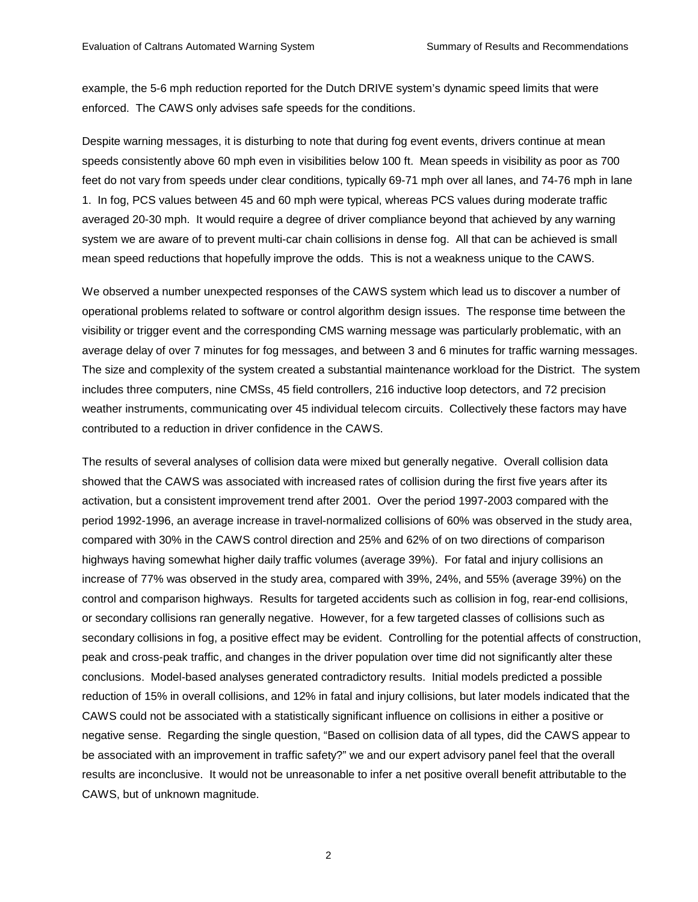example, the 5-6 mph reduction reported for the Dutch DRIVE system's dynamic speed limits that were enforced. The CAWS only advises safe speeds for the conditions.

Despite warning messages, it is disturbing to note that during fog event events, drivers continue at mean speeds consistently above 60 mph even in visibilities below 100 ft. Mean speeds in visibility as poor as 700 feet do not vary from speeds under clear conditions, typically 69-71 mph over all lanes, and 74-76 mph in lane 1. In fog, PCS values between 45 and 60 mph were typical, whereas PCS values during moderate traffic averaged 20-30 mph. It would require a degree of driver compliance beyond that achieved by any warning system we are aware of to prevent multi-car chain collisions in dense fog. All that can be achieved is small mean speed reductions that hopefully improve the odds. This is not a weakness unique to the CAWS.

We observed a number unexpected responses of the CAWS system which lead us to discover a number of operational problems related to software or control algorithm design issues. The response time between the visibility or trigger event and the corresponding CMS warning message was particularly problematic, with an average delay of over 7 minutes for fog messages, and between 3 and 6 minutes for traffic warning messages. The size and complexity of the system created a substantial maintenance workload for the District. The system includes three computers, nine CMSs, 45 field controllers, 216 inductive loop detectors, and 72 precision weather instruments, communicating over 45 individual telecom circuits. Collectively these factors may have contributed to a reduction in driver confidence in the CAWS.

The results of several analyses of collision data were mixed but generally negative. Overall collision data showed that the CAWS was associated with increased rates of collision during the first five years after its activation, but a consistent improvement trend after 2001. Over the period 1997-2003 compared with the period 1992-1996, an average increase in travel-normalized collisions of 60% was observed in the study area, compared with 30% in the CAWS control direction and 25% and 62% of on two directions of comparison highways having somewhat higher daily traffic volumes (average 39%). For fatal and injury collisions an increase of 77% was observed in the study area, compared with 39%, 24%, and 55% (average 39%) on the control and comparison highways. Results for targeted accidents such as collision in fog, rear-end collisions, or secondary collisions ran generally negative. However, for a few targeted classes of collisions such as secondary collisions in fog, a positive effect may be evident. Controlling for the potential affects of construction, peak and cross-peak traffic, and changes in the driver population over time did not significantly alter these conclusions. Model-based analyses generated contradictory results. Initial models predicted a possible reduction of 15% in overall collisions, and 12% in fatal and injury collisions, but later models indicated that the CAWS could not be associated with a statistically significant influence on collisions in either a positive or negative sense. Regarding the single question, "Based on collision data of all types, did the CAWS appear to be associated with an improvement in traffic safety?" we and our expert advisory panel feel that the overall results are inconclusive. It would not be unreasonable to infer a net positive overall benefit attributable to the CAWS, but of unknown magnitude.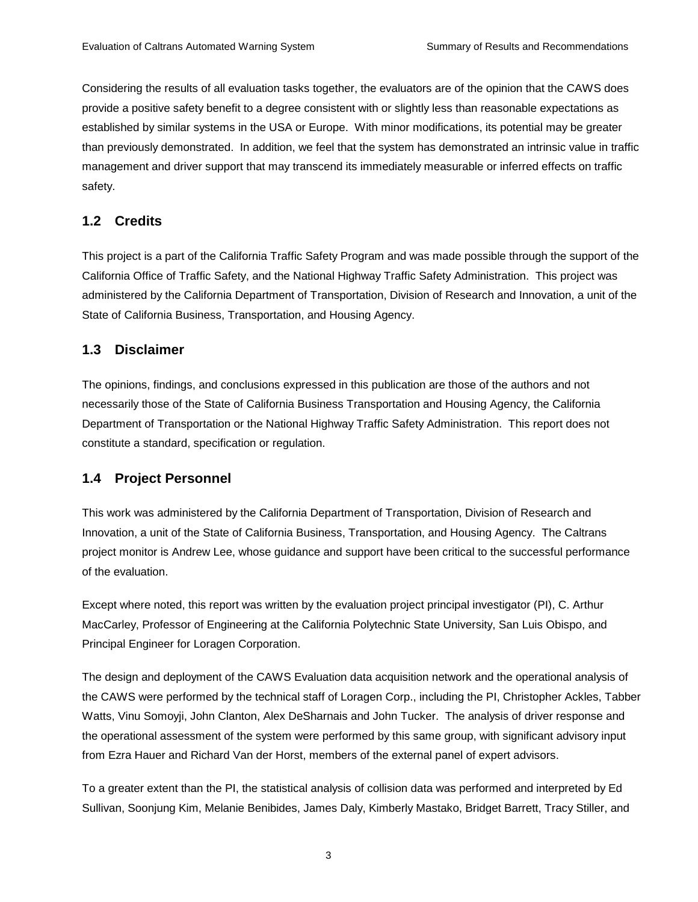Considering the results of all evaluation tasks together, the evaluators are of the opinion that the CAWS does provide a positive safety benefit to a degree consistent with or slightly less than reasonable expectations as established by similar systems in the USA or Europe. With minor modifications, its potential may be greater than previously demonstrated. In addition, we feel that the system has demonstrated an intrinsic value in traffic management and driver support that may transcend its immediately measurable or inferred effects on traffic safety.

## **1.2 Credits**

This project is a part of the California Traffic Safety Program and was made possible through the support of the California Office of Traffic Safety, and the National Highway Traffic Safety Administration. This project was administered by the California Department of Transportation, Division of Research and Innovation, a unit of the State of California Business, Transportation, and Housing Agency.

## **1.3 Disclaimer**

The opinions, findings, and conclusions expressed in this publication are those of the authors and not necessarily those of the State of California Business Transportation and Housing Agency, the California Department of Transportation or the National Highway Traffic Safety Administration. This report does not constitute a standard, specification or regulation.

# **1.4 Project Personnel**

This work was administered by the California Department of Transportation, Division of Research and Innovation, a unit of the State of California Business, Transportation, and Housing Agency. The Caltrans project monitor is Andrew Lee, whose guidance and support have been critical to the successful performance of the evaluation.

Except where noted, this report was written by the evaluation project principal investigator (PI), C. Arthur MacCarley, Professor of Engineering at the California Polytechnic State University, San Luis Obispo, and Principal Engineer for Loragen Corporation.

The design and deployment of the CAWS Evaluation data acquisition network and the operational analysis of the CAWS were performed by the technical staff of Loragen Corp., including the PI, Christopher Ackles, Tabber Watts, Vinu Somoyji, John Clanton, Alex DeSharnais and John Tucker. The analysis of driver response and the operational assessment of the system were performed by this same group, with significant advisory input from Ezra Hauer and Richard Van der Horst, members of the external panel of expert advisors.

To a greater extent than the PI, the statistical analysis of collision data was performed and interpreted by Ed Sullivan, Soonjung Kim, Melanie Benibides, James Daly, Kimberly Mastako, Bridget Barrett, Tracy Stiller, and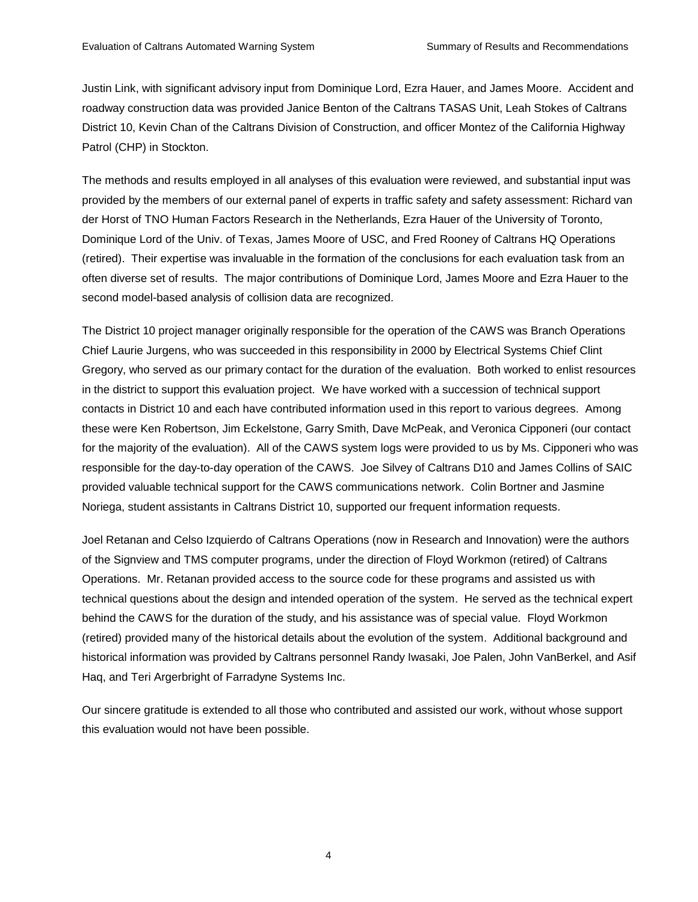Justin Link, with significant advisory input from Dominique Lord, Ezra Hauer, and James Moore. Accident and roadway construction data was provided Janice Benton of the Caltrans TASAS Unit, Leah Stokes of Caltrans District 10, Kevin Chan of the Caltrans Division of Construction, and officer Montez of the California Highway Patrol (CHP) in Stockton.

The methods and results employed in all analyses of this evaluation were reviewed, and substantial input was provided by the members of our external panel of experts in traffic safety and safety assessment: Richard van der Horst of TNO Human Factors Research in the Netherlands, Ezra Hauer of the University of Toronto, Dominique Lord of the Univ. of Texas, James Moore of USC, and Fred Rooney of Caltrans HQ Operations (retired). Their expertise was invaluable in the formation of the conclusions for each evaluation task from an often diverse set of results. The major contributions of Dominique Lord, James Moore and Ezra Hauer to the second model-based analysis of collision data are recognized.

The District 10 project manager originally responsible for the operation of the CAWS was Branch Operations Chief Laurie Jurgens, who was succeeded in this responsibility in 2000 by Electrical Systems Chief Clint Gregory, who served as our primary contact for the duration of the evaluation. Both worked to enlist resources in the district to support this evaluation project. We have worked with a succession of technical support contacts in District 10 and each have contributed information used in this report to various degrees. Among these were Ken Robertson, Jim Eckelstone, Garry Smith, Dave McPeak, and Veronica Cipponeri (our contact for the majority of the evaluation). All of the CAWS system logs were provided to us by Ms. Cipponeri who was responsible for the day-to-day operation of the CAWS. Joe Silvey of Caltrans D10 and James Collins of SAIC provided valuable technical support for the CAWS communications network. Colin Bortner and Jasmine Noriega, student assistants in Caltrans District 10, supported our frequent information requests.

Joel Retanan and Celso Izquierdo of Caltrans Operations (now in Research and Innovation) were the authors of the Signview and TMS computer programs, under the direction of Floyd Workmon (retired) of Caltrans Operations. Mr. Retanan provided access to the source code for these programs and assisted us with technical questions about the design and intended operation of the system. He served as the technical expert behind the CAWS for the duration of the study, and his assistance was of special value. Floyd Workmon (retired) provided many of the historical details about the evolution of the system. Additional background and historical information was provided by Caltrans personnel Randy Iwasaki, Joe Palen, John VanBerkel, and Asif Haq, and Teri Argerbright of Farradyne Systems Inc.

Our sincere gratitude is extended to all those who contributed and assisted our work, without whose support this evaluation would not have been possible.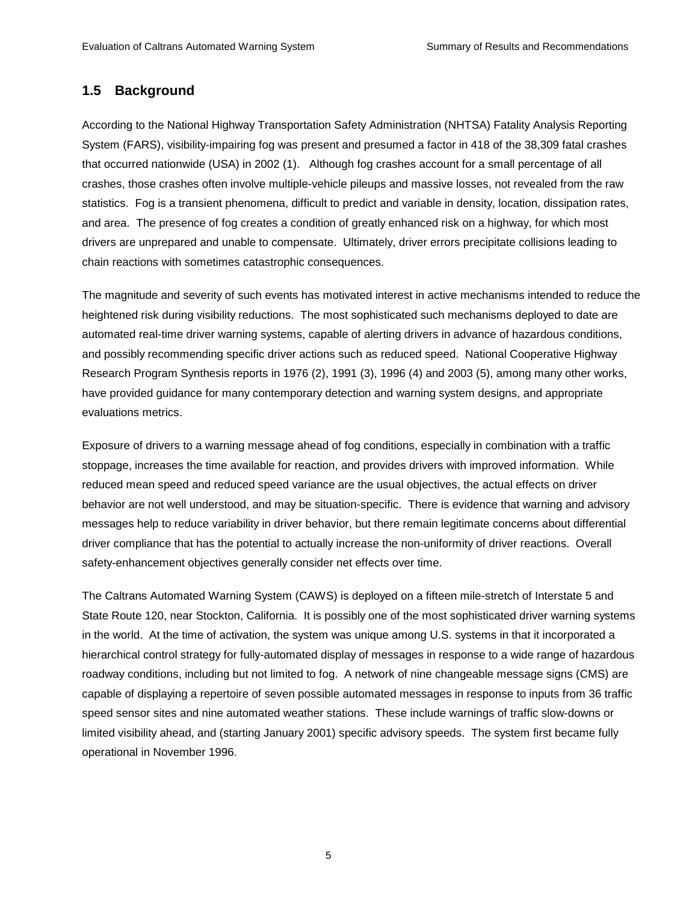### **1.5 Background**

According to the National Highway Transportation Safety Administration (NHTSA) Fatality Analysis Reporting System (FARS), visibility-impairing fog was present and presumed a factor in 418 of the 38,309 fatal crashes that occurred nationwide (USA) in 2002 (1). Although fog crashes account for a small percentage of all crashes, those crashes often involve multiple-vehicle pileups and massive losses, not revealed from the raw statistics. Fog is a transient phenomena, difficult to predict and variable in density, location, dissipation rates, and area. The presence of fog creates a condition of greatly enhanced risk on a highway, for which most drivers are unprepared and unable to compensate. Ultimately, driver errors precipitate collisions leading to chain reactions with sometimes catastrophic consequences.

The magnitude and severity of such events has motivated interest in active mechanisms intended to reduce the heightened risk during visibility reductions. The most sophisticated such mechanisms deployed to date are automated real-time driver warning systems, capable of alerting drivers in advance of hazardous conditions, and possibly recommending specific driver actions such as reduced speed. National Cooperative Highway Research Program Synthesis reports in 1976 (2), 1991 (3), 1996 (4) and 2003 (5), among many other works, have provided guidance for many contemporary detection and warning system designs, and appropriate evaluations metrics.

Exposure of drivers to a warning message ahead of fog conditions, especially in combination with a traffic stoppage, increases the time available for reaction, and provides drivers with improved information. While reduced mean speed and reduced speed variance are the usual objectives, the actual effects on driver behavior are not well understood, and may be situation-specific. There is evidence that warning and advisory messages help to reduce variability in driver behavior, but there remain legitimate concerns about differential driver compliance that has the potential to actually increase the non-uniformity of driver reactions. Overall safety-enhancement objectives generally consider net effects over time.

The Caltrans Automated Warning System (CAWS) is deployed on a fifteen mile-stretch of Interstate 5 and State Route 120, near Stockton, California. It is possibly one of the most sophisticated driver warning systems in the world. At the time of activation, the system was unique among U.S. systems in that it incorporated a hierarchical control strategy for fully-automated display of messages in response to a wide range of hazardous roadway conditions, including but not limited to fog. A network of nine changeable message signs (CMS) are capable of displaying a repertoire of seven possible automated messages in response to inputs from 36 traffic speed sensor sites and nine automated weather stations. These include warnings of traffic slow-downs or limited visibility ahead, and (starting January 2001) specific advisory speeds. The system first became fully operational in November 1996.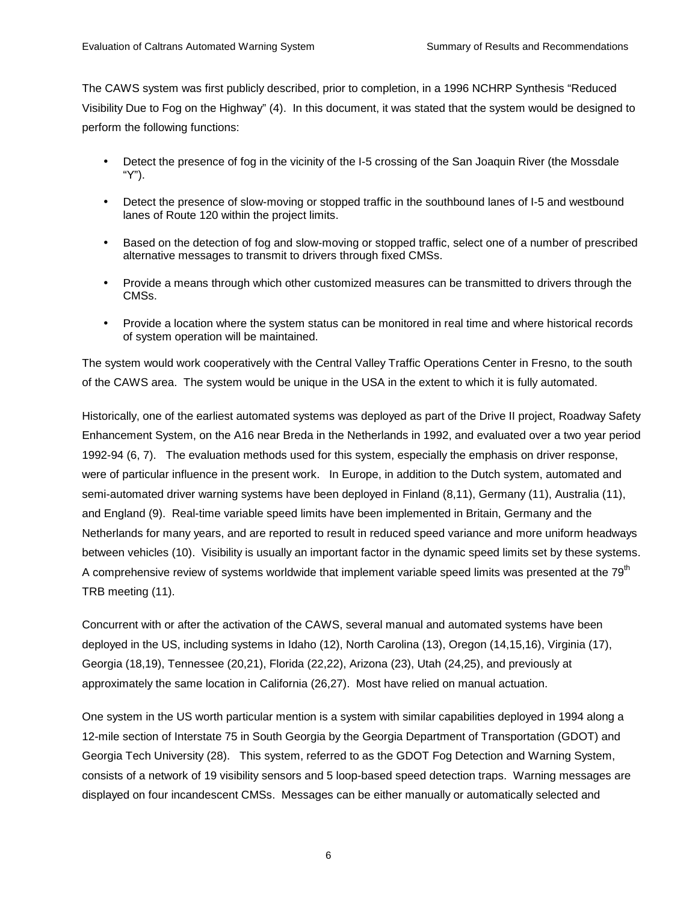The CAWS system was first publicly described, prior to completion, in a 1996 NCHRP Synthesis "Reduced Visibility Due to Fog on the Highway" (4). In this document, it was stated that the system would be designed to perform the following functions:

- Detect the presence of fog in the vicinity of the I-5 crossing of the San Joaquin River (the Mossdale "Y").
- Detect the presence of slow-moving or stopped traffic in the southbound lanes of I-5 and westbound lanes of Route 120 within the project limits.
- Based on the detection of fog and slow-moving or stopped traffic, select one of a number of prescribed alternative messages to transmit to drivers through fixed CMSs.
- Provide a means through which other customized measures can be transmitted to drivers through the CMSs.
- Provide a location where the system status can be monitored in real time and where historical records of system operation will be maintained.

The system would work cooperatively with the Central Valley Traffic Operations Center in Fresno, to the south of the CAWS area. The system would be unique in the USA in the extent to which it is fully automated.

Historically, one of the earliest automated systems was deployed as part of the Drive II project, Roadway Safety Enhancement System, on the A16 near Breda in the Netherlands in 1992, and evaluated over a two year period 1992-94 (6, 7). The evaluation methods used for this system, especially the emphasis on driver response, were of particular influence in the present work. In Europe, in addition to the Dutch system, automated and semi-automated driver warning systems have been deployed in Finland (8,11), Germany (11), Australia (11), and England (9). Real-time variable speed limits have been implemented in Britain, Germany and the Netherlands for many years, and are reported to result in reduced speed variance and more uniform headways between vehicles (10). Visibility is usually an important factor in the dynamic speed limits set by these systems. A comprehensive review of systems worldwide that implement variable speed limits was presented at the  $79<sup>th</sup>$ TRB meeting (11).

Concurrent with or after the activation of the CAWS, several manual and automated systems have been deployed in the US, including systems in Idaho (12), North Carolina (13), Oregon (14,15,16), Virginia (17), Georgia (18,19), Tennessee (20,21), Florida (22,22), Arizona (23), Utah (24,25), and previously at approximately the same location in California (26,27). Most have relied on manual actuation.

One system in the US worth particular mention is a system with similar capabilities deployed in 1994 along a 12-mile section of Interstate 75 in South Georgia by the Georgia Department of Transportation (GDOT) and Georgia Tech University (28). This system, referred to as the GDOT Fog Detection and Warning System, consists of a network of 19 visibility sensors and 5 loop-based speed detection traps. Warning messages are displayed on four incandescent CMSs. Messages can be either manually or automatically selected and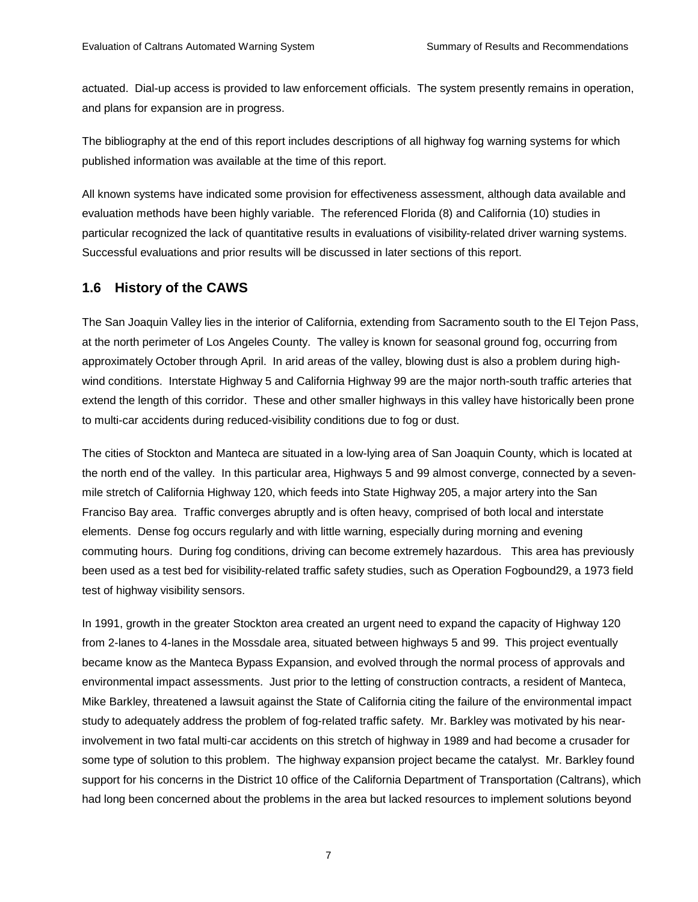actuated. Dial-up access is provided to law enforcement officials. The system presently remains in operation, and plans for expansion are in progress.

The bibliography at the end of this report includes descriptions of all highway fog warning systems for which published information was available at the time of this report.

All known systems have indicated some provision for effectiveness assessment, although data available and evaluation methods have been highly variable. The referenced Florida (8) and California (10) studies in particular recognized the lack of quantitative results in evaluations of visibility-related driver warning systems. Successful evaluations and prior results will be discussed in later sections of this report.

## **1.6 History of the CAWS**

The San Joaquin Valley lies in the interior of California, extending from Sacramento south to the El Tejon Pass, at the north perimeter of Los Angeles County. The valley is known for seasonal ground fog, occurring from approximately October through April. In arid areas of the valley, blowing dust is also a problem during highwind conditions. Interstate Highway 5 and California Highway 99 are the major north-south traffic arteries that extend the length of this corridor. These and other smaller highways in this valley have historically been prone to multi-car accidents during reduced-visibility conditions due to fog or dust.

The cities of Stockton and Manteca are situated in a low-lying area of San Joaquin County, which is located at the north end of the valley. In this particular area, Highways 5 and 99 almost converge, connected by a sevenmile stretch of California Highway 120, which feeds into State Highway 205, a major artery into the San Franciso Bay area. Traffic converges abruptly and is often heavy, comprised of both local and interstate elements. Dense fog occurs regularly and with little warning, especially during morning and evening commuting hours. During fog conditions, driving can become extremely hazardous. This area has previously been used as a test bed for visibility-related traffic safety studies, such as Operation Fogbound29, a 1973 field test of highway visibility sensors.

In 1991, growth in the greater Stockton area created an urgent need to expand the capacity of Highway 120 from 2-lanes to 4-lanes in the Mossdale area, situated between highways 5 and 99. This project eventually became know as the Manteca Bypass Expansion, and evolved through the normal process of approvals and environmental impact assessments. Just prior to the letting of construction contracts, a resident of Manteca, Mike Barkley, threatened a lawsuit against the State of California citing the failure of the environmental impact study to adequately address the problem of fog-related traffic safety. Mr. Barkley was motivated by his nearinvolvement in two fatal multi-car accidents on this stretch of highway in 1989 and had become a crusader for some type of solution to this problem. The highway expansion project became the catalyst. Mr. Barkley found support for his concerns in the District 10 office of the California Department of Transportation (Caltrans), which had long been concerned about the problems in the area but lacked resources to implement solutions beyond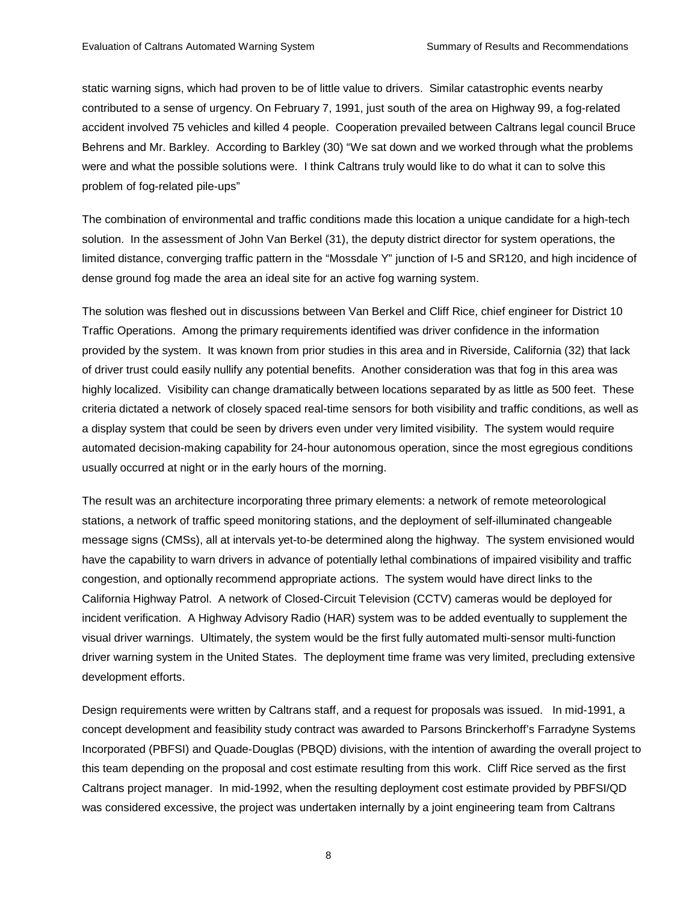static warning signs, which had proven to be of little value to drivers. Similar catastrophic events nearby contributed to a sense of urgency. On February 7, 1991, just south of the area on Highway 99, a fog-related accident involved 75 vehicles and killed 4 people. Cooperation prevailed between Caltrans legal council Bruce Behrens and Mr. Barkley. According to Barkley (30) "We sat down and we worked through what the problems were and what the possible solutions were. I think Caltrans truly would like to do what it can to solve this problem of fog-related pile-ups"

The combination of environmental and traffic conditions made this location a unique candidate for a high-tech solution. In the assessment of John Van Berkel (31), the deputy district director for system operations, the limited distance, converging traffic pattern in the "Mossdale Y" junction of I-5 and SR120, and high incidence of dense ground fog made the area an ideal site for an active fog warning system.

The solution was fleshed out in discussions between Van Berkel and Cliff Rice, chief engineer for District 10 Traffic Operations. Among the primary requirements identified was driver confidence in the information provided by the system. It was known from prior studies in this area and in Riverside, California (32) that lack of driver trust could easily nullify any potential benefits. Another consideration was that fog in this area was highly localized. Visibility can change dramatically between locations separated by as little as 500 feet. These criteria dictated a network of closely spaced real-time sensors for both visibility and traffic conditions, as well as a display system that could be seen by drivers even under very limited visibility. The system would require automated decision-making capability for 24-hour autonomous operation, since the most egregious conditions usually occurred at night or in the early hours of the morning.

The result was an architecture incorporating three primary elements: a network of remote meteorological stations, a network of traffic speed monitoring stations, and the deployment of self-illuminated changeable message signs (CMSs), all at intervals yet-to-be determined along the highway. The system envisioned would have the capability to warn drivers in advance of potentially lethal combinations of impaired visibility and traffic congestion, and optionally recommend appropriate actions. The system would have direct links to the California Highway Patrol. A network of Closed-Circuit Television (CCTV) cameras would be deployed for incident verification. A Highway Advisory Radio (HAR) system was to be added eventually to supplement the visual driver warnings. Ultimately, the system would be the first fully automated multi-sensor multi-function driver warning system in the United States. The deployment time frame was very limited, precluding extensive development efforts.

Design requirements were written by Caltrans staff, and a request for proposals was issued. In mid-1991, a concept development and feasibility study contract was awarded to Parsons Brinckerhoff's Farradyne Systems Incorporated (PBFSI) and Quade-Douglas (PBQD) divisions, with the intention of awarding the overall project to this team depending on the proposal and cost estimate resulting from this work. Cliff Rice served as the first Caltrans project manager. In mid-1992, when the resulting deployment cost estimate provided by PBFSI/QD was considered excessive, the project was undertaken internally by a joint engineering team from Caltrans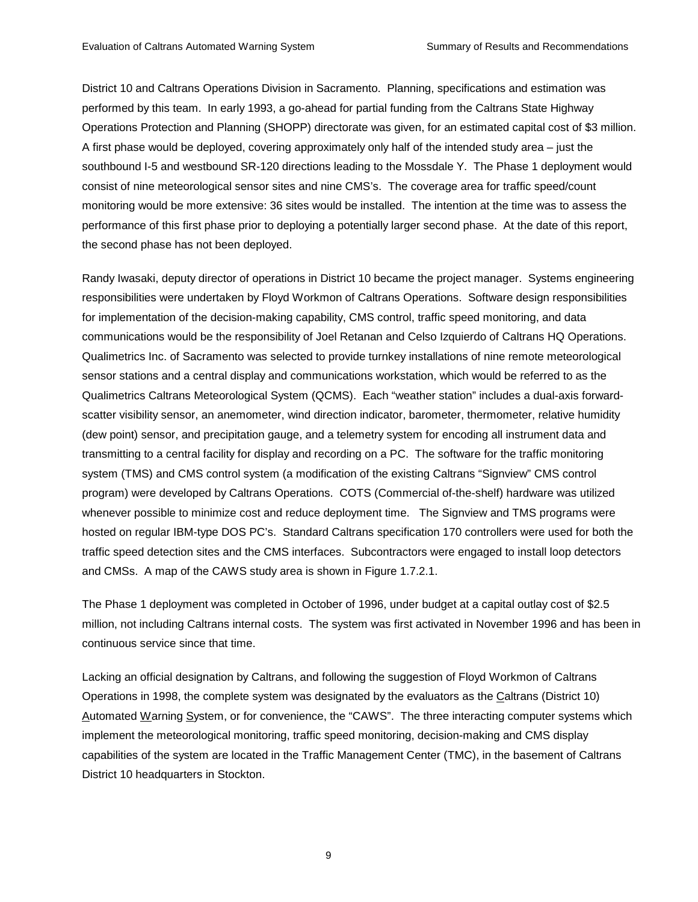District 10 and Caltrans Operations Division in Sacramento. Planning, specifications and estimation was performed by this team. In early 1993, a go-ahead for partial funding from the Caltrans State Highway Operations Protection and Planning (SHOPP) directorate was given, for an estimated capital cost of \$3 million. A first phase would be deployed, covering approximately only half of the intended study area – just the southbound I-5 and westbound SR-120 directions leading to the Mossdale Y. The Phase 1 deployment would consist of nine meteorological sensor sites and nine CMS's. The coverage area for traffic speed/count monitoring would be more extensive: 36 sites would be installed. The intention at the time was to assess the performance of this first phase prior to deploying a potentially larger second phase. At the date of this report, the second phase has not been deployed.

Randy Iwasaki, deputy director of operations in District 10 became the project manager. Systems engineering responsibilities were undertaken by Floyd Workmon of Caltrans Operations. Software design responsibilities for implementation of the decision-making capability, CMS control, traffic speed monitoring, and data communications would be the responsibility of Joel Retanan and Celso Izquierdo of Caltrans HQ Operations. Qualimetrics Inc. of Sacramento was selected to provide turnkey installations of nine remote meteorological sensor stations and a central display and communications workstation, which would be referred to as the Qualimetrics Caltrans Meteorological System (QCMS). Each "weather station" includes a dual-axis forwardscatter visibility sensor, an anemometer, wind direction indicator, barometer, thermometer, relative humidity (dew point) sensor, and precipitation gauge, and a telemetry system for encoding all instrument data and transmitting to a central facility for display and recording on a PC. The software for the traffic monitoring system (TMS) and CMS control system (a modification of the existing Caltrans "Signview" CMS control program) were developed by Caltrans Operations. COTS (Commercial of-the-shelf) hardware was utilized whenever possible to minimize cost and reduce deployment time. The Signview and TMS programs were hosted on regular IBM-type DOS PC's. Standard Caltrans specification 170 controllers were used for both the traffic speed detection sites and the CMS interfaces. Subcontractors were engaged to install loop detectors and CMSs. A map of the CAWS study area is shown in Figure 1.7.2.1.

The Phase 1 deployment was completed in October of 1996, under budget at a capital outlay cost of \$2.5 million, not including Caltrans internal costs. The system was first activated in November 1996 and has been in continuous service since that time.

Lacking an official designation by Caltrans, and following the suggestion of Floyd Workmon of Caltrans Operations in 1998, the complete system was designated by the evaluators as the Caltrans (District 10) Automated Warning System, or for convenience, the "CAWS". The three interacting computer systems which implement the meteorological monitoring, traffic speed monitoring, decision-making and CMS display capabilities of the system are located in the Traffic Management Center (TMC), in the basement of Caltrans District 10 headquarters in Stockton.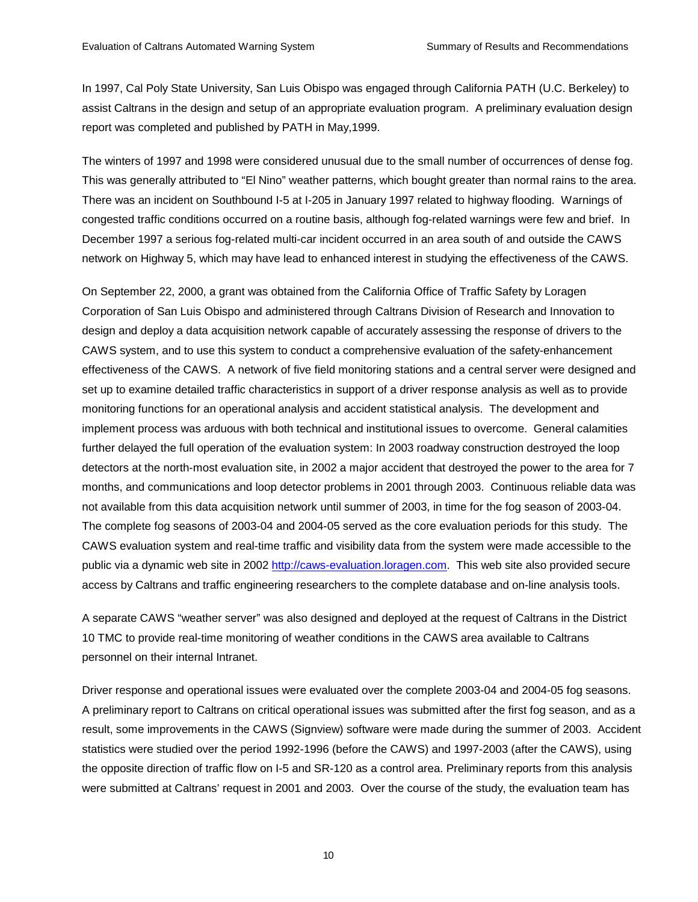In 1997, Cal Poly State University, San Luis Obispo was engaged through California PATH (U.C. Berkeley) to assist Caltrans in the design and setup of an appropriate evaluation program. A preliminary evaluation design report was completed and published by PATH in May,1999.

The winters of 1997 and 1998 were considered unusual due to the small number of occurrences of dense fog. This was generally attributed to "El Nino" weather patterns, which bought greater than normal rains to the area. There was an incident on Southbound I-5 at I-205 in January 1997 related to highway flooding. Warnings of congested traffic conditions occurred on a routine basis, although fog-related warnings were few and brief. In December 1997 a serious fog-related multi-car incident occurred in an area south of and outside the CAWS network on Highway 5, which may have lead to enhanced interest in studying the effectiveness of the CAWS.

On September 22, 2000, a grant was obtained from the California Office of Traffic Safety by Loragen Corporation of San Luis Obispo and administered through Caltrans Division of Research and Innovation to design and deploy a data acquisition network capable of accurately assessing the response of drivers to the CAWS system, and to use this system to conduct a comprehensive evaluation of the safety-enhancement effectiveness of the CAWS. A network of five field monitoring stations and a central server were designed and set up to examine detailed traffic characteristics in support of a driver response analysis as well as to provide monitoring functions for an operational analysis and accident statistical analysis. The development and implement process was arduous with both technical and institutional issues to overcome. General calamities further delayed the full operation of the evaluation system: In 2003 roadway construction destroyed the loop detectors at the north-most evaluation site, in 2002 a major accident that destroyed the power to the area for 7 months, and communications and loop detector problems in 2001 through 2003. Continuous reliable data was not available from this data acquisition network until summer of 2003, in time for the fog season of 2003-04. The complete fog seasons of 2003-04 and 2004-05 served as the core evaluation periods for this study. The CAWS evaluation system and real-time traffic and visibility data from the system were made accessible to the public via a dynamic web site in 2002 http://caws-evaluation.loragen.com. This web site also provided secure access by Caltrans and traffic engineering researchers to the complete database and on-line analysis tools.

A separate CAWS "weather server" was also designed and deployed at the request of Caltrans in the District 10 TMC to provide real-time monitoring of weather conditions in the CAWS area available to Caltrans personnel on their internal Intranet.

Driver response and operational issues were evaluated over the complete 2003-04 and 2004-05 fog seasons. A preliminary report to Caltrans on critical operational issues was submitted after the first fog season, and as a result, some improvements in the CAWS (Signview) software were made during the summer of 2003. Accident statistics were studied over the period 1992-1996 (before the CAWS) and 1997-2003 (after the CAWS), using the opposite direction of traffic flow on I-5 and SR-120 as a control area. Preliminary reports from this analysis were submitted at Caltrans' request in 2001 and 2003. Over the course of the study, the evaluation team has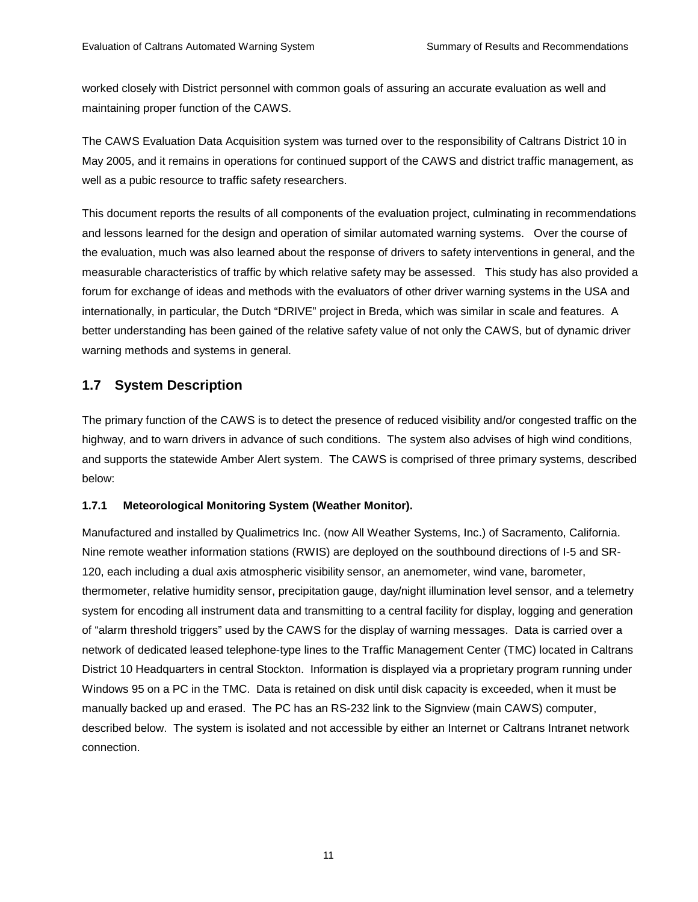worked closely with District personnel with common goals of assuring an accurate evaluation as well and maintaining proper function of the CAWS.

The CAWS Evaluation Data Acquisition system was turned over to the responsibility of Caltrans District 10 in May 2005, and it remains in operations for continued support of the CAWS and district traffic management, as well as a pubic resource to traffic safety researchers.

This document reports the results of all components of the evaluation project, culminating in recommendations and lessons learned for the design and operation of similar automated warning systems. Over the course of the evaluation, much was also learned about the response of drivers to safety interventions in general, and the measurable characteristics of traffic by which relative safety may be assessed. This study has also provided a forum for exchange of ideas and methods with the evaluators of other driver warning systems in the USA and internationally, in particular, the Dutch "DRIVE" project in Breda, which was similar in scale and features. A better understanding has been gained of the relative safety value of not only the CAWS, but of dynamic driver warning methods and systems in general.

# **1.7 System Description**

The primary function of the CAWS is to detect the presence of reduced visibility and/or congested traffic on the highway, and to warn drivers in advance of such conditions. The system also advises of high wind conditions, and supports the statewide Amber Alert system. The CAWS is comprised of three primary systems, described below:

## **1.7.1 Meteorological Monitoring System (Weather Monitor).**

Manufactured and installed by Qualimetrics Inc. (now All Weather Systems, Inc.) of Sacramento, California. Nine remote weather information stations (RWIS) are deployed on the southbound directions of I-5 and SR-120, each including a dual axis atmospheric visibility sensor, an anemometer, wind vane, barometer, thermometer, relative humidity sensor, precipitation gauge, day/night illumination level sensor, and a telemetry system for encoding all instrument data and transmitting to a central facility for display, logging and generation of "alarm threshold triggers" used by the CAWS for the display of warning messages. Data is carried over a network of dedicated leased telephone-type lines to the Traffic Management Center (TMC) located in Caltrans District 10 Headquarters in central Stockton. Information is displayed via a proprietary program running under Windows 95 on a PC in the TMC. Data is retained on disk until disk capacity is exceeded, when it must be manually backed up and erased. The PC has an RS-232 link to the Signview (main CAWS) computer, described below. The system is isolated and not accessible by either an Internet or Caltrans Intranet network connection.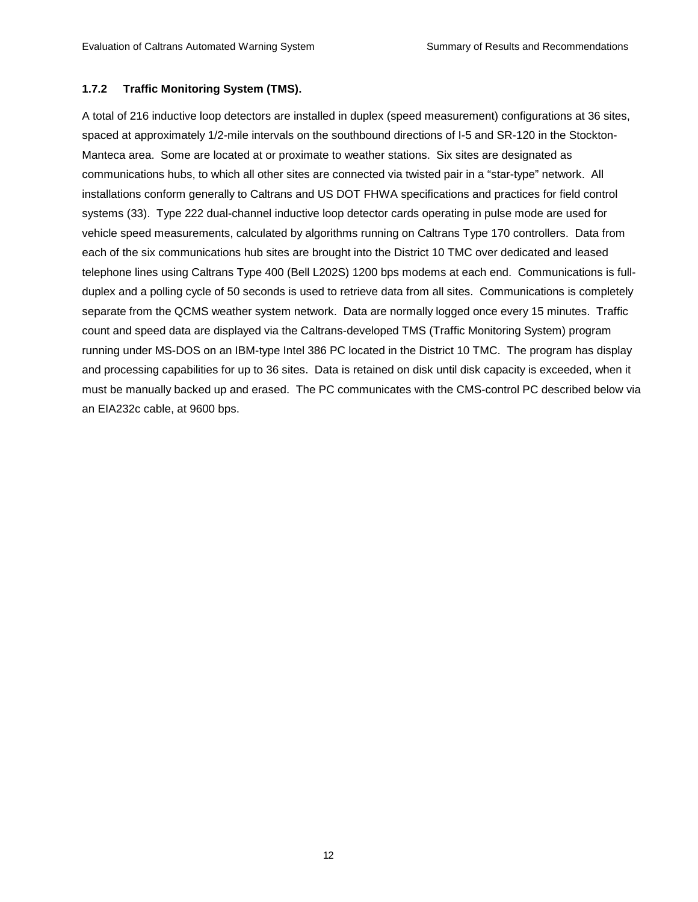#### **1.7.2 Traffic Monitoring System (TMS).**

A total of 216 inductive loop detectors are installed in duplex (speed measurement) configurations at 36 sites, spaced at approximately 1/2-mile intervals on the southbound directions of I-5 and SR-120 in the Stockton-Manteca area. Some are located at or proximate to weather stations. Six sites are designated as communications hubs, to which all other sites are connected via twisted pair in a "star-type" network. All installations conform generally to Caltrans and US DOT FHWA specifications and practices for field control systems (33). Type 222 dual-channel inductive loop detector cards operating in pulse mode are used for vehicle speed measurements, calculated by algorithms running on Caltrans Type 170 controllers. Data from each of the six communications hub sites are brought into the District 10 TMC over dedicated and leased telephone lines using Caltrans Type 400 (Bell L202S) 1200 bps modems at each end. Communications is fullduplex and a polling cycle of 50 seconds is used to retrieve data from all sites. Communications is completely separate from the QCMS weather system network. Data are normally logged once every 15 minutes. Traffic count and speed data are displayed via the Caltrans-developed TMS (Traffic Monitoring System) program running under MS-DOS on an IBM-type Intel 386 PC located in the District 10 TMC. The program has display and processing capabilities for up to 36 sites. Data is retained on disk until disk capacity is exceeded, when it must be manually backed up and erased. The PC communicates with the CMS-control PC described below via an EIA232c cable, at 9600 bps.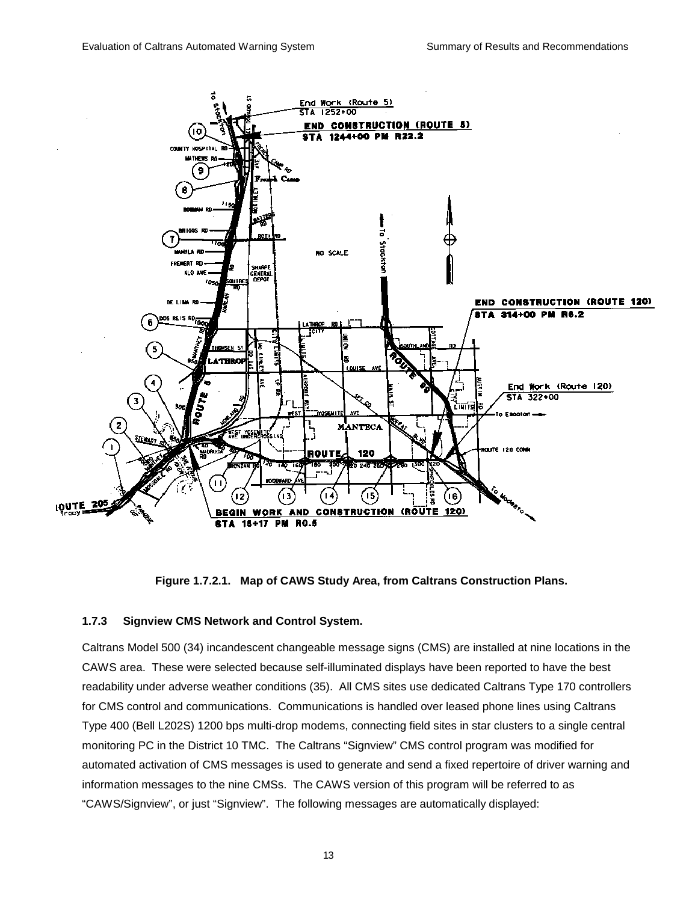

**Figure 1.7.2.1. Map of CAWS Study Area, from Caltrans Construction Plans.** 

#### **1.7.3 Signview CMS Network and Control System.**

Caltrans Model 500 (34) incandescent changeable message signs (CMS) are installed at nine locations in the CAWS area. These were selected because self-illuminated displays have been reported to have the best readability under adverse weather conditions (35). All CMS sites use dedicated Caltrans Type 170 controllers for CMS control and communications. Communications is handled over leased phone lines using Caltrans Type 400 (Bell L202S) 1200 bps multi-drop modems, connecting field sites in star clusters to a single central monitoring PC in the District 10 TMC. The Caltrans "Signview" CMS control program was modified for automated activation of CMS messages is used to generate and send a fixed repertoire of driver warning and information messages to the nine CMSs. The CAWS version of this program will be referred to as "CAWS/Signview", or just "Signview". The following messages are automatically displayed: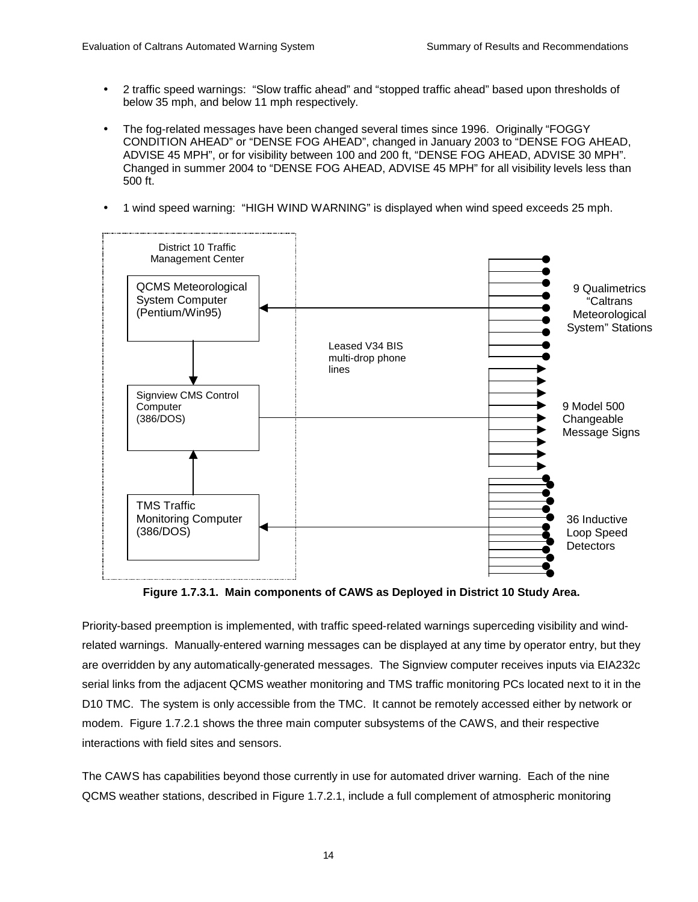- 2 traffic speed warnings: "Slow traffic ahead" and "stopped traffic ahead" based upon thresholds of below 35 mph, and below 11 mph respectively.
- The fog-related messages have been changed several times since 1996. Originally "FOGGY CONDITION AHEAD" or "DENSE FOG AHEAD", changed in January 2003 to "DENSE FOG AHEAD, ADVISE 45 MPH", or for visibility between 100 and 200 ft, "DENSE FOG AHEAD, ADVISE 30 MPH". Changed in summer 2004 to "DENSE FOG AHEAD, ADVISE 45 MPH" for all visibility levels less than 500 ft.
- 1 wind speed warning: "HIGH WIND WARNING" is displayed when wind speed exceeds 25 mph.



**Figure 1.7.3.1. Main components of CAWS as Deployed in District 10 Study Area.** 

Priority-based preemption is implemented, with traffic speed-related warnings superceding visibility and windrelated warnings. Manually-entered warning messages can be displayed at any time by operator entry, but they are overridden by any automatically-generated messages. The Signview computer receives inputs via EIA232c serial links from the adjacent QCMS weather monitoring and TMS traffic monitoring PCs located next to it in the D10 TMC. The system is only accessible from the TMC. It cannot be remotely accessed either by network or modem. Figure 1.7.2.1 shows the three main computer subsystems of the CAWS, and their respective interactions with field sites and sensors.

The CAWS has capabilities beyond those currently in use for automated driver warning. Each of the nine QCMS weather stations, described in Figure 1.7.2.1, include a full complement of atmospheric monitoring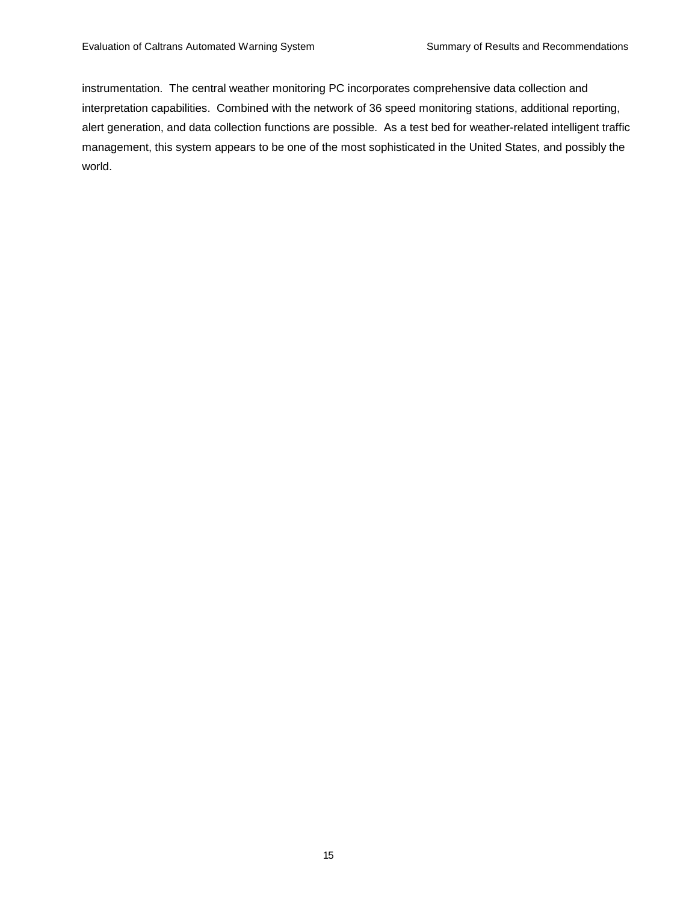instrumentation. The central weather monitoring PC incorporates comprehensive data collection and interpretation capabilities. Combined with the network of 36 speed monitoring stations, additional reporting, alert generation, and data collection functions are possible. As a test bed for weather-related intelligent traffic management, this system appears to be one of the most sophisticated in the United States, and possibly the world.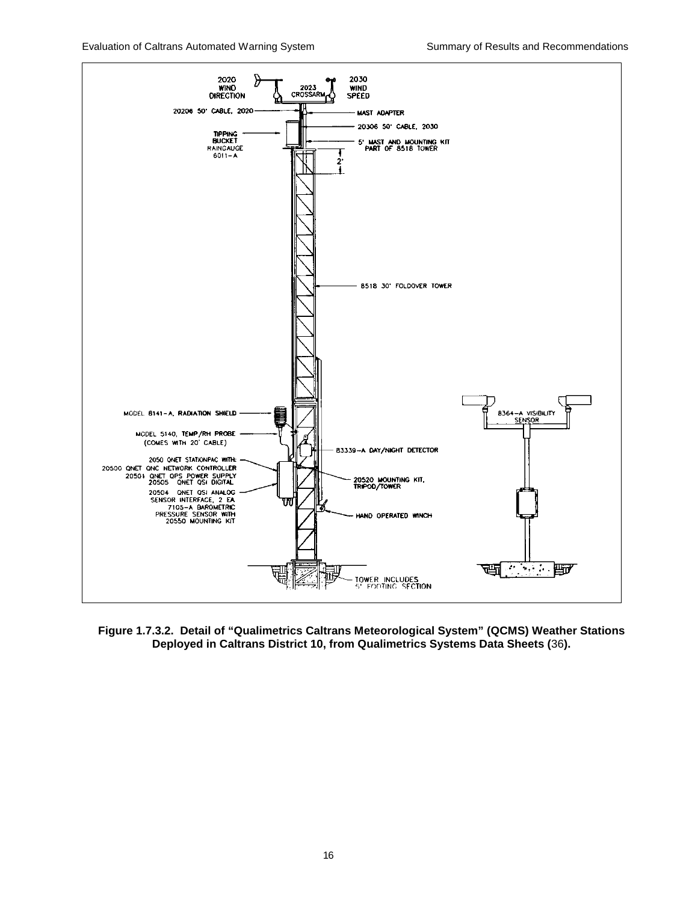Evaluation of Caltrans Automated Warning System Summary of Results and Recommendations



**Figure 1.7.3.2. Detail of "Qualimetrics Caltrans Meteorological System" (QCMS) Weather Stations Deployed in Caltrans District 10, from Qualimetrics Systems Data Sheets (**36**).**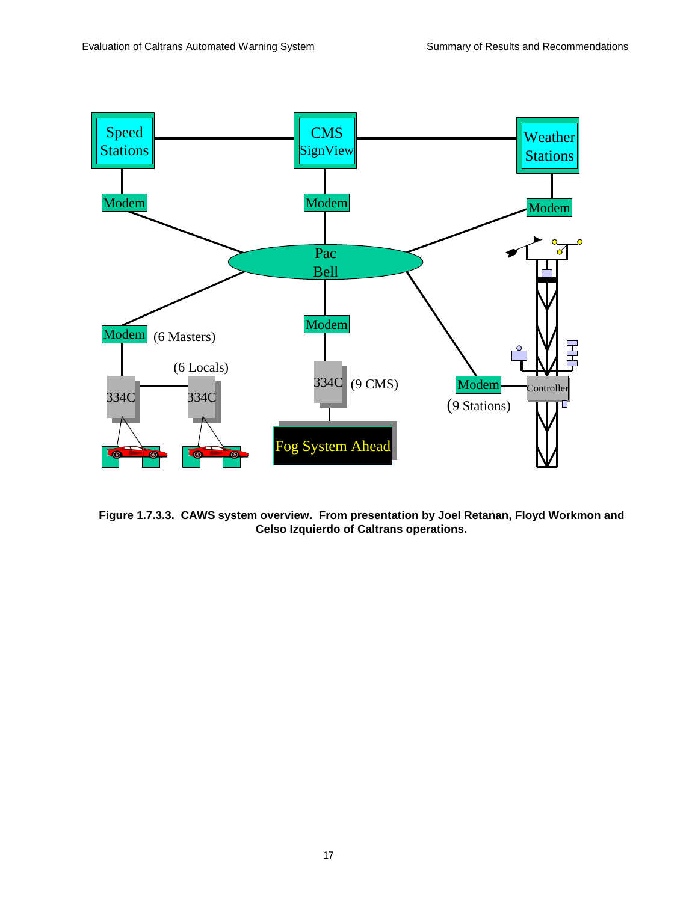

**Figure 1.7.3.3. CAWS system overview. From presentation by Joel Retanan, Floyd Workmon and Celso Izquierdo of Caltrans operations.**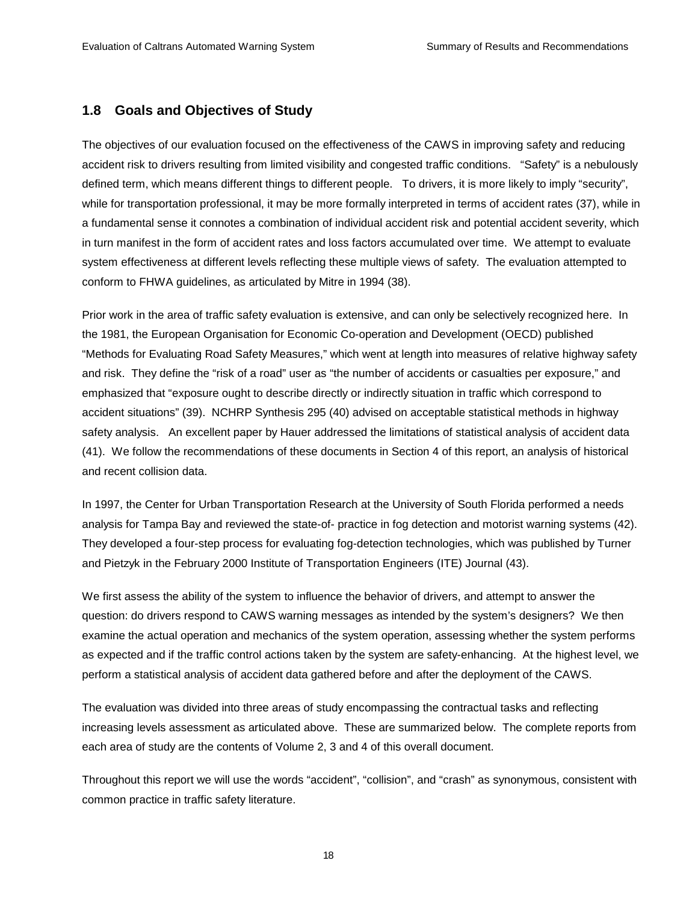### **1.8 Goals and Objectives of Study**

The objectives of our evaluation focused on the effectiveness of the CAWS in improving safety and reducing accident risk to drivers resulting from limited visibility and congested traffic conditions. "Safety" is a nebulously defined term, which means different things to different people. To drivers, it is more likely to imply "security", while for transportation professional, it may be more formally interpreted in terms of accident rates (37), while in a fundamental sense it connotes a combination of individual accident risk and potential accident severity, which in turn manifest in the form of accident rates and loss factors accumulated over time. We attempt to evaluate system effectiveness at different levels reflecting these multiple views of safety. The evaluation attempted to conform to FHWA guidelines, as articulated by Mitre in 1994 (38).

Prior work in the area of traffic safety evaluation is extensive, and can only be selectively recognized here. In the 1981, the European Organisation for Economic Co-operation and Development (OECD) published "Methods for Evaluating Road Safety Measures," which went at length into measures of relative highway safety and risk. They define the "risk of a road" user as "the number of accidents or casualties per exposure," and emphasized that "exposure ought to describe directly or indirectly situation in traffic which correspond to accident situations" (39). NCHRP Synthesis 295 (40) advised on acceptable statistical methods in highway safety analysis. An excellent paper by Hauer addressed the limitations of statistical analysis of accident data (41). We follow the recommendations of these documents in Section 4 of this report, an analysis of historical and recent collision data.

In 1997, the Center for Urban Transportation Research at the University of South Florida performed a needs analysis for Tampa Bay and reviewed the state-of- practice in fog detection and motorist warning systems (42). They developed a four-step process for evaluating fog-detection technologies, which was published by Turner and Pietzyk in the February 2000 Institute of Transportation Engineers (ITE) Journal (43).

We first assess the ability of the system to influence the behavior of drivers, and attempt to answer the question: do drivers respond to CAWS warning messages as intended by the system's designers? We then examine the actual operation and mechanics of the system operation, assessing whether the system performs as expected and if the traffic control actions taken by the system are safety-enhancing. At the highest level, we perform a statistical analysis of accident data gathered before and after the deployment of the CAWS.

The evaluation was divided into three areas of study encompassing the contractual tasks and reflecting increasing levels assessment as articulated above. These are summarized below. The complete reports from each area of study are the contents of Volume 2, 3 and 4 of this overall document.

Throughout this report we will use the words "accident", "collision", and "crash" as synonymous, consistent with common practice in traffic safety literature.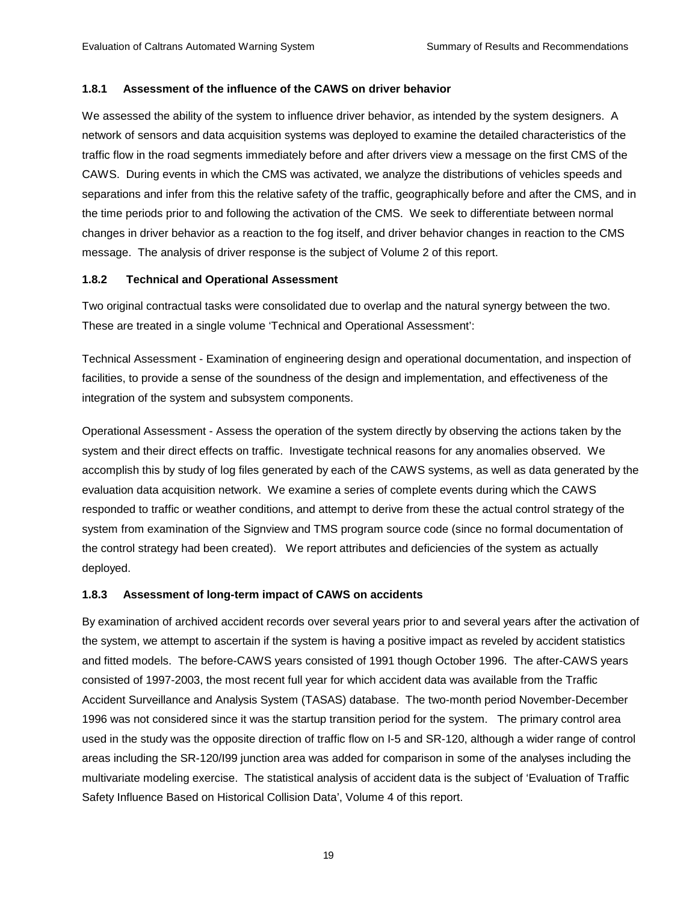#### **1.8.1 Assessment of the influence of the CAWS on driver behavior**

We assessed the ability of the system to influence driver behavior, as intended by the system designers. A network of sensors and data acquisition systems was deployed to examine the detailed characteristics of the traffic flow in the road segments immediately before and after drivers view a message on the first CMS of the CAWS. During events in which the CMS was activated, we analyze the distributions of vehicles speeds and separations and infer from this the relative safety of the traffic, geographically before and after the CMS, and in the time periods prior to and following the activation of the CMS. We seek to differentiate between normal changes in driver behavior as a reaction to the fog itself, and driver behavior changes in reaction to the CMS message. The analysis of driver response is the subject of Volume 2 of this report.

#### **1.8.2 Technical and Operational Assessment**

Two original contractual tasks were consolidated due to overlap and the natural synergy between the two. These are treated in a single volume 'Technical and Operational Assessment':

Technical Assessment - Examination of engineering design and operational documentation, and inspection of facilities, to provide a sense of the soundness of the design and implementation, and effectiveness of the integration of the system and subsystem components.

Operational Assessment - Assess the operation of the system directly by observing the actions taken by the system and their direct effects on traffic. Investigate technical reasons for any anomalies observed. We accomplish this by study of log files generated by each of the CAWS systems, as well as data generated by the evaluation data acquisition network. We examine a series of complete events during which the CAWS responded to traffic or weather conditions, and attempt to derive from these the actual control strategy of the system from examination of the Signview and TMS program source code (since no formal documentation of the control strategy had been created). We report attributes and deficiencies of the system as actually deployed.

### **1.8.3 Assessment of long-term impact of CAWS on accidents**

By examination of archived accident records over several years prior to and several years after the activation of the system, we attempt to ascertain if the system is having a positive impact as reveled by accident statistics and fitted models. The before-CAWS years consisted of 1991 though October 1996. The after-CAWS years consisted of 1997-2003, the most recent full year for which accident data was available from the Traffic Accident Surveillance and Analysis System (TASAS) database. The two-month period November-December 1996 was not considered since it was the startup transition period for the system. The primary control area used in the study was the opposite direction of traffic flow on I-5 and SR-120, although a wider range of control areas including the SR-120/I99 junction area was added for comparison in some of the analyses including the multivariate modeling exercise. The statistical analysis of accident data is the subject of 'Evaluation of Traffic Safety Influence Based on Historical Collision Data', Volume 4 of this report.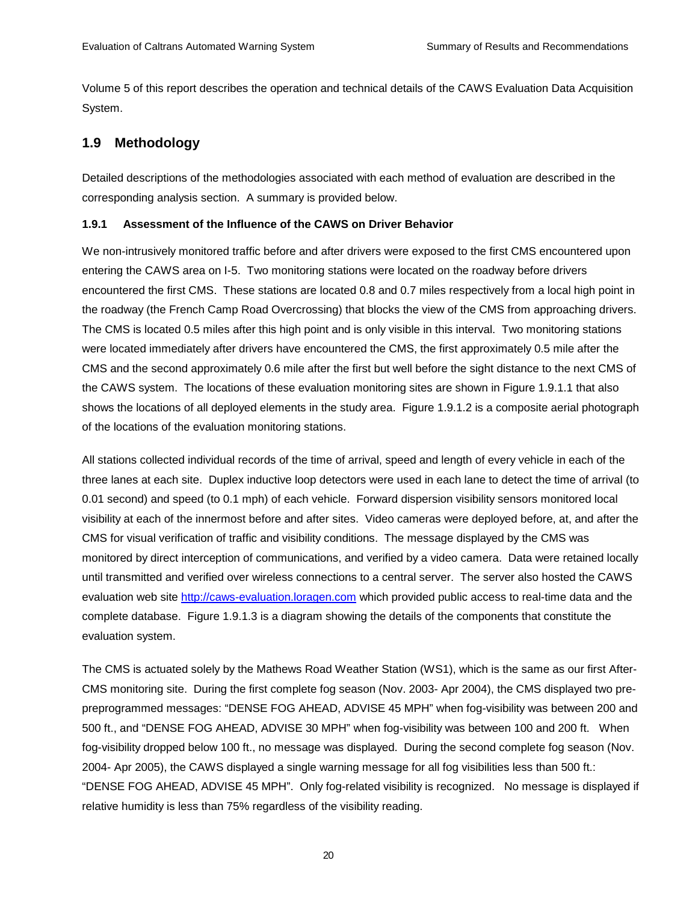Volume 5 of this report describes the operation and technical details of the CAWS Evaluation Data Acquisition System.

## **1.9 Methodology**

Detailed descriptions of the methodologies associated with each method of evaluation are described in the corresponding analysis section. A summary is provided below.

#### **1.9.1 Assessment of the Influence of the CAWS on Driver Behavior**

We non-intrusively monitored traffic before and after drivers were exposed to the first CMS encountered upon entering the CAWS area on I-5. Two monitoring stations were located on the roadway before drivers encountered the first CMS. These stations are located 0.8 and 0.7 miles respectively from a local high point in the roadway (the French Camp Road Overcrossing) that blocks the view of the CMS from approaching drivers. The CMS is located 0.5 miles after this high point and is only visible in this interval. Two monitoring stations were located immediately after drivers have encountered the CMS, the first approximately 0.5 mile after the CMS and the second approximately 0.6 mile after the first but well before the sight distance to the next CMS of the CAWS system. The locations of these evaluation monitoring sites are shown in Figure 1.9.1.1 that also shows the locations of all deployed elements in the study area. Figure 1.9.1.2 is a composite aerial photograph of the locations of the evaluation monitoring stations.

All stations collected individual records of the time of arrival, speed and length of every vehicle in each of the three lanes at each site. Duplex inductive loop detectors were used in each lane to detect the time of arrival (to 0.01 second) and speed (to 0.1 mph) of each vehicle. Forward dispersion visibility sensors monitored local visibility at each of the innermost before and after sites. Video cameras were deployed before, at, and after the CMS for visual verification of traffic and visibility conditions. The message displayed by the CMS was monitored by direct interception of communications, and verified by a video camera. Data were retained locally until transmitted and verified over wireless connections to a central server. The server also hosted the CAWS evaluation web site http://caws-evaluation.loragen.com which provided public access to real-time data and the complete database. Figure 1.9.1.3 is a diagram showing the details of the components that constitute the evaluation system.

The CMS is actuated solely by the Mathews Road Weather Station (WS1), which is the same as our first After-CMS monitoring site. During the first complete fog season (Nov. 2003- Apr 2004), the CMS displayed two prepreprogrammed messages: "DENSE FOG AHEAD, ADVISE 45 MPH" when fog-visibility was between 200 and 500 ft., and "DENSE FOG AHEAD, ADVISE 30 MPH" when fog-visibility was between 100 and 200 ft. When fog-visibility dropped below 100 ft., no message was displayed. During the second complete fog season (Nov. 2004- Apr 2005), the CAWS displayed a single warning message for all fog visibilities less than 500 ft.: "DENSE FOG AHEAD, ADVISE 45 MPH". Only fog-related visibility is recognized. No message is displayed if relative humidity is less than 75% regardless of the visibility reading.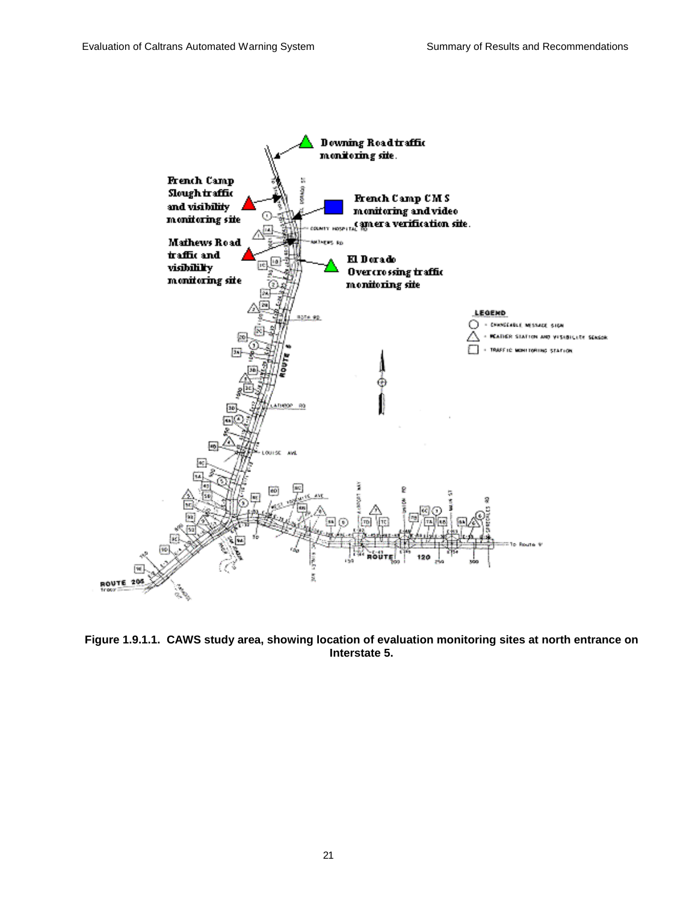

**Figure 1.9.1.1. CAWS study area, showing location of evaluation monitoring sites at north entrance on Interstate 5.**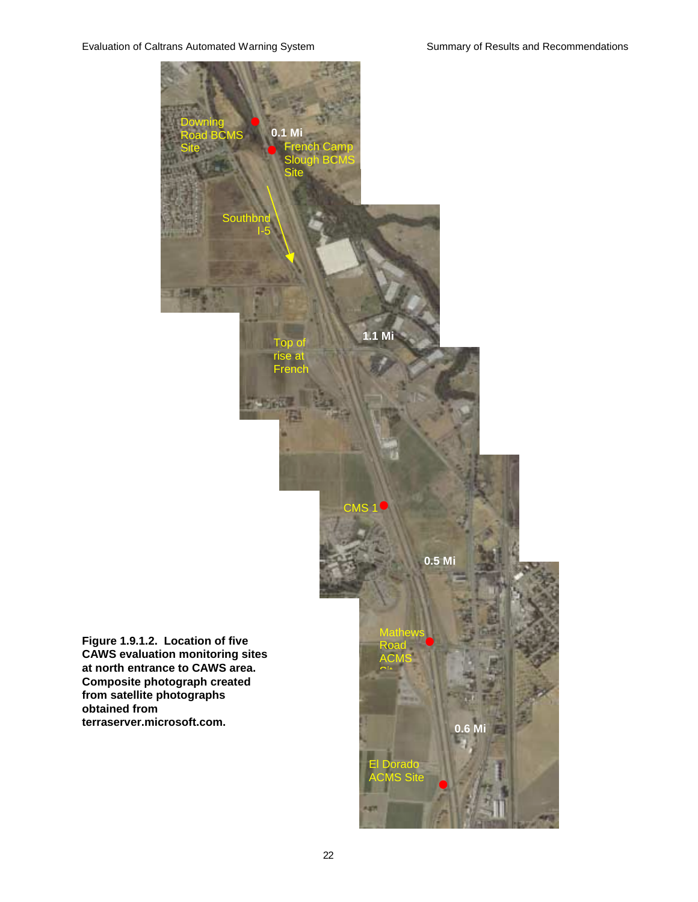**obtained from** 

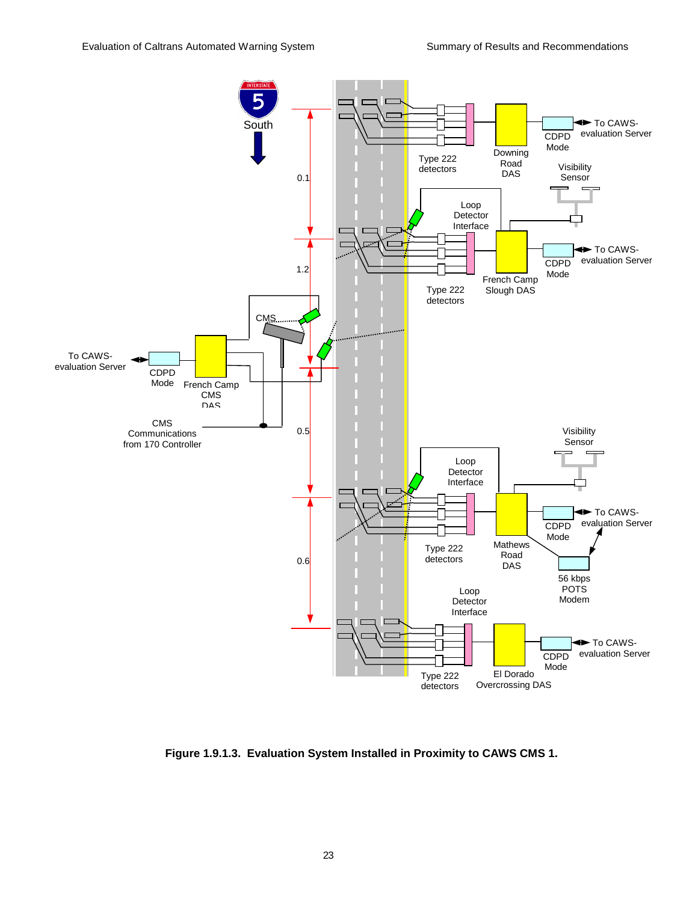

**Figure 1.9.1.3. Evaluation System Installed in Proximity to CAWS CMS 1.**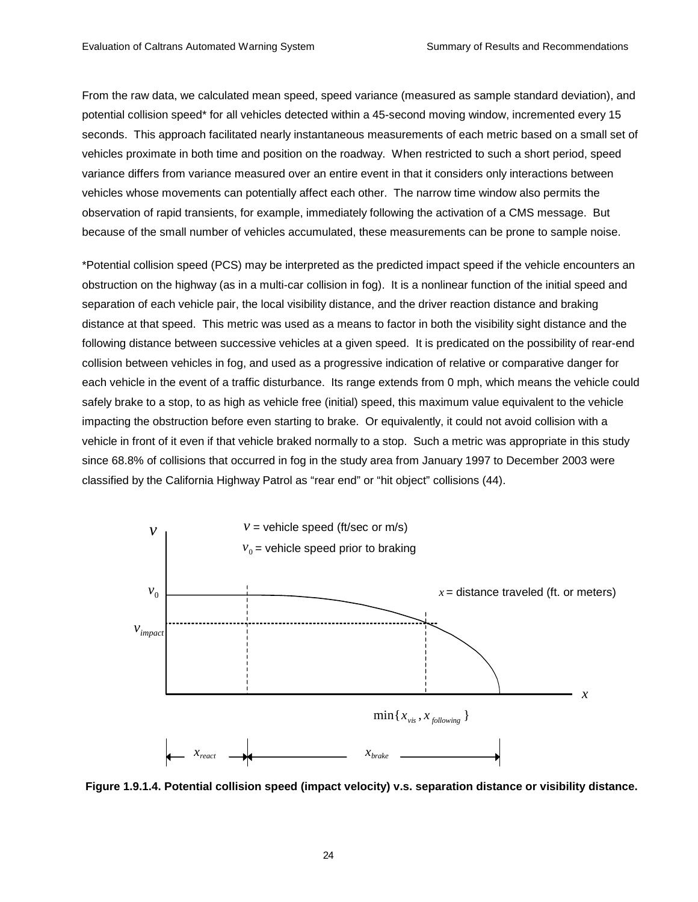From the raw data, we calculated mean speed, speed variance (measured as sample standard deviation), and potential collision speed\* for all vehicles detected within a 45-second moving window, incremented every 15 seconds. This approach facilitated nearly instantaneous measurements of each metric based on a small set of vehicles proximate in both time and position on the roadway. When restricted to such a short period, speed variance differs from variance measured over an entire event in that it considers only interactions between vehicles whose movements can potentially affect each other. The narrow time window also permits the observation of rapid transients, for example, immediately following the activation of a CMS message. But because of the small number of vehicles accumulated, these measurements can be prone to sample noise.

\*Potential collision speed (PCS) may be interpreted as the predicted impact speed if the vehicle encounters an obstruction on the highway (as in a multi-car collision in fog). It is a nonlinear function of the initial speed and separation of each vehicle pair, the local visibility distance, and the driver reaction distance and braking distance at that speed. This metric was used as a means to factor in both the visibility sight distance and the following distance between successive vehicles at a given speed. It is predicated on the possibility of rear-end collision between vehicles in fog, and used as a progressive indication of relative or comparative danger for each vehicle in the event of a traffic disturbance. Its range extends from 0 mph, which means the vehicle could safely brake to a stop, to as high as vehicle free (initial) speed, this maximum value equivalent to the vehicle impacting the obstruction before even starting to brake. Or equivalently, it could not avoid collision with a vehicle in front of it even if that vehicle braked normally to a stop. Such a metric was appropriate in this study since 68.8% of collisions that occurred in fog in the study area from January 1997 to December 2003 were classified by the California Highway Patrol as "rear end" or "hit object" collisions (44).



**Figure 1.9.1.4. Potential collision speed (impact velocity) v.s. separation distance or visibility distance.**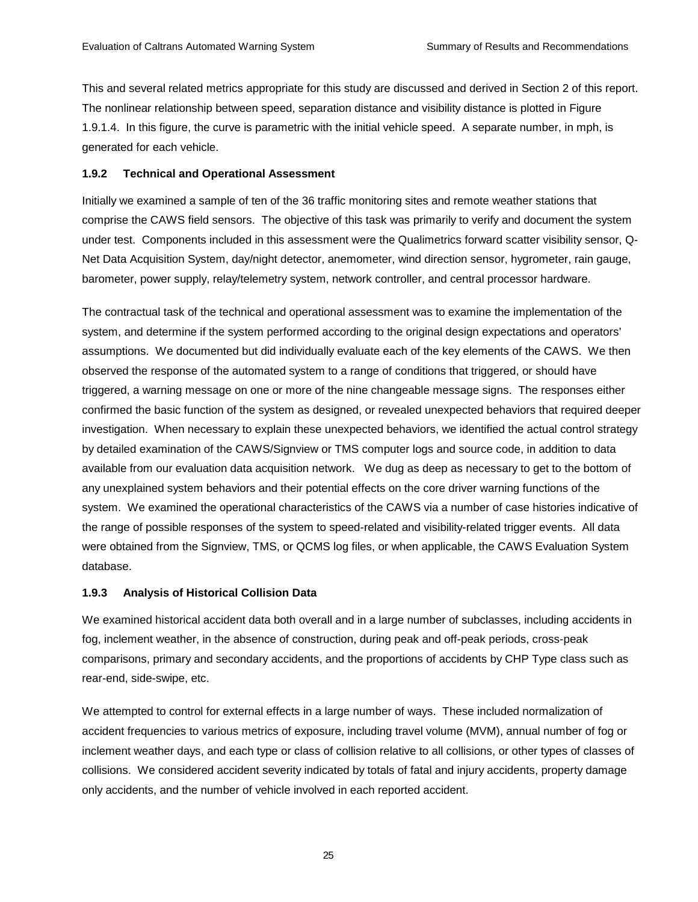This and several related metrics appropriate for this study are discussed and derived in Section 2 of this report. The nonlinear relationship between speed, separation distance and visibility distance is plotted in Figure 1.9.1.4. In this figure, the curve is parametric with the initial vehicle speed. A separate number, in mph, is generated for each vehicle.

#### **1.9.2 Technical and Operational Assessment**

Initially we examined a sample of ten of the 36 traffic monitoring sites and remote weather stations that comprise the CAWS field sensors. The objective of this task was primarily to verify and document the system under test. Components included in this assessment were the Qualimetrics forward scatter visibility sensor, Q-Net Data Acquisition System, day/night detector, anemometer, wind direction sensor, hygrometer, rain gauge, barometer, power supply, relay/telemetry system, network controller, and central processor hardware.

The contractual task of the technical and operational assessment was to examine the implementation of the system, and determine if the system performed according to the original design expectations and operators' assumptions. We documented but did individually evaluate each of the key elements of the CAWS. We then observed the response of the automated system to a range of conditions that triggered, or should have triggered, a warning message on one or more of the nine changeable message signs. The responses either confirmed the basic function of the system as designed, or revealed unexpected behaviors that required deeper investigation. When necessary to explain these unexpected behaviors, we identified the actual control strategy by detailed examination of the CAWS/Signview or TMS computer logs and source code, in addition to data available from our evaluation data acquisition network. We dug as deep as necessary to get to the bottom of any unexplained system behaviors and their potential effects on the core driver warning functions of the system. We examined the operational characteristics of the CAWS via a number of case histories indicative of the range of possible responses of the system to speed-related and visibility-related trigger events. All data were obtained from the Signview, TMS, or QCMS log files, or when applicable, the CAWS Evaluation System database.

### **1.9.3 Analysis of Historical Collision Data**

We examined historical accident data both overall and in a large number of subclasses, including accidents in fog, inclement weather, in the absence of construction, during peak and off-peak periods, cross-peak comparisons, primary and secondary accidents, and the proportions of accidents by CHP Type class such as rear-end, side-swipe, etc.

We attempted to control for external effects in a large number of ways. These included normalization of accident frequencies to various metrics of exposure, including travel volume (MVM), annual number of fog or inclement weather days, and each type or class of collision relative to all collisions, or other types of classes of collisions. We considered accident severity indicated by totals of fatal and injury accidents, property damage only accidents, and the number of vehicle involved in each reported accident.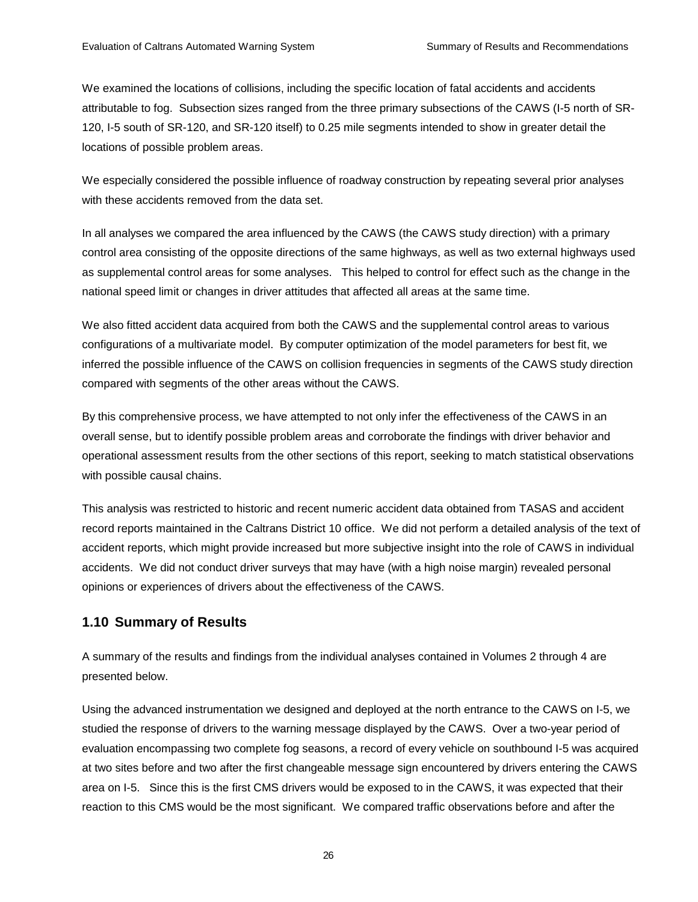We examined the locations of collisions, including the specific location of fatal accidents and accidents attributable to fog. Subsection sizes ranged from the three primary subsections of the CAWS (I-5 north of SR-120, I-5 south of SR-120, and SR-120 itself) to 0.25 mile segments intended to show in greater detail the locations of possible problem areas.

We especially considered the possible influence of roadway construction by repeating several prior analyses with these accidents removed from the data set.

In all analyses we compared the area influenced by the CAWS (the CAWS study direction) with a primary control area consisting of the opposite directions of the same highways, as well as two external highways used as supplemental control areas for some analyses. This helped to control for effect such as the change in the national speed limit or changes in driver attitudes that affected all areas at the same time.

We also fitted accident data acquired from both the CAWS and the supplemental control areas to various configurations of a multivariate model. By computer optimization of the model parameters for best fit, we inferred the possible influence of the CAWS on collision frequencies in segments of the CAWS study direction compared with segments of the other areas without the CAWS.

By this comprehensive process, we have attempted to not only infer the effectiveness of the CAWS in an overall sense, but to identify possible problem areas and corroborate the findings with driver behavior and operational assessment results from the other sections of this report, seeking to match statistical observations with possible causal chains.

This analysis was restricted to historic and recent numeric accident data obtained from TASAS and accident record reports maintained in the Caltrans District 10 office. We did not perform a detailed analysis of the text of accident reports, which might provide increased but more subjective insight into the role of CAWS in individual accidents. We did not conduct driver surveys that may have (with a high noise margin) revealed personal opinions or experiences of drivers about the effectiveness of the CAWS.

## **1.10 Summary of Results**

A summary of the results and findings from the individual analyses contained in Volumes 2 through 4 are presented below.

Using the advanced instrumentation we designed and deployed at the north entrance to the CAWS on I-5, we studied the response of drivers to the warning message displayed by the CAWS. Over a two-year period of evaluation encompassing two complete fog seasons, a record of every vehicle on southbound I-5 was acquired at two sites before and two after the first changeable message sign encountered by drivers entering the CAWS area on I-5. Since this is the first CMS drivers would be exposed to in the CAWS, it was expected that their reaction to this CMS would be the most significant. We compared traffic observations before and after the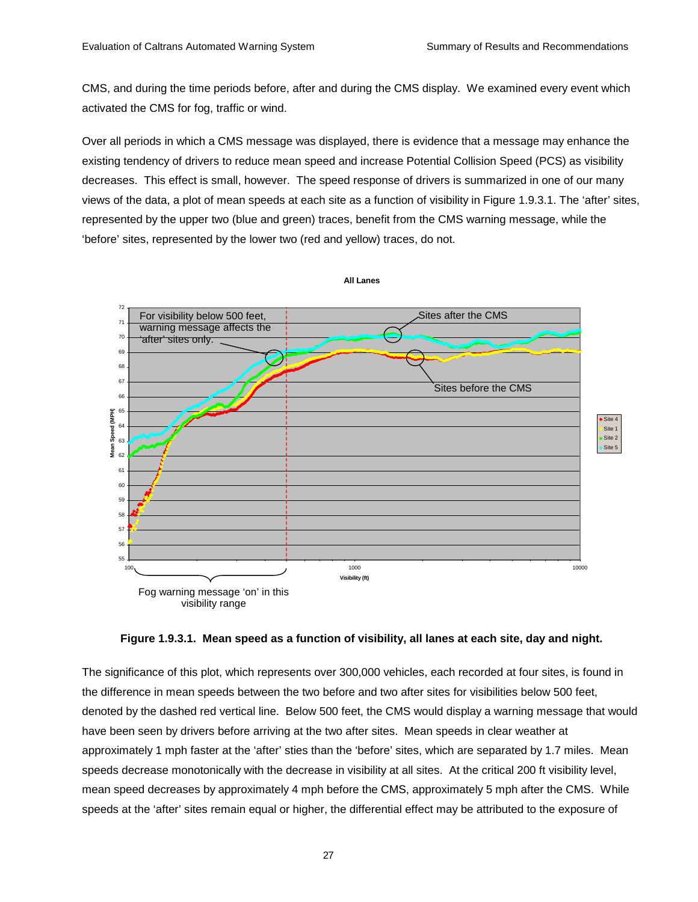CMS, and during the time periods before, after and during the CMS display. We examined every event which activated the CMS for fog, traffic or wind.

Over all periods in which a CMS message was displayed, there is evidence that a message may enhance the existing tendency of drivers to reduce mean speed and increase Potential Collision Speed (PCS) as visibility decreases. This effect is small, however. The speed response of drivers is summarized in one of our many views of the data, a plot of mean speeds at each site as a function of visibility in Figure 1.9.3.1. The 'after' sites, represented by the upper two (blue and green) traces, benefit from the CMS warning message, while the 'before' sites, represented by the lower two (red and yellow) traces, do not.



**Figure 1.9.3.1. Mean speed as a function of visibility, all lanes at each site, day and night.** 

The significance of this plot, which represents over 300,000 vehicles, each recorded at four sites, is found in the difference in mean speeds between the two before and two after sites for visibilities below 500 feet, denoted by the dashed red vertical line. Below 500 feet, the CMS would display a warning message that would have been seen by drivers before arriving at the two after sites. Mean speeds in clear weather at approximately 1 mph faster at the 'after' sties than the 'before' sites, which are separated by 1.7 miles. Mean speeds decrease monotonically with the decrease in visibility at all sites. At the critical 200 ft visibility level, mean speed decreases by approximately 4 mph before the CMS, approximately 5 mph after the CMS. While speeds at the 'after' sites remain equal or higher, the differential effect may be attributed to the exposure of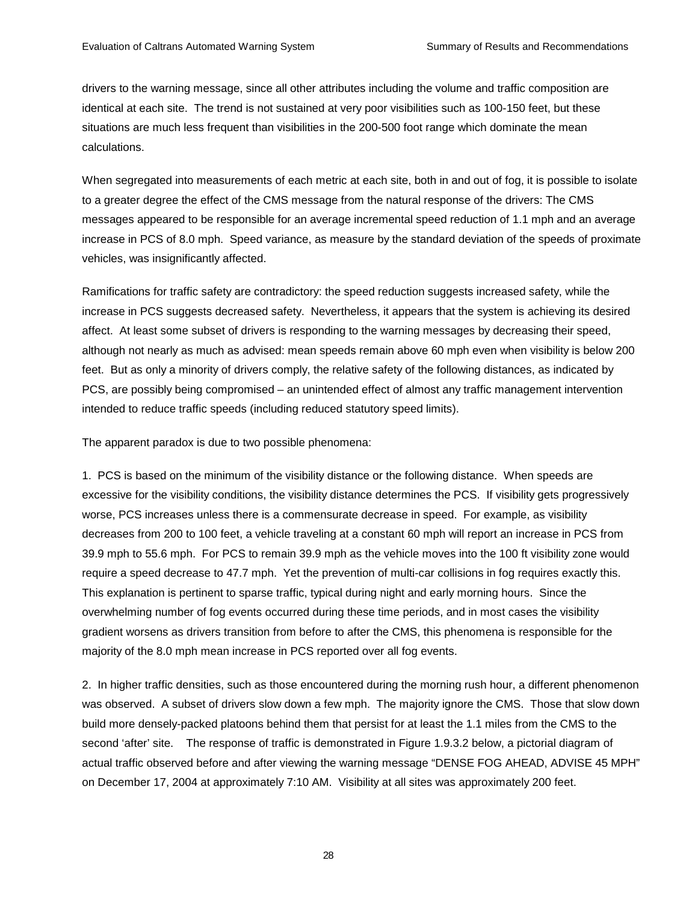drivers to the warning message, since all other attributes including the volume and traffic composition are identical at each site. The trend is not sustained at very poor visibilities such as 100-150 feet, but these situations are much less frequent than visibilities in the 200-500 foot range which dominate the mean calculations.

When segregated into measurements of each metric at each site, both in and out of fog, it is possible to isolate to a greater degree the effect of the CMS message from the natural response of the drivers: The CMS messages appeared to be responsible for an average incremental speed reduction of 1.1 mph and an average increase in PCS of 8.0 mph. Speed variance, as measure by the standard deviation of the speeds of proximate vehicles, was insignificantly affected.

Ramifications for traffic safety are contradictory: the speed reduction suggests increased safety, while the increase in PCS suggests decreased safety. Nevertheless, it appears that the system is achieving its desired affect. At least some subset of drivers is responding to the warning messages by decreasing their speed, although not nearly as much as advised: mean speeds remain above 60 mph even when visibility is below 200 feet. But as only a minority of drivers comply, the relative safety of the following distances, as indicated by PCS, are possibly being compromised – an unintended effect of almost any traffic management intervention intended to reduce traffic speeds (including reduced statutory speed limits).

The apparent paradox is due to two possible phenomena:

1. PCS is based on the minimum of the visibility distance or the following distance. When speeds are excessive for the visibility conditions, the visibility distance determines the PCS. If visibility gets progressively worse, PCS increases unless there is a commensurate decrease in speed. For example, as visibility decreases from 200 to 100 feet, a vehicle traveling at a constant 60 mph will report an increase in PCS from 39.9 mph to 55.6 mph. For PCS to remain 39.9 mph as the vehicle moves into the 100 ft visibility zone would require a speed decrease to 47.7 mph. Yet the prevention of multi-car collisions in fog requires exactly this. This explanation is pertinent to sparse traffic, typical during night and early morning hours. Since the overwhelming number of fog events occurred during these time periods, and in most cases the visibility gradient worsens as drivers transition from before to after the CMS, this phenomena is responsible for the majority of the 8.0 mph mean increase in PCS reported over all fog events.

2. In higher traffic densities, such as those encountered during the morning rush hour, a different phenomenon was observed. A subset of drivers slow down a few mph. The majority ignore the CMS. Those that slow down build more densely-packed platoons behind them that persist for at least the 1.1 miles from the CMS to the second 'after' site. The response of traffic is demonstrated in Figure 1.9.3.2 below, a pictorial diagram of actual traffic observed before and after viewing the warning message "DENSE FOG AHEAD, ADVISE 45 MPH" on December 17, 2004 at approximately 7:10 AM. Visibility at all sites was approximately 200 feet.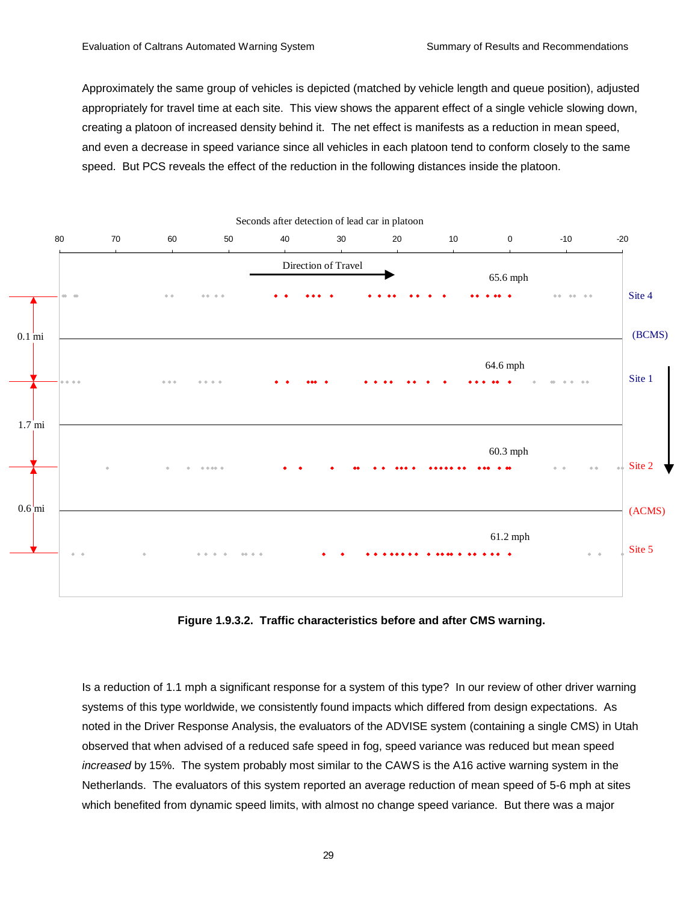Approximately the same group of vehicles is depicted (matched by vehicle length and queue position), adjusted appropriately for travel time at each site. This view shows the apparent effect of a single vehicle slowing down, creating a platoon of increased density behind it. The net effect is manifests as a reduction in mean speed, and even a decrease in speed variance since all vehicles in each platoon tend to conform closely to the same speed. But PCS reveals the effect of the reduction in the following distances inside the platoon.



**Figure 1.9.3.2. Traffic characteristics before and after CMS warning.** 

Is a reduction of 1.1 mph a significant response for a system of this type? In our review of other driver warning systems of this type worldwide, we consistently found impacts which differed from design expectations. As noted in the Driver Response Analysis, the evaluators of the ADVISE system (containing a single CMS) in Utah observed that when advised of a reduced safe speed in fog, speed variance was reduced but mean speed *increased* by 15%. The system probably most similar to the CAWS is the A16 active warning system in the Netherlands. The evaluators of this system reported an average reduction of mean speed of 5-6 mph at sites which benefited from dynamic speed limits, with almost no change speed variance. But there was a major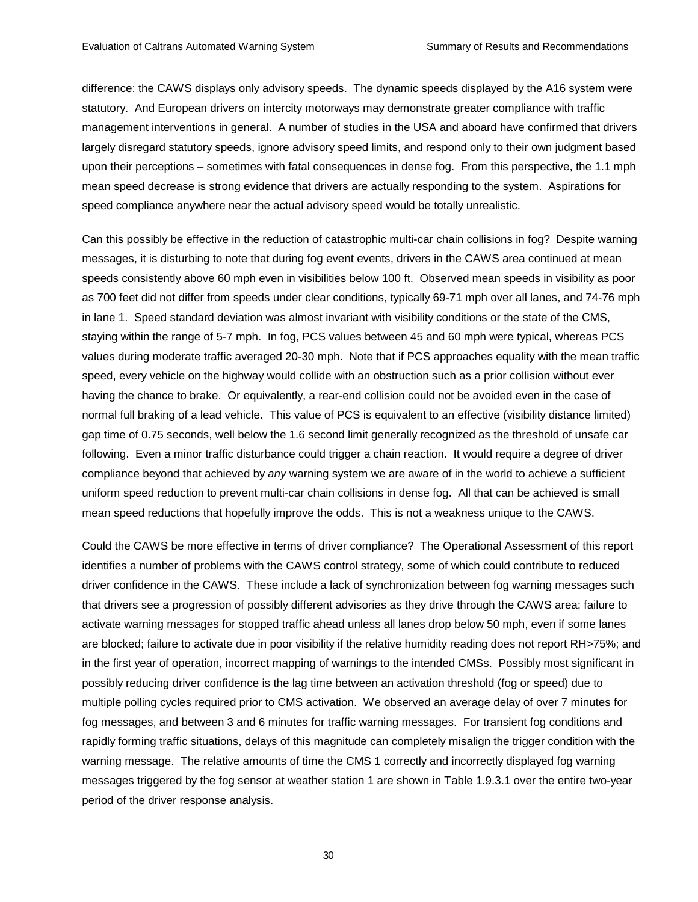difference: the CAWS displays only advisory speeds. The dynamic speeds displayed by the A16 system were statutory. And European drivers on intercity motorways may demonstrate greater compliance with traffic management interventions in general. A number of studies in the USA and aboard have confirmed that drivers largely disregard statutory speeds, ignore advisory speed limits, and respond only to their own judgment based upon their perceptions – sometimes with fatal consequences in dense fog. From this perspective, the 1.1 mph mean speed decrease is strong evidence that drivers are actually responding to the system. Aspirations for speed compliance anywhere near the actual advisory speed would be totally unrealistic.

Can this possibly be effective in the reduction of catastrophic multi-car chain collisions in fog? Despite warning messages, it is disturbing to note that during fog event events, drivers in the CAWS area continued at mean speeds consistently above 60 mph even in visibilities below 100 ft. Observed mean speeds in visibility as poor as 700 feet did not differ from speeds under clear conditions, typically 69-71 mph over all lanes, and 74-76 mph in lane 1. Speed standard deviation was almost invariant with visibility conditions or the state of the CMS, staying within the range of 5-7 mph. In fog, PCS values between 45 and 60 mph were typical, whereas PCS values during moderate traffic averaged 20-30 mph. Note that if PCS approaches equality with the mean traffic speed, every vehicle on the highway would collide with an obstruction such as a prior collision without ever having the chance to brake. Or equivalently, a rear-end collision could not be avoided even in the case of normal full braking of a lead vehicle. This value of PCS is equivalent to an effective (visibility distance limited) gap time of 0.75 seconds, well below the 1.6 second limit generally recognized as the threshold of unsafe car following. Even a minor traffic disturbance could trigger a chain reaction. It would require a degree of driver compliance beyond that achieved by *any* warning system we are aware of in the world to achieve a sufficient uniform speed reduction to prevent multi-car chain collisions in dense fog. All that can be achieved is small mean speed reductions that hopefully improve the odds. This is not a weakness unique to the CAWS.

Could the CAWS be more effective in terms of driver compliance? The Operational Assessment of this report identifies a number of problems with the CAWS control strategy, some of which could contribute to reduced driver confidence in the CAWS. These include a lack of synchronization between fog warning messages such that drivers see a progression of possibly different advisories as they drive through the CAWS area; failure to activate warning messages for stopped traffic ahead unless all lanes drop below 50 mph, even if some lanes are blocked; failure to activate due in poor visibility if the relative humidity reading does not report RH>75%; and in the first year of operation, incorrect mapping of warnings to the intended CMSs. Possibly most significant in possibly reducing driver confidence is the lag time between an activation threshold (fog or speed) due to multiple polling cycles required prior to CMS activation. We observed an average delay of over 7 minutes for fog messages, and between 3 and 6 minutes for traffic warning messages. For transient fog conditions and rapidly forming traffic situations, delays of this magnitude can completely misalign the trigger condition with the warning message. The relative amounts of time the CMS 1 correctly and incorrectly displayed fog warning messages triggered by the fog sensor at weather station 1 are shown in Table 1.9.3.1 over the entire two-year period of the driver response analysis.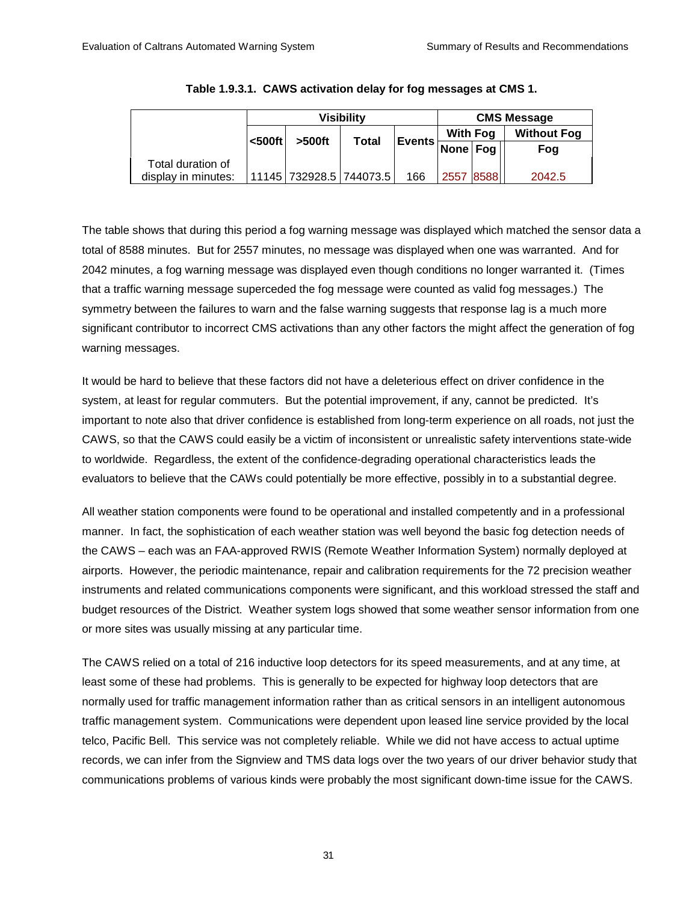|                     | <b>Visibility</b> |                         |              |               | <b>CMS Message</b> |           |                    |  |
|---------------------|-------------------|-------------------------|--------------|---------------|--------------------|-----------|--------------------|--|
|                     | $500ft$           |                         |              |               | <b>With Fog</b>    |           | <b>Without Fog</b> |  |
|                     |                   | $>500$ ft               | <b>Total</b> | <b>Events</b> | None Fog           |           | Fog                |  |
| Total duration of   |                   |                         |              |               |                    |           |                    |  |
| display in minutes: |                   | 11145 732928.5 744073.5 |              | 166           |                    | 2557 8588 | 2042.5             |  |

|  | Table 1.9.3.1. CAWS activation delay for fog messages at CMS 1. |  |  |  |
|--|-----------------------------------------------------------------|--|--|--|
|--|-----------------------------------------------------------------|--|--|--|

The table shows that during this period a fog warning message was displayed which matched the sensor data a total of 8588 minutes. But for 2557 minutes, no message was displayed when one was warranted. And for 2042 minutes, a fog warning message was displayed even though conditions no longer warranted it. (Times that a traffic warning message superceded the fog message were counted as valid fog messages.) The symmetry between the failures to warn and the false warning suggests that response lag is a much more significant contributor to incorrect CMS activations than any other factors the might affect the generation of fog warning messages.

It would be hard to believe that these factors did not have a deleterious effect on driver confidence in the system, at least for regular commuters. But the potential improvement, if any, cannot be predicted. It's important to note also that driver confidence is established from long-term experience on all roads, not just the CAWS, so that the CAWS could easily be a victim of inconsistent or unrealistic safety interventions state-wide to worldwide. Regardless, the extent of the confidence-degrading operational characteristics leads the evaluators to believe that the CAWs could potentially be more effective, possibly in to a substantial degree.

All weather station components were found to be operational and installed competently and in a professional manner. In fact, the sophistication of each weather station was well beyond the basic fog detection needs of the CAWS – each was an FAA-approved RWIS (Remote Weather Information System) normally deployed at airports. However, the periodic maintenance, repair and calibration requirements for the 72 precision weather instruments and related communications components were significant, and this workload stressed the staff and budget resources of the District. Weather system logs showed that some weather sensor information from one or more sites was usually missing at any particular time.

The CAWS relied on a total of 216 inductive loop detectors for its speed measurements, and at any time, at least some of these had problems. This is generally to be expected for highway loop detectors that are normally used for traffic management information rather than as critical sensors in an intelligent autonomous traffic management system. Communications were dependent upon leased line service provided by the local telco, Pacific Bell. This service was not completely reliable. While we did not have access to actual uptime records, we can infer from the Signview and TMS data logs over the two years of our driver behavior study that communications problems of various kinds were probably the most significant down-time issue for the CAWS.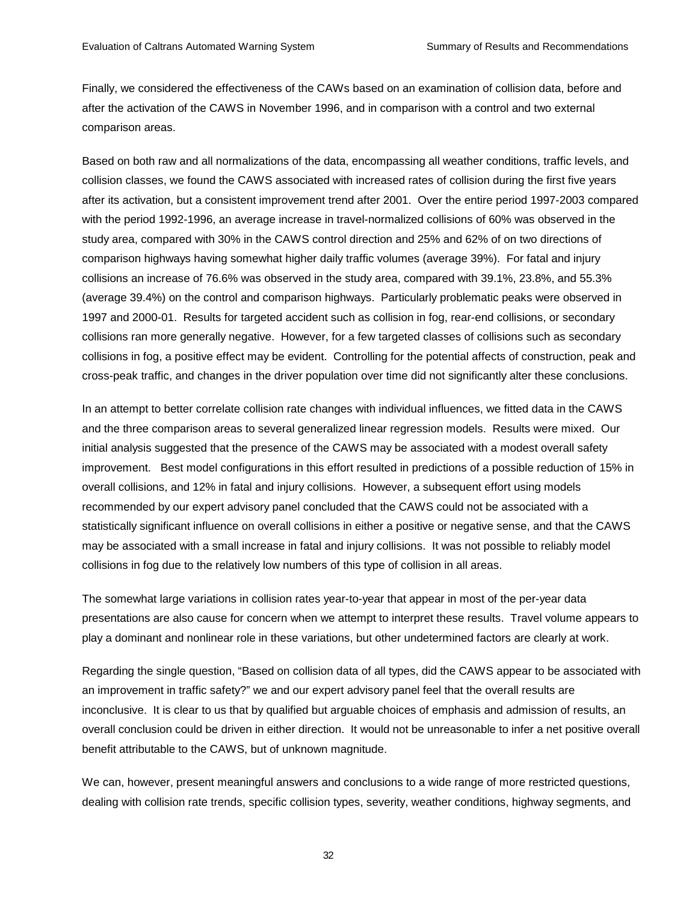Finally, we considered the effectiveness of the CAWs based on an examination of collision data, before and after the activation of the CAWS in November 1996, and in comparison with a control and two external comparison areas.

Based on both raw and all normalizations of the data, encompassing all weather conditions, traffic levels, and collision classes, we found the CAWS associated with increased rates of collision during the first five years after its activation, but a consistent improvement trend after 2001. Over the entire period 1997-2003 compared with the period 1992-1996, an average increase in travel-normalized collisions of 60% was observed in the study area, compared with 30% in the CAWS control direction and 25% and 62% of on two directions of comparison highways having somewhat higher daily traffic volumes (average 39%). For fatal and injury collisions an increase of 76.6% was observed in the study area, compared with 39.1%, 23.8%, and 55.3% (average 39.4%) on the control and comparison highways. Particularly problematic peaks were observed in 1997 and 2000-01. Results for targeted accident such as collision in fog, rear-end collisions, or secondary collisions ran more generally negative. However, for a few targeted classes of collisions such as secondary collisions in fog, a positive effect may be evident. Controlling for the potential affects of construction, peak and cross-peak traffic, and changes in the driver population over time did not significantly alter these conclusions.

In an attempt to better correlate collision rate changes with individual influences, we fitted data in the CAWS and the three comparison areas to several generalized linear regression models. Results were mixed. Our initial analysis suggested that the presence of the CAWS may be associated with a modest overall safety improvement. Best model configurations in this effort resulted in predictions of a possible reduction of 15% in overall collisions, and 12% in fatal and injury collisions. However, a subsequent effort using models recommended by our expert advisory panel concluded that the CAWS could not be associated with a statistically significant influence on overall collisions in either a positive or negative sense, and that the CAWS may be associated with a small increase in fatal and injury collisions. It was not possible to reliably model collisions in fog due to the relatively low numbers of this type of collision in all areas.

The somewhat large variations in collision rates year-to-year that appear in most of the per-year data presentations are also cause for concern when we attempt to interpret these results. Travel volume appears to play a dominant and nonlinear role in these variations, but other undetermined factors are clearly at work.

Regarding the single question, "Based on collision data of all types, did the CAWS appear to be associated with an improvement in traffic safety?" we and our expert advisory panel feel that the overall results are inconclusive. It is clear to us that by qualified but arguable choices of emphasis and admission of results, an overall conclusion could be driven in either direction. It would not be unreasonable to infer a net positive overall benefit attributable to the CAWS, but of unknown magnitude.

We can, however, present meaningful answers and conclusions to a wide range of more restricted questions, dealing with collision rate trends, specific collision types, severity, weather conditions, highway segments, and

32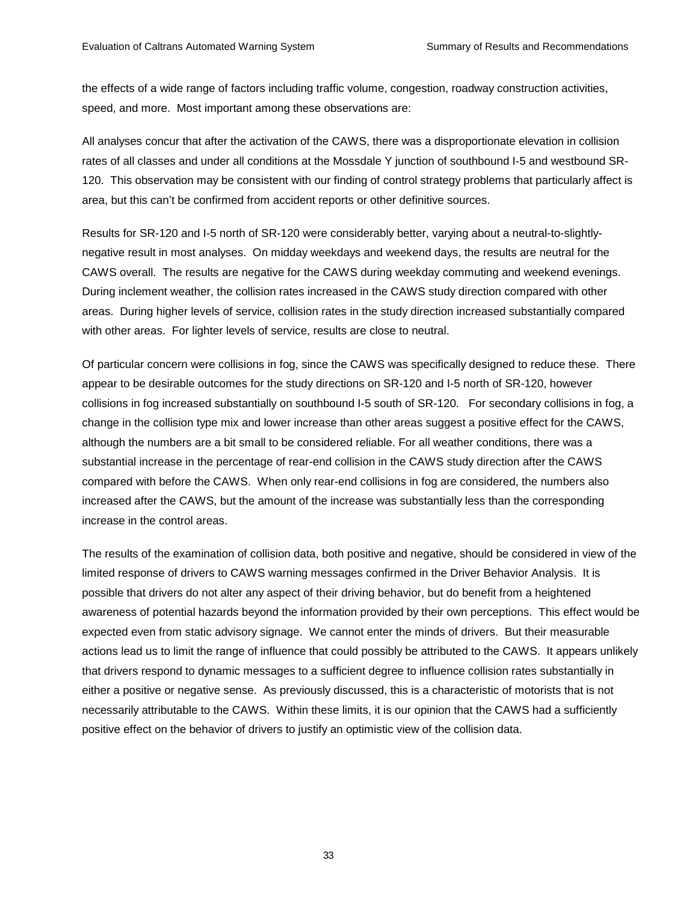the effects of a wide range of factors including traffic volume, congestion, roadway construction activities, speed, and more. Most important among these observations are:

All analyses concur that after the activation of the CAWS, there was a disproportionate elevation in collision rates of all classes and under all conditions at the Mossdale Y junction of southbound I-5 and westbound SR-120. This observation may be consistent with our finding of control strategy problems that particularly affect is area, but this can't be confirmed from accident reports or other definitive sources.

Results for SR-120 and I-5 north of SR-120 were considerably better, varying about a neutral-to-slightlynegative result in most analyses. On midday weekdays and weekend days, the results are neutral for the CAWS overall. The results are negative for the CAWS during weekday commuting and weekend evenings. During inclement weather, the collision rates increased in the CAWS study direction compared with other areas. During higher levels of service, collision rates in the study direction increased substantially compared with other areas. For lighter levels of service, results are close to neutral.

Of particular concern were collisions in fog, since the CAWS was specifically designed to reduce these. There appear to be desirable outcomes for the study directions on SR-120 and I-5 north of SR-120, however collisions in fog increased substantially on southbound I-5 south of SR-120. For secondary collisions in fog, a change in the collision type mix and lower increase than other areas suggest a positive effect for the CAWS, although the numbers are a bit small to be considered reliable. For all weather conditions, there was a substantial increase in the percentage of rear-end collision in the CAWS study direction after the CAWS compared with before the CAWS. When only rear-end collisions in fog are considered, the numbers also increased after the CAWS, but the amount of the increase was substantially less than the corresponding increase in the control areas.

The results of the examination of collision data, both positive and negative, should be considered in view of the limited response of drivers to CAWS warning messages confirmed in the Driver Behavior Analysis. It is possible that drivers do not alter any aspect of their driving behavior, but do benefit from a heightened awareness of potential hazards beyond the information provided by their own perceptions. This effect would be expected even from static advisory signage. We cannot enter the minds of drivers. But their measurable actions lead us to limit the range of influence that could possibly be attributed to the CAWS. It appears unlikely that drivers respond to dynamic messages to a sufficient degree to influence collision rates substantially in either a positive or negative sense. As previously discussed, this is a characteristic of motorists that is not necessarily attributable to the CAWS. Within these limits, it is our opinion that the CAWS had a sufficiently positive effect on the behavior of drivers to justify an optimistic view of the collision data.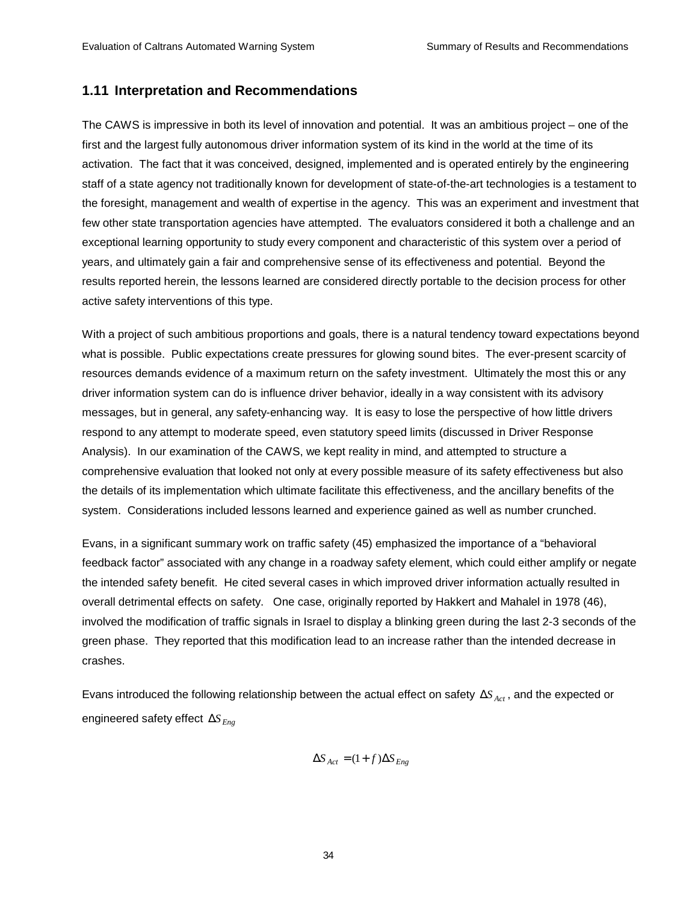# **1.11 Interpretation and Recommendations**

The CAWS is impressive in both its level of innovation and potential. It was an ambitious project – one of the first and the largest fully autonomous driver information system of its kind in the world at the time of its activation. The fact that it was conceived, designed, implemented and is operated entirely by the engineering staff of a state agency not traditionally known for development of state-of-the-art technologies is a testament to the foresight, management and wealth of expertise in the agency. This was an experiment and investment that few other state transportation agencies have attempted. The evaluators considered it both a challenge and an exceptional learning opportunity to study every component and characteristic of this system over a period of years, and ultimately gain a fair and comprehensive sense of its effectiveness and potential. Beyond the results reported herein, the lessons learned are considered directly portable to the decision process for other active safety interventions of this type.

With a project of such ambitious proportions and goals, there is a natural tendency toward expectations beyond what is possible. Public expectations create pressures for glowing sound bites. The ever-present scarcity of resources demands evidence of a maximum return on the safety investment. Ultimately the most this or any driver information system can do is influence driver behavior, ideally in a way consistent with its advisory messages, but in general, any safety-enhancing way. It is easy to lose the perspective of how little drivers respond to any attempt to moderate speed, even statutory speed limits (discussed in Driver Response Analysis). In our examination of the CAWS, we kept reality in mind, and attempted to structure a comprehensive evaluation that looked not only at every possible measure of its safety effectiveness but also the details of its implementation which ultimate facilitate this effectiveness, and the ancillary benefits of the system. Considerations included lessons learned and experience gained as well as number crunched.

Evans, in a significant summary work on traffic safety (45) emphasized the importance of a "behavioral feedback factor" associated with any change in a roadway safety element, which could either amplify or negate the intended safety benefit. He cited several cases in which improved driver information actually resulted in overall detrimental effects on safety. One case, originally reported by Hakkert and Mahalel in 1978 (46), involved the modification of traffic signals in Israel to display a blinking green during the last 2-3 seconds of the green phase. They reported that this modification lead to an increase rather than the intended decrease in crashes.

Evans introduced the following relationship between the actual effect on safety ΔS<sub>Act</sub>, and the expected or engineered safety effect ∆*S Eng*

$$
\Delta S_{Act} = (1 + f)\Delta S_{Eng}
$$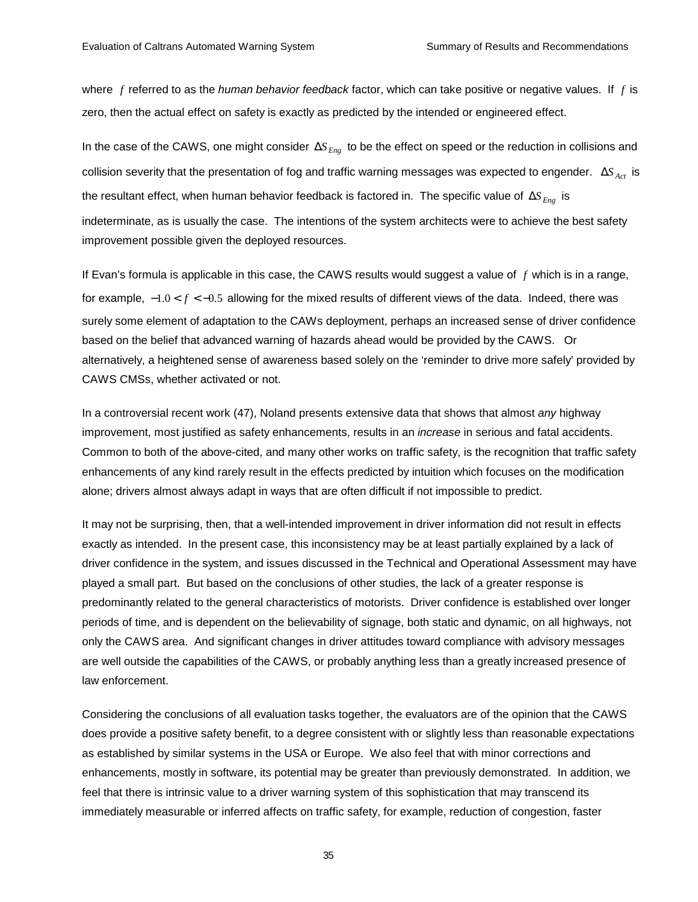where *f* referred to as the *human behavior feedback* factor, which can take positive or negative values. If *f* is zero, then the actual effect on safety is exactly as predicted by the intended or engineered effect.

In the case of the CAWS, one might consider ∆*S Eng* to be the effect on speed or the reduction in collisions and collision severity that the presentation of fog and traffic warning messages was expected to engender. ΔS<sub>Act</sub> is the resultant effect, when human behavior feedback is factored in. The specific value of ∆*S Eng* is indeterminate, as is usually the case. The intentions of the system architects were to achieve the best safety improvement possible given the deployed resources.

If Evan's formula is applicable in this case, the CAWS results would suggest a value of *f* which is in a range, for example, −1.0 < *f* < −0.5 allowing for the mixed results of different views of the data. Indeed, there was surely some element of adaptation to the CAWs deployment, perhaps an increased sense of driver confidence based on the belief that advanced warning of hazards ahead would be provided by the CAWS. Or alternatively, a heightened sense of awareness based solely on the 'reminder to drive more safely' provided by CAWS CMSs, whether activated or not.

In a controversial recent work (47), Noland presents extensive data that shows that almost *any* highway improvement, most justified as safety enhancements, results in an *increase* in serious and fatal accidents. Common to both of the above-cited, and many other works on traffic safety, is the recognition that traffic safety enhancements of any kind rarely result in the effects predicted by intuition which focuses on the modification alone; drivers almost always adapt in ways that are often difficult if not impossible to predict.

It may not be surprising, then, that a well-intended improvement in driver information did not result in effects exactly as intended. In the present case, this inconsistency may be at least partially explained by a lack of driver confidence in the system, and issues discussed in the Technical and Operational Assessment may have played a small part. But based on the conclusions of other studies, the lack of a greater response is predominantly related to the general characteristics of motorists. Driver confidence is established over longer periods of time, and is dependent on the believability of signage, both static and dynamic, on all highways, not only the CAWS area. And significant changes in driver attitudes toward compliance with advisory messages are well outside the capabilities of the CAWS, or probably anything less than a greatly increased presence of law enforcement.

Considering the conclusions of all evaluation tasks together, the evaluators are of the opinion that the CAWS does provide a positive safety benefit, to a degree consistent with or slightly less than reasonable expectations as established by similar systems in the USA or Europe. We also feel that with minor corrections and enhancements, mostly in software, its potential may be greater than previously demonstrated. In addition, we feel that there is intrinsic value to a driver warning system of this sophistication that may transcend its immediately measurable or inferred affects on traffic safety, for example, reduction of congestion, faster

35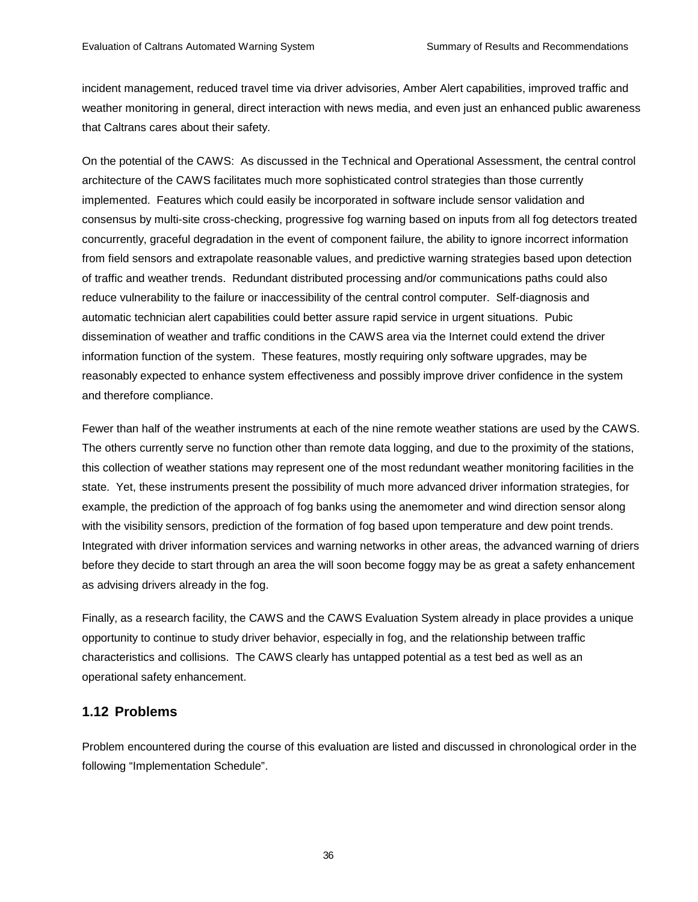incident management, reduced travel time via driver advisories, Amber Alert capabilities, improved traffic and weather monitoring in general, direct interaction with news media, and even just an enhanced public awareness that Caltrans cares about their safety.

On the potential of the CAWS: As discussed in the Technical and Operational Assessment, the central control architecture of the CAWS facilitates much more sophisticated control strategies than those currently implemented. Features which could easily be incorporated in software include sensor validation and consensus by multi-site cross-checking, progressive fog warning based on inputs from all fog detectors treated concurrently, graceful degradation in the event of component failure, the ability to ignore incorrect information from field sensors and extrapolate reasonable values, and predictive warning strategies based upon detection of traffic and weather trends. Redundant distributed processing and/or communications paths could also reduce vulnerability to the failure or inaccessibility of the central control computer. Self-diagnosis and automatic technician alert capabilities could better assure rapid service in urgent situations. Pubic dissemination of weather and traffic conditions in the CAWS area via the Internet could extend the driver information function of the system. These features, mostly requiring only software upgrades, may be reasonably expected to enhance system effectiveness and possibly improve driver confidence in the system and therefore compliance.

Fewer than half of the weather instruments at each of the nine remote weather stations are used by the CAWS. The others currently serve no function other than remote data logging, and due to the proximity of the stations, this collection of weather stations may represent one of the most redundant weather monitoring facilities in the state. Yet, these instruments present the possibility of much more advanced driver information strategies, for example, the prediction of the approach of fog banks using the anemometer and wind direction sensor along with the visibility sensors, prediction of the formation of fog based upon temperature and dew point trends. Integrated with driver information services and warning networks in other areas, the advanced warning of driers before they decide to start through an area the will soon become foggy may be as great a safety enhancement as advising drivers already in the fog.

Finally, as a research facility, the CAWS and the CAWS Evaluation System already in place provides a unique opportunity to continue to study driver behavior, especially in fog, and the relationship between traffic characteristics and collisions. The CAWS clearly has untapped potential as a test bed as well as an operational safety enhancement.

# **1.12 Problems**

Problem encountered during the course of this evaluation are listed and discussed in chronological order in the following "Implementation Schedule".

36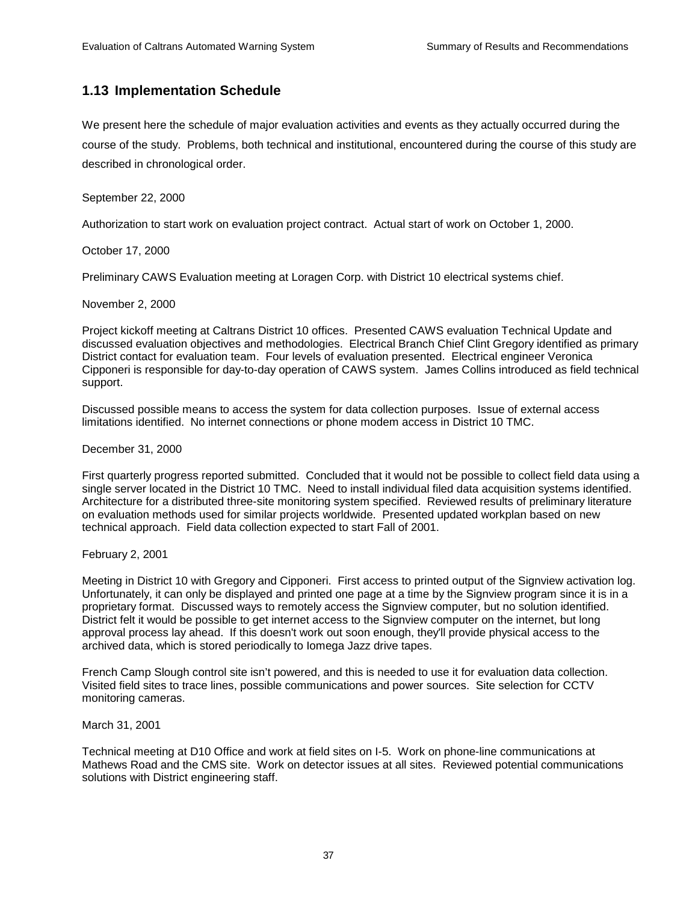# **1.13 Implementation Schedule**

We present here the schedule of major evaluation activities and events as they actually occurred during the course of the study. Problems, both technical and institutional, encountered during the course of this study are described in chronological order.

## September 22, 2000

Authorization to start work on evaluation project contract. Actual start of work on October 1, 2000.

October 17, 2000

Preliminary CAWS Evaluation meeting at Loragen Corp. with District 10 electrical systems chief.

November 2, 2000

Project kickoff meeting at Caltrans District 10 offices. Presented CAWS evaluation Technical Update and discussed evaluation objectives and methodologies. Electrical Branch Chief Clint Gregory identified as primary District contact for evaluation team. Four levels of evaluation presented. Electrical engineer Veronica Cipponeri is responsible for day-to-day operation of CAWS system. James Collins introduced as field technical support.

Discussed possible means to access the system for data collection purposes. Issue of external access limitations identified. No internet connections or phone modem access in District 10 TMC.

### December 31, 2000

First quarterly progress reported submitted. Concluded that it would not be possible to collect field data using a single server located in the District 10 TMC. Need to install individual filed data acquisition systems identified. Architecture for a distributed three-site monitoring system specified. Reviewed results of preliminary literature on evaluation methods used for similar projects worldwide. Presented updated workplan based on new technical approach. Field data collection expected to start Fall of 2001.

## February 2, 2001

Meeting in District 10 with Gregory and Cipponeri. First access to printed output of the Signview activation log. Unfortunately, it can only be displayed and printed one page at a time by the Signview program since it is in a proprietary format. Discussed ways to remotely access the Signview computer, but no solution identified. District felt it would be possible to get internet access to the Signview computer on the internet, but long approval process lay ahead. If this doesn't work out soon enough, they'll provide physical access to the archived data, which is stored periodically to Iomega Jazz drive tapes.

French Camp Slough control site isn't powered, and this is needed to use it for evaluation data collection. Visited field sites to trace lines, possible communications and power sources. Site selection for CCTV monitoring cameras.

## March 31, 2001

Technical meeting at D10 Office and work at field sites on I-5. Work on phone-line communications at Mathews Road and the CMS site. Work on detector issues at all sites. Reviewed potential communications solutions with District engineering staff.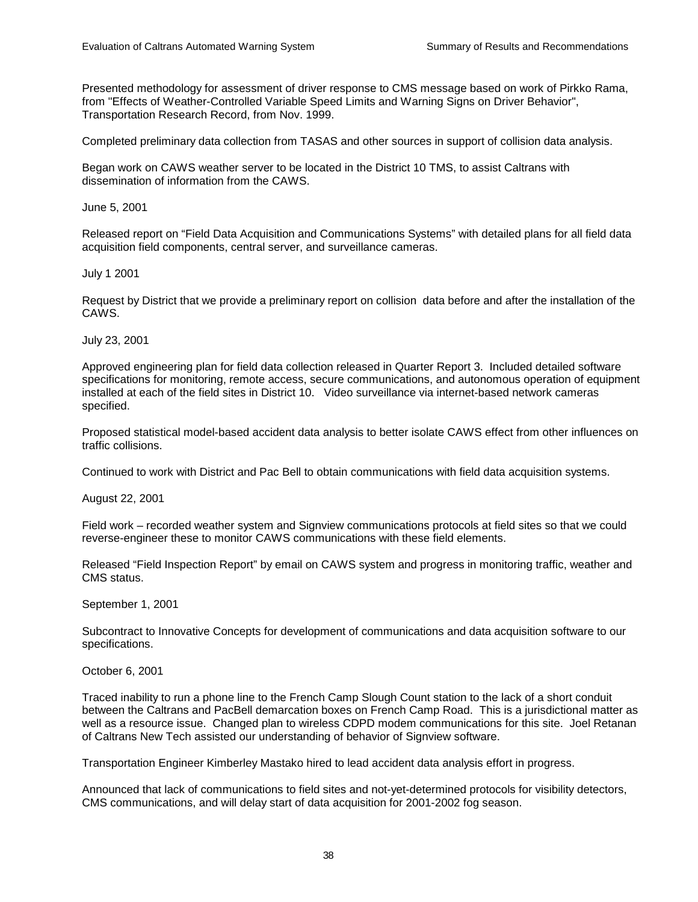Presented methodology for assessment of driver response to CMS message based on work of Pirkko Rama, from "Effects of Weather-Controlled Variable Speed Limits and Warning Signs on Driver Behavior", Transportation Research Record, from Nov. 1999.

Completed preliminary data collection from TASAS and other sources in support of collision data analysis.

Began work on CAWS weather server to be located in the District 10 TMS, to assist Caltrans with dissemination of information from the CAWS.

June 5, 2001

Released report on "Field Data Acquisition and Communications Systems" with detailed plans for all field data acquisition field components, central server, and surveillance cameras.

July 1 2001

Request by District that we provide a preliminary report on collision data before and after the installation of the CAWS.

July 23, 2001

Approved engineering plan for field data collection released in Quarter Report 3. Included detailed software specifications for monitoring, remote access, secure communications, and autonomous operation of equipment installed at each of the field sites in District 10. Video surveillance via internet-based network cameras specified.

Proposed statistical model-based accident data analysis to better isolate CAWS effect from other influences on traffic collisions.

Continued to work with District and Pac Bell to obtain communications with field data acquisition systems.

August 22, 2001

Field work – recorded weather system and Signview communications protocols at field sites so that we could reverse-engineer these to monitor CAWS communications with these field elements.

Released "Field Inspection Report" by email on CAWS system and progress in monitoring traffic, weather and CMS status.

September 1, 2001

Subcontract to Innovative Concepts for development of communications and data acquisition software to our specifications.

October 6, 2001

Traced inability to run a phone line to the French Camp Slough Count station to the lack of a short conduit between the Caltrans and PacBell demarcation boxes on French Camp Road. This is a jurisdictional matter as well as a resource issue. Changed plan to wireless CDPD modem communications for this site. Joel Retanan of Caltrans New Tech assisted our understanding of behavior of Signview software.

Transportation Engineer Kimberley Mastako hired to lead accident data analysis effort in progress.

Announced that lack of communications to field sites and not-yet-determined protocols for visibility detectors, CMS communications, and will delay start of data acquisition for 2001-2002 fog season.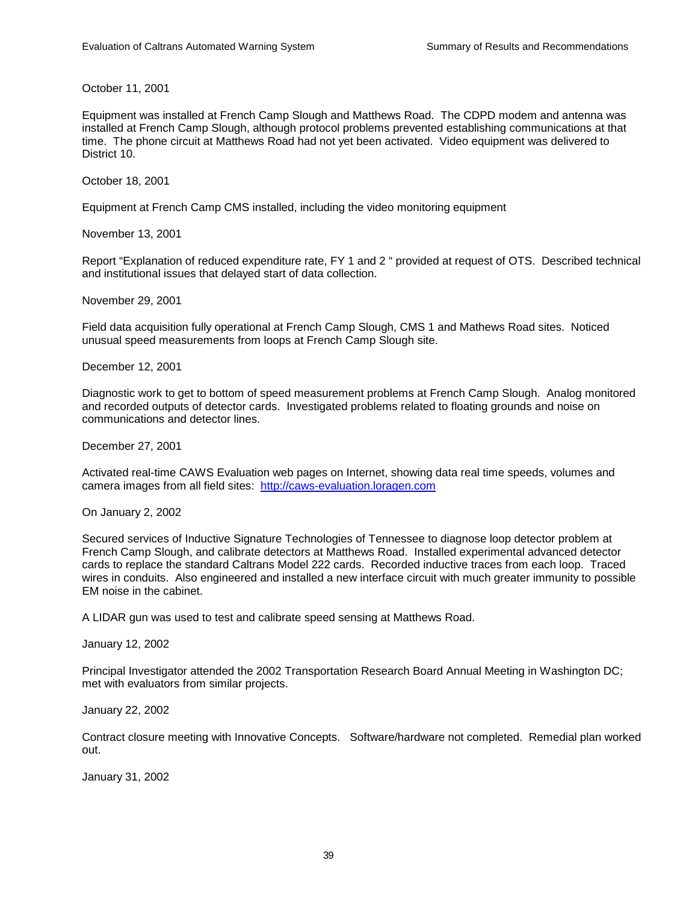October 11, 2001

Equipment was installed at French Camp Slough and Matthews Road. The CDPD modem and antenna was installed at French Camp Slough, although protocol problems prevented establishing communications at that time. The phone circuit at Matthews Road had not yet been activated. Video equipment was delivered to District 10.

October 18, 2001

Equipment at French Camp CMS installed, including the video monitoring equipment

November 13, 2001

Report "Explanation of reduced expenditure rate, FY 1 and 2 " provided at request of OTS. Described technical and institutional issues that delayed start of data collection.

November 29, 2001

Field data acquisition fully operational at French Camp Slough, CMS 1 and Mathews Road sites. Noticed unusual speed measurements from loops at French Camp Slough site.

December 12, 2001

Diagnostic work to get to bottom of speed measurement problems at French Camp Slough. Analog monitored and recorded outputs of detector cards. Investigated problems related to floating grounds and noise on communications and detector lines.

December 27, 2001

Activated real-time CAWS Evaluation web pages on Internet, showing data real time speeds, volumes and camera images from all field sites: http://caws-evaluation.loragen.com

On January 2, 2002

Secured services of Inductive Signature Technologies of Tennessee to diagnose loop detector problem at French Camp Slough, and calibrate detectors at Matthews Road. Installed experimental advanced detector cards to replace the standard Caltrans Model 222 cards. Recorded inductive traces from each loop. Traced wires in conduits. Also engineered and installed a new interface circuit with much greater immunity to possible EM noise in the cabinet.

A LIDAR gun was used to test and calibrate speed sensing at Matthews Road.

January 12, 2002

Principal Investigator attended the 2002 Transportation Research Board Annual Meeting in Washington DC; met with evaluators from similar projects.

January 22, 2002

Contract closure meeting with Innovative Concepts. Software/hardware not completed. Remedial plan worked out.

January 31, 2002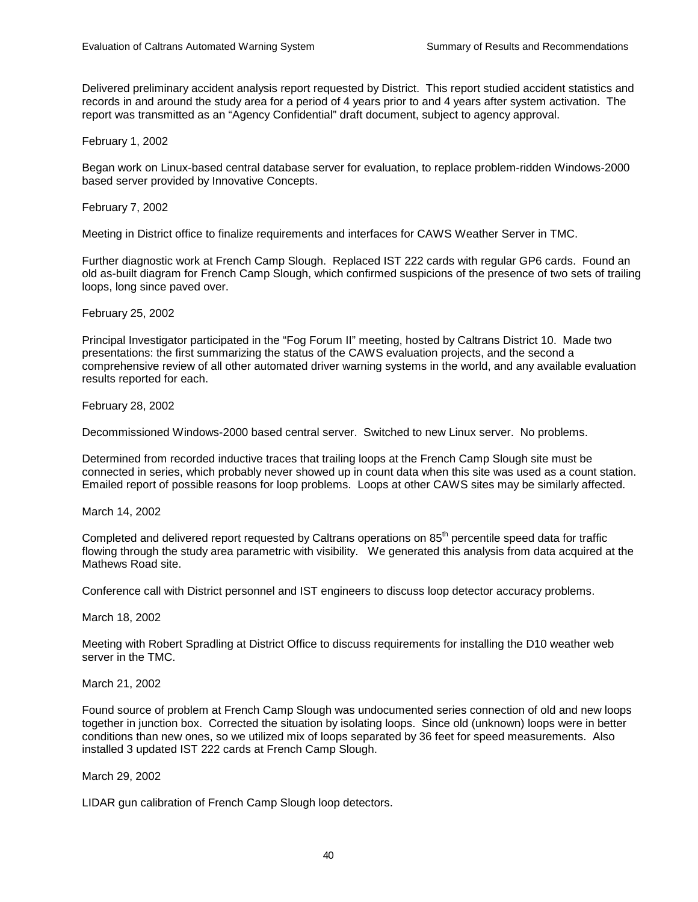Delivered preliminary accident analysis report requested by District. This report studied accident statistics and records in and around the study area for a period of 4 years prior to and 4 years after system activation. The report was transmitted as an "Agency Confidential" draft document, subject to agency approval.

February 1, 2002

Began work on Linux-based central database server for evaluation, to replace problem-ridden Windows-2000 based server provided by Innovative Concepts.

## February 7, 2002

Meeting in District office to finalize requirements and interfaces for CAWS Weather Server in TMC.

Further diagnostic work at French Camp Slough. Replaced IST 222 cards with regular GP6 cards. Found an old as-built diagram for French Camp Slough, which confirmed suspicions of the presence of two sets of trailing loops, long since paved over.

February 25, 2002

Principal Investigator participated in the "Fog Forum II" meeting, hosted by Caltrans District 10. Made two presentations: the first summarizing the status of the CAWS evaluation projects, and the second a comprehensive review of all other automated driver warning systems in the world, and any available evaluation results reported for each.

February 28, 2002

Decommissioned Windows-2000 based central server. Switched to new Linux server. No problems.

Determined from recorded inductive traces that trailing loops at the French Camp Slough site must be connected in series, which probably never showed up in count data when this site was used as a count station. Emailed report of possible reasons for loop problems. Loops at other CAWS sites may be similarly affected.

March 14, 2002

Completed and delivered report requested by Caltrans operations on 85<sup>th</sup> percentile speed data for traffic flowing through the study area parametric with visibility. We generated this analysis from data acquired at the Mathews Road site.

Conference call with District personnel and IST engineers to discuss loop detector accuracy problems.

March 18, 2002

Meeting with Robert Spradling at District Office to discuss requirements for installing the D10 weather web server in the TMC.

March 21, 2002

Found source of problem at French Camp Slough was undocumented series connection of old and new loops together in junction box. Corrected the situation by isolating loops. Since old (unknown) loops were in better conditions than new ones, so we utilized mix of loops separated by 36 feet for speed measurements. Also installed 3 updated IST 222 cards at French Camp Slough.

March 29, 2002

LIDAR gun calibration of French Camp Slough loop detectors.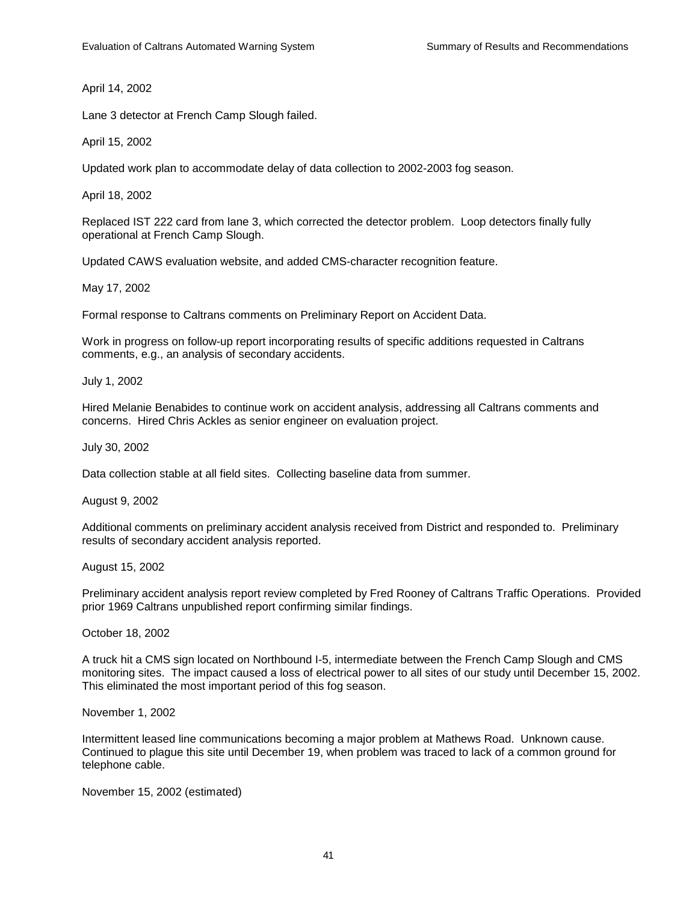April 14, 2002

Lane 3 detector at French Camp Slough failed.

April 15, 2002

Updated work plan to accommodate delay of data collection to 2002-2003 fog season.

April 18, 2002

Replaced IST 222 card from lane 3, which corrected the detector problem. Loop detectors finally fully operational at French Camp Slough.

Updated CAWS evaluation website, and added CMS-character recognition feature.

May 17, 2002

Formal response to Caltrans comments on Preliminary Report on Accident Data.

Work in progress on follow-up report incorporating results of specific additions requested in Caltrans comments, e.g., an analysis of secondary accidents.

July 1, 2002

Hired Melanie Benabides to continue work on accident analysis, addressing all Caltrans comments and concerns. Hired Chris Ackles as senior engineer on evaluation project.

July 30, 2002

Data collection stable at all field sites. Collecting baseline data from summer.

August 9, 2002

Additional comments on preliminary accident analysis received from District and responded to. Preliminary results of secondary accident analysis reported.

August 15, 2002

Preliminary accident analysis report review completed by Fred Rooney of Caltrans Traffic Operations. Provided prior 1969 Caltrans unpublished report confirming similar findings.

October 18, 2002

A truck hit a CMS sign located on Northbound I-5, intermediate between the French Camp Slough and CMS monitoring sites. The impact caused a loss of electrical power to all sites of our study until December 15, 2002. This eliminated the most important period of this fog season.

November 1, 2002

Intermittent leased line communications becoming a major problem at Mathews Road. Unknown cause. Continued to plague this site until December 19, when problem was traced to lack of a common ground for telephone cable.

November 15, 2002 (estimated)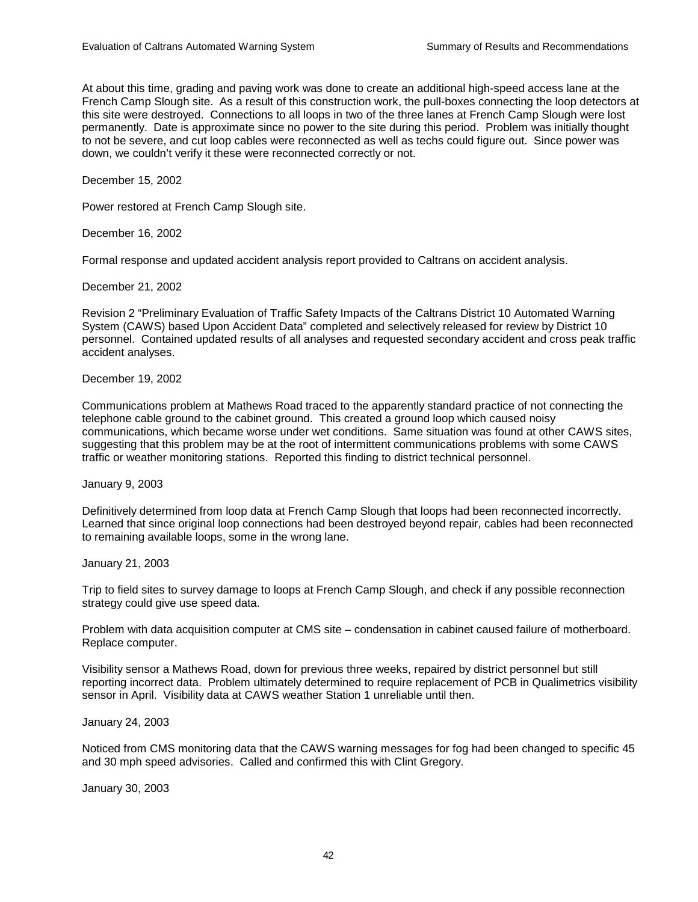At about this time, grading and paving work was done to create an additional high-speed access lane at the French Camp Slough site. As a result of this construction work, the pull-boxes connecting the loop detectors at this site were destroyed. Connections to all loops in two of the three lanes at French Camp Slough were lost permanently. Date is approximate since no power to the site during this period. Problem was initially thought to not be severe, and cut loop cables were reconnected as well as techs could figure out. Since power was down, we couldn't verify it these were reconnected correctly or not.

December 15, 2002

Power restored at French Camp Slough site.

December 16, 2002

Formal response and updated accident analysis report provided to Caltrans on accident analysis.

December 21, 2002

Revision 2 "Preliminary Evaluation of Traffic Safety Impacts of the Caltrans District 10 Automated Warning System (CAWS) based Upon Accident Data" completed and selectively released for review by District 10 personnel. Contained updated results of all analyses and requested secondary accident and cross peak traffic accident analyses.

December 19, 2002

Communications problem at Mathews Road traced to the apparently standard practice of not connecting the telephone cable ground to the cabinet ground. This created a ground loop which caused noisy communications, which became worse under wet conditions. Same situation was found at other CAWS sites, suggesting that this problem may be at the root of intermittent communications problems with some CAWS traffic or weather monitoring stations. Reported this finding to district technical personnel.

January 9, 2003

Definitively determined from loop data at French Camp Slough that loops had been reconnected incorrectly. Learned that since original loop connections had been destroyed beyond repair, cables had been reconnected to remaining available loops, some in the wrong lane.

January 21, 2003

Trip to field sites to survey damage to loops at French Camp Slough, and check if any possible reconnection strategy could give use speed data.

Problem with data acquisition computer at CMS site – condensation in cabinet caused failure of motherboard. Replace computer.

Visibility sensor a Mathews Road, down for previous three weeks, repaired by district personnel but still reporting incorrect data. Problem ultimately determined to require replacement of PCB in Qualimetrics visibility sensor in April. Visibility data at CAWS weather Station 1 unreliable until then.

January 24, 2003

Noticed from CMS monitoring data that the CAWS warning messages for fog had been changed to specific 45 and 30 mph speed advisories. Called and confirmed this with Clint Gregory.

January 30, 2003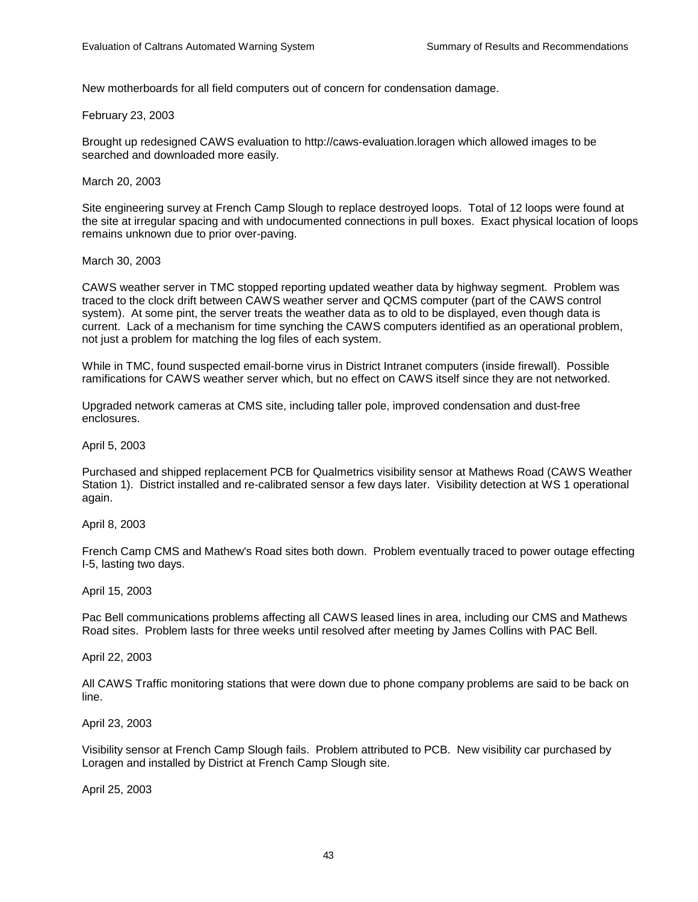New motherboards for all field computers out of concern for condensation damage.

### February 23, 2003

Brought up redesigned CAWS evaluation to http://caws-evaluation.loragen which allowed images to be searched and downloaded more easily.

March 20, 2003

Site engineering survey at French Camp Slough to replace destroyed loops. Total of 12 loops were found at the site at irregular spacing and with undocumented connections in pull boxes. Exact physical location of loops remains unknown due to prior over-paving.

### March 30, 2003

CAWS weather server in TMC stopped reporting updated weather data by highway segment. Problem was traced to the clock drift between CAWS weather server and QCMS computer (part of the CAWS control system). At some pint, the server treats the weather data as to old to be displayed, even though data is current. Lack of a mechanism for time synching the CAWS computers identified as an operational problem, not just a problem for matching the log files of each system.

While in TMC, found suspected email-borne virus in District Intranet computers (inside firewall). Possible ramifications for CAWS weather server which, but no effect on CAWS itself since they are not networked.

Upgraded network cameras at CMS site, including taller pole, improved condensation and dust-free enclosures.

### April 5, 2003

Purchased and shipped replacement PCB for Qualmetrics visibility sensor at Mathews Road (CAWS Weather Station 1). District installed and re-calibrated sensor a few days later. Visibility detection at WS 1 operational again.

### April 8, 2003

French Camp CMS and Mathew's Road sites both down. Problem eventually traced to power outage effecting I-5, lasting two days.

### April 15, 2003

Pac Bell communications problems affecting all CAWS leased lines in area, including our CMS and Mathews Road sites. Problem lasts for three weeks until resolved after meeting by James Collins with PAC Bell.

### April 22, 2003

All CAWS Traffic monitoring stations that were down due to phone company problems are said to be back on line.

### April 23, 2003

Visibility sensor at French Camp Slough fails. Problem attributed to PCB. New visibility car purchased by Loragen and installed by District at French Camp Slough site.

April 25, 2003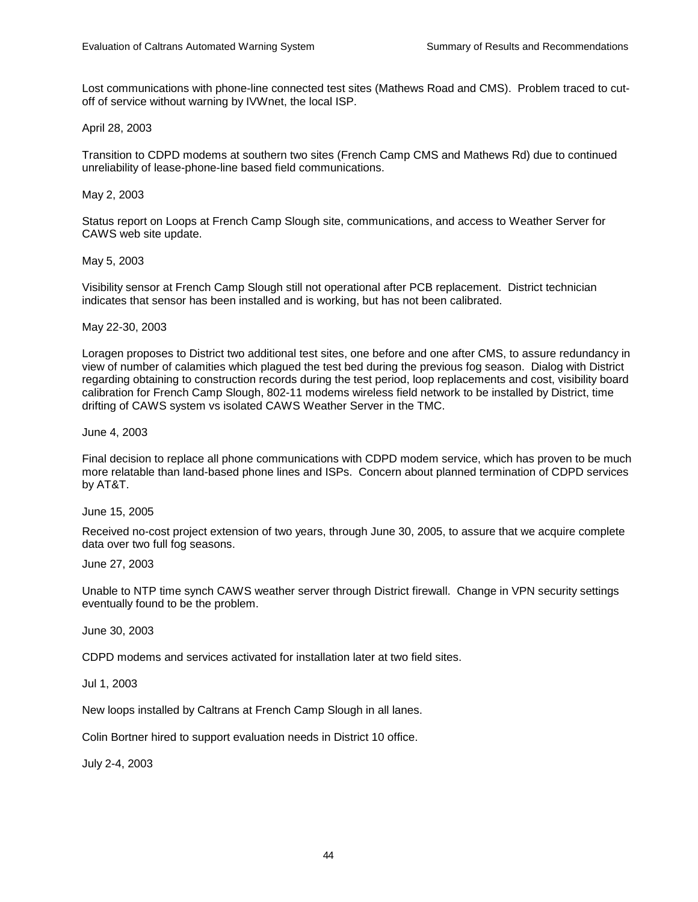Lost communications with phone-line connected test sites (Mathews Road and CMS). Problem traced to cutoff of service without warning by IVWnet, the local ISP.

### April 28, 2003

Transition to CDPD modems at southern two sites (French Camp CMS and Mathews Rd) due to continued unreliability of lease-phone-line based field communications.

### May 2, 2003

Status report on Loops at French Camp Slough site, communications, and access to Weather Server for CAWS web site update.

### May 5, 2003

Visibility sensor at French Camp Slough still not operational after PCB replacement. District technician indicates that sensor has been installed and is working, but has not been calibrated.

### May 22-30, 2003

Loragen proposes to District two additional test sites, one before and one after CMS, to assure redundancy in view of number of calamities which plagued the test bed during the previous fog season. Dialog with District regarding obtaining to construction records during the test period, loop replacements and cost, visibility board calibration for French Camp Slough, 802-11 modems wireless field network to be installed by District, time drifting of CAWS system vs isolated CAWS Weather Server in the TMC.

June 4, 2003

Final decision to replace all phone communications with CDPD modem service, which has proven to be much more relatable than land-based phone lines and ISPs. Concern about planned termination of CDPD services by AT&T.

June 15, 2005

Received no-cost project extension of two years, through June 30, 2005, to assure that we acquire complete data over two full fog seasons.

June 27, 2003

Unable to NTP time synch CAWS weather server through District firewall. Change in VPN security settings eventually found to be the problem.

June 30, 2003

CDPD modems and services activated for installation later at two field sites.

Jul 1, 2003

New loops installed by Caltrans at French Camp Slough in all lanes.

Colin Bortner hired to support evaluation needs in District 10 office.

July 2-4, 2003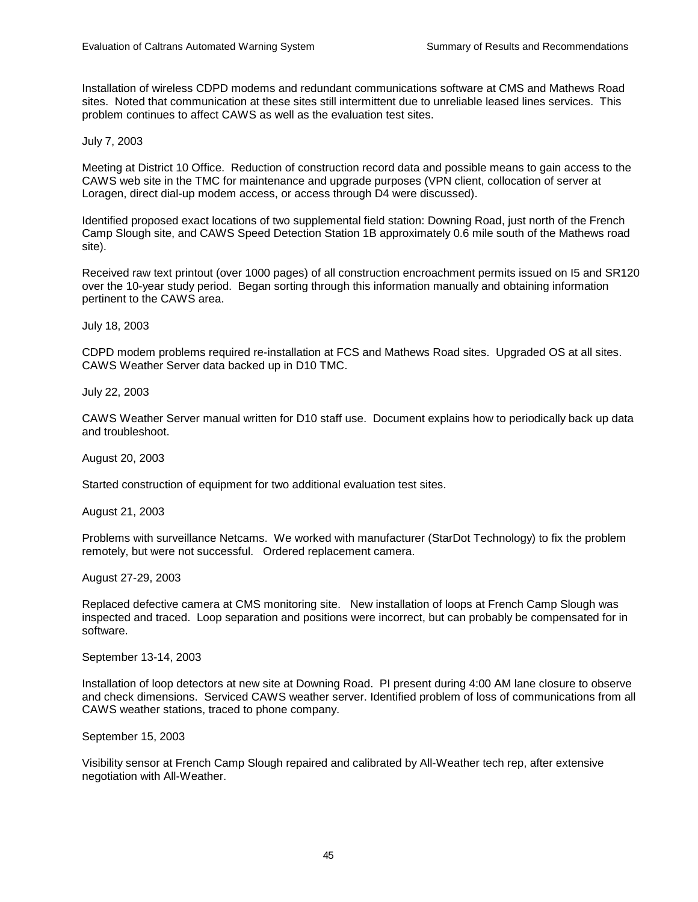Installation of wireless CDPD modems and redundant communications software at CMS and Mathews Road sites. Noted that communication at these sites still intermittent due to unreliable leased lines services. This problem continues to affect CAWS as well as the evaluation test sites.

July 7, 2003

Meeting at District 10 Office. Reduction of construction record data and possible means to gain access to the CAWS web site in the TMC for maintenance and upgrade purposes (VPN client, collocation of server at Loragen, direct dial-up modem access, or access through D4 were discussed).

Identified proposed exact locations of two supplemental field station: Downing Road, just north of the French Camp Slough site, and CAWS Speed Detection Station 1B approximately 0.6 mile south of the Mathews road site).

Received raw text printout (over 1000 pages) of all construction encroachment permits issued on I5 and SR120 over the 10-year study period. Began sorting through this information manually and obtaining information pertinent to the CAWS area.

July 18, 2003

CDPD modem problems required re-installation at FCS and Mathews Road sites. Upgraded OS at all sites. CAWS Weather Server data backed up in D10 TMC.

July 22, 2003

CAWS Weather Server manual written for D10 staff use. Document explains how to periodically back up data and troubleshoot.

August 20, 2003

Started construction of equipment for two additional evaluation test sites.

August 21, 2003

Problems with surveillance Netcams. We worked with manufacturer (StarDot Technology) to fix the problem remotely, but were not successful. Ordered replacement camera.

August 27-29, 2003

Replaced defective camera at CMS monitoring site. New installation of loops at French Camp Slough was inspected and traced. Loop separation and positions were incorrect, but can probably be compensated for in software.

September 13-14, 2003

Installation of loop detectors at new site at Downing Road. PI present during 4:00 AM lane closure to observe and check dimensions. Serviced CAWS weather server. Identified problem of loss of communications from all CAWS weather stations, traced to phone company.

September 15, 2003

Visibility sensor at French Camp Slough repaired and calibrated by All-Weather tech rep, after extensive negotiation with All-Weather.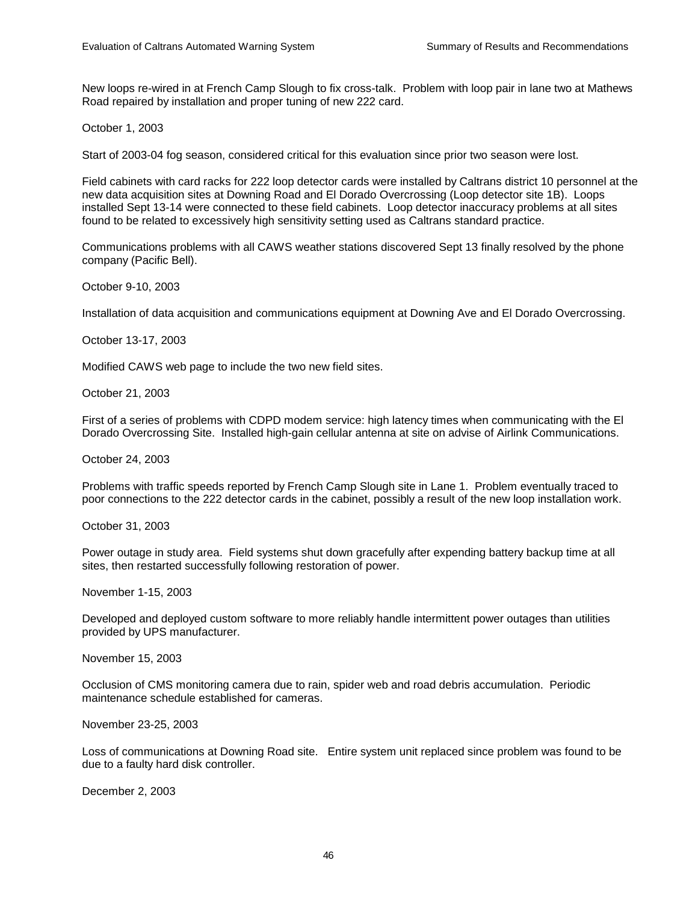New loops re-wired in at French Camp Slough to fix cross-talk. Problem with loop pair in lane two at Mathews Road repaired by installation and proper tuning of new 222 card.

October 1, 2003

Start of 2003-04 fog season, considered critical for this evaluation since prior two season were lost.

Field cabinets with card racks for 222 loop detector cards were installed by Caltrans district 10 personnel at the new data acquisition sites at Downing Road and El Dorado Overcrossing (Loop detector site 1B). Loops installed Sept 13-14 were connected to these field cabinets. Loop detector inaccuracy problems at all sites found to be related to excessively high sensitivity setting used as Caltrans standard practice.

Communications problems with all CAWS weather stations discovered Sept 13 finally resolved by the phone company (Pacific Bell).

October 9-10, 2003

Installation of data acquisition and communications equipment at Downing Ave and El Dorado Overcrossing.

October 13-17, 2003

Modified CAWS web page to include the two new field sites.

October 21, 2003

First of a series of problems with CDPD modem service: high latency times when communicating with the El Dorado Overcrossing Site. Installed high-gain cellular antenna at site on advise of Airlink Communications.

October 24, 2003

Problems with traffic speeds reported by French Camp Slough site in Lane 1. Problem eventually traced to poor connections to the 222 detector cards in the cabinet, possibly a result of the new loop installation work.

October 31, 2003

Power outage in study area. Field systems shut down gracefully after expending battery backup time at all sites, then restarted successfully following restoration of power.

November 1-15, 2003

Developed and deployed custom software to more reliably handle intermittent power outages than utilities provided by UPS manufacturer.

November 15, 2003

Occlusion of CMS monitoring camera due to rain, spider web and road debris accumulation. Periodic maintenance schedule established for cameras.

November 23-25, 2003

Loss of communications at Downing Road site. Entire system unit replaced since problem was found to be due to a faulty hard disk controller.

December 2, 2003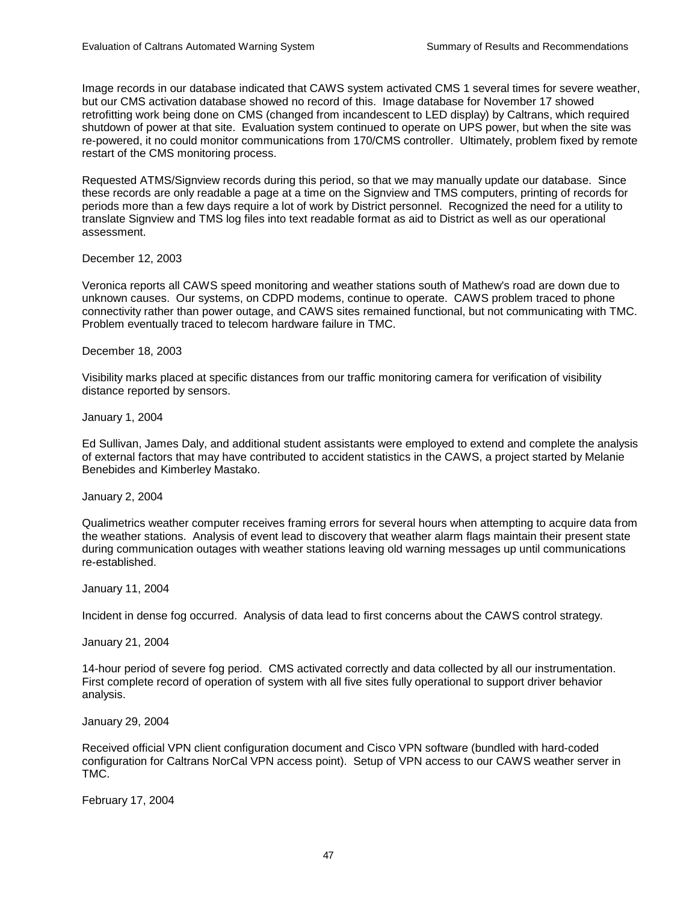Image records in our database indicated that CAWS system activated CMS 1 several times for severe weather, but our CMS activation database showed no record of this. Image database for November 17 showed retrofitting work being done on CMS (changed from incandescent to LED display) by Caltrans, which required shutdown of power at that site. Evaluation system continued to operate on UPS power, but when the site was re-powered, it no could monitor communications from 170/CMS controller. Ultimately, problem fixed by remote restart of the CMS monitoring process.

Requested ATMS/Signview records during this period, so that we may manually update our database. Since these records are only readable a page at a time on the Signview and TMS computers, printing of records for periods more than a few days require a lot of work by District personnel. Recognized the need for a utility to translate Signview and TMS log files into text readable format as aid to District as well as our operational assessment.

December 12, 2003

Veronica reports all CAWS speed monitoring and weather stations south of Mathew's road are down due to unknown causes. Our systems, on CDPD modems, continue to operate. CAWS problem traced to phone connectivity rather than power outage, and CAWS sites remained functional, but not communicating with TMC. Problem eventually traced to telecom hardware failure in TMC.

December 18, 2003

Visibility marks placed at specific distances from our traffic monitoring camera for verification of visibility distance reported by sensors.

January 1, 2004

Ed Sullivan, James Daly, and additional student assistants were employed to extend and complete the analysis of external factors that may have contributed to accident statistics in the CAWS, a project started by Melanie Benebides and Kimberley Mastako.

January 2, 2004

Qualimetrics weather computer receives framing errors for several hours when attempting to acquire data from the weather stations. Analysis of event lead to discovery that weather alarm flags maintain their present state during communication outages with weather stations leaving old warning messages up until communications re-established.

January 11, 2004

Incident in dense fog occurred. Analysis of data lead to first concerns about the CAWS control strategy.

January 21, 2004

14-hour period of severe fog period. CMS activated correctly and data collected by all our instrumentation. First complete record of operation of system with all five sites fully operational to support driver behavior analysis.

January 29, 2004

Received official VPN client configuration document and Cisco VPN software (bundled with hard-coded configuration for Caltrans NorCal VPN access point). Setup of VPN access to our CAWS weather server in TMC.

February 17, 2004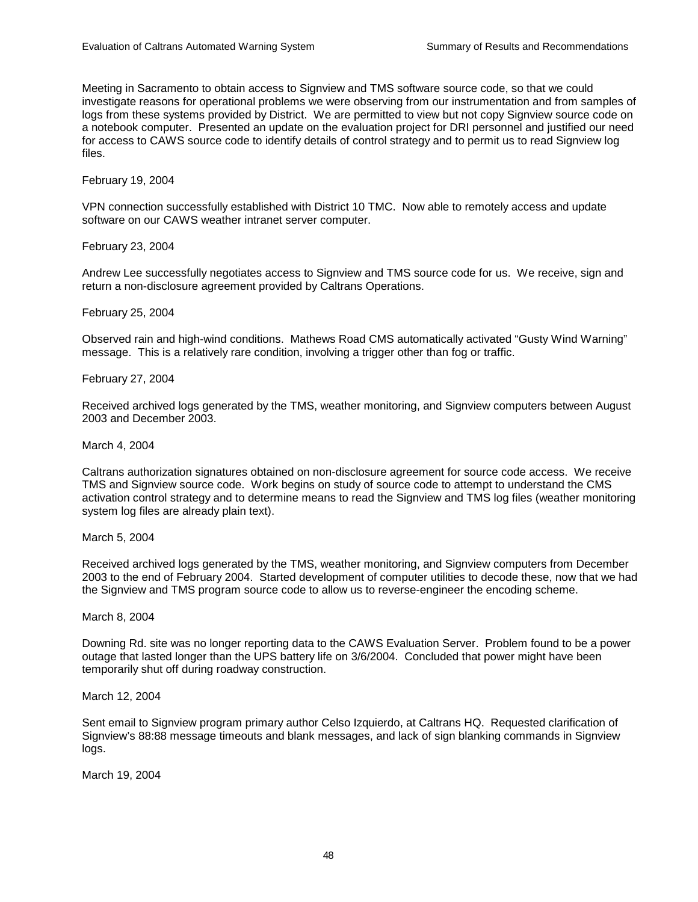Meeting in Sacramento to obtain access to Signview and TMS software source code, so that we could investigate reasons for operational problems we were observing from our instrumentation and from samples of logs from these systems provided by District. We are permitted to view but not copy Signview source code on a notebook computer. Presented an update on the evaluation project for DRI personnel and justified our need for access to CAWS source code to identify details of control strategy and to permit us to read Signview log files.

February 19, 2004

VPN connection successfully established with District 10 TMC. Now able to remotely access and update software on our CAWS weather intranet server computer.

February 23, 2004

Andrew Lee successfully negotiates access to Signview and TMS source code for us. We receive, sign and return a non-disclosure agreement provided by Caltrans Operations.

February 25, 2004

Observed rain and high-wind conditions. Mathews Road CMS automatically activated "Gusty Wind Warning" message. This is a relatively rare condition, involving a trigger other than fog or traffic.

February 27, 2004

Received archived logs generated by the TMS, weather monitoring, and Signview computers between August 2003 and December 2003.

March 4, 2004

Caltrans authorization signatures obtained on non-disclosure agreement for source code access. We receive TMS and Signview source code. Work begins on study of source code to attempt to understand the CMS activation control strategy and to determine means to read the Signview and TMS log files (weather monitoring system log files are already plain text).

March 5, 2004

Received archived logs generated by the TMS, weather monitoring, and Signview computers from December 2003 to the end of February 2004. Started development of computer utilities to decode these, now that we had the Signview and TMS program source code to allow us to reverse-engineer the encoding scheme.

March 8, 2004

Downing Rd. site was no longer reporting data to the CAWS Evaluation Server. Problem found to be a power outage that lasted longer than the UPS battery life on 3/6/2004. Concluded that power might have been temporarily shut off during roadway construction.

March 12, 2004

Sent email to Signview program primary author Celso Izquierdo, at Caltrans HQ. Requested clarification of Signview's 88:88 message timeouts and blank messages, and lack of sign blanking commands in Signview logs.

March 19, 2004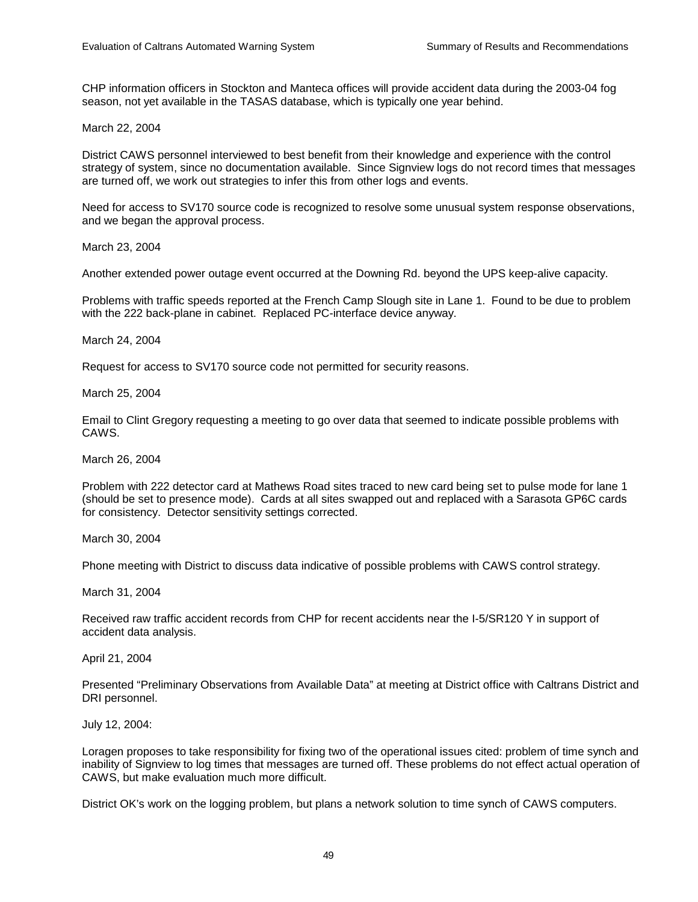CHP information officers in Stockton and Manteca offices will provide accident data during the 2003-04 fog season, not yet available in the TASAS database, which is typically one year behind.

March 22, 2004

District CAWS personnel interviewed to best benefit from their knowledge and experience with the control strategy of system, since no documentation available. Since Signview logs do not record times that messages are turned off, we work out strategies to infer this from other logs and events.

Need for access to SV170 source code is recognized to resolve some unusual system response observations, and we began the approval process.

March 23, 2004

Another extended power outage event occurred at the Downing Rd. beyond the UPS keep-alive capacity.

Problems with traffic speeds reported at the French Camp Slough site in Lane 1. Found to be due to problem with the 222 back-plane in cabinet. Replaced PC-interface device anyway.

March 24, 2004

Request for access to SV170 source code not permitted for security reasons.

March 25, 2004

Email to Clint Gregory requesting a meeting to go over data that seemed to indicate possible problems with CAWS.

March 26, 2004

Problem with 222 detector card at Mathews Road sites traced to new card being set to pulse mode for lane 1 (should be set to presence mode). Cards at all sites swapped out and replaced with a Sarasota GP6C cards for consistency. Detector sensitivity settings corrected.

March 30, 2004

Phone meeting with District to discuss data indicative of possible problems with CAWS control strategy.

March 31, 2004

Received raw traffic accident records from CHP for recent accidents near the I-5/SR120 Y in support of accident data analysis.

April 21, 2004

Presented "Preliminary Observations from Available Data" at meeting at District office with Caltrans District and DRI personnel.

July 12, 2004:

Loragen proposes to take responsibility for fixing two of the operational issues cited: problem of time synch and inability of Signview to log times that messages are turned off. These problems do not effect actual operation of CAWS, but make evaluation much more difficult.

District OK's work on the logging problem, but plans a network solution to time synch of CAWS computers.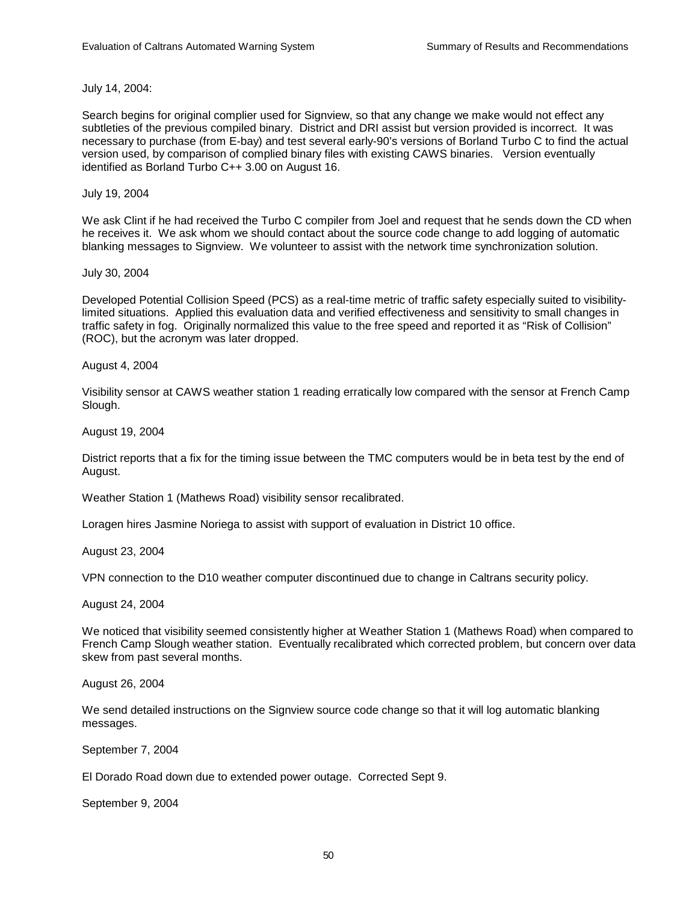July 14, 2004:

Search begins for original complier used for Signview, so that any change we make would not effect any subtleties of the previous compiled binary. District and DRI assist but version provided is incorrect. It was necessary to purchase (from E-bay) and test several early-90's versions of Borland Turbo C to find the actual version used, by comparison of complied binary files with existing CAWS binaries. Version eventually identified as Borland Turbo C++ 3.00 on August 16.

### July 19, 2004

We ask Clint if he had received the Turbo C compiler from Joel and request that he sends down the CD when he receives it. We ask whom we should contact about the source code change to add logging of automatic blanking messages to Signview. We volunteer to assist with the network time synchronization solution.

July 30, 2004

Developed Potential Collision Speed (PCS) as a real-time metric of traffic safety especially suited to visibilitylimited situations. Applied this evaluation data and verified effectiveness and sensitivity to small changes in traffic safety in fog. Originally normalized this value to the free speed and reported it as "Risk of Collision" (ROC), but the acronym was later dropped.

August 4, 2004

Visibility sensor at CAWS weather station 1 reading erratically low compared with the sensor at French Camp Slough.

August 19, 2004

District reports that a fix for the timing issue between the TMC computers would be in beta test by the end of August.

Weather Station 1 (Mathews Road) visibility sensor recalibrated.

Loragen hires Jasmine Noriega to assist with support of evaluation in District 10 office.

August 23, 2004

VPN connection to the D10 weather computer discontinued due to change in Caltrans security policy.

August 24, 2004

We noticed that visibility seemed consistently higher at Weather Station 1 (Mathews Road) when compared to French Camp Slough weather station. Eventually recalibrated which corrected problem, but concern over data skew from past several months.

August 26, 2004

We send detailed instructions on the Signview source code change so that it will log automatic blanking messages.

September 7, 2004

El Dorado Road down due to extended power outage. Corrected Sept 9.

September 9, 2004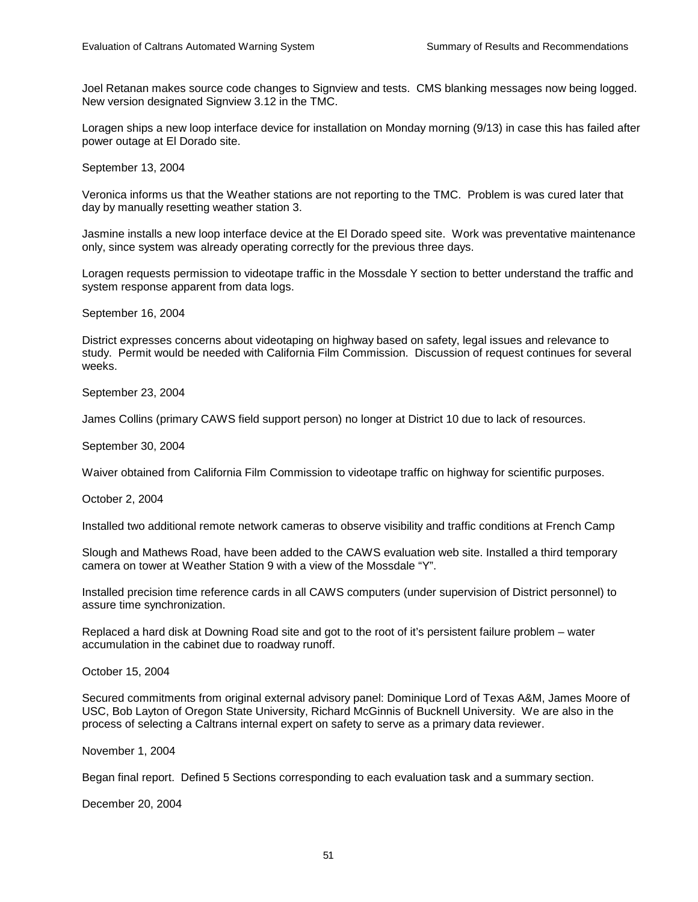Joel Retanan makes source code changes to Signview and tests. CMS blanking messages now being logged. New version designated Signview 3.12 in the TMC.

Loragen ships a new loop interface device for installation on Monday morning (9/13) in case this has failed after power outage at El Dorado site.

September 13, 2004

Veronica informs us that the Weather stations are not reporting to the TMC. Problem is was cured later that day by manually resetting weather station 3.

Jasmine installs a new loop interface device at the El Dorado speed site. Work was preventative maintenance only, since system was already operating correctly for the previous three days.

Loragen requests permission to videotape traffic in the Mossdale Y section to better understand the traffic and system response apparent from data logs.

September 16, 2004

District expresses concerns about videotaping on highway based on safety, legal issues and relevance to study. Permit would be needed with California Film Commission. Discussion of request continues for several weeks.

September 23, 2004

James Collins (primary CAWS field support person) no longer at District 10 due to lack of resources.

September 30, 2004

Waiver obtained from California Film Commission to videotape traffic on highway for scientific purposes.

October 2, 2004

Installed two additional remote network cameras to observe visibility and traffic conditions at French Camp

Slough and Mathews Road, have been added to the CAWS evaluation web site. Installed a third temporary camera on tower at Weather Station 9 with a view of the Mossdale "Y".

Installed precision time reference cards in all CAWS computers (under supervision of District personnel) to assure time synchronization.

Replaced a hard disk at Downing Road site and got to the root of it's persistent failure problem – water accumulation in the cabinet due to roadway runoff.

October 15, 2004

Secured commitments from original external advisory panel: Dominique Lord of Texas A&M, James Moore of USC, Bob Layton of Oregon State University, Richard McGinnis of Bucknell University. We are also in the process of selecting a Caltrans internal expert on safety to serve as a primary data reviewer.

November 1, 2004

Began final report. Defined 5 Sections corresponding to each evaluation task and a summary section.

December 20, 2004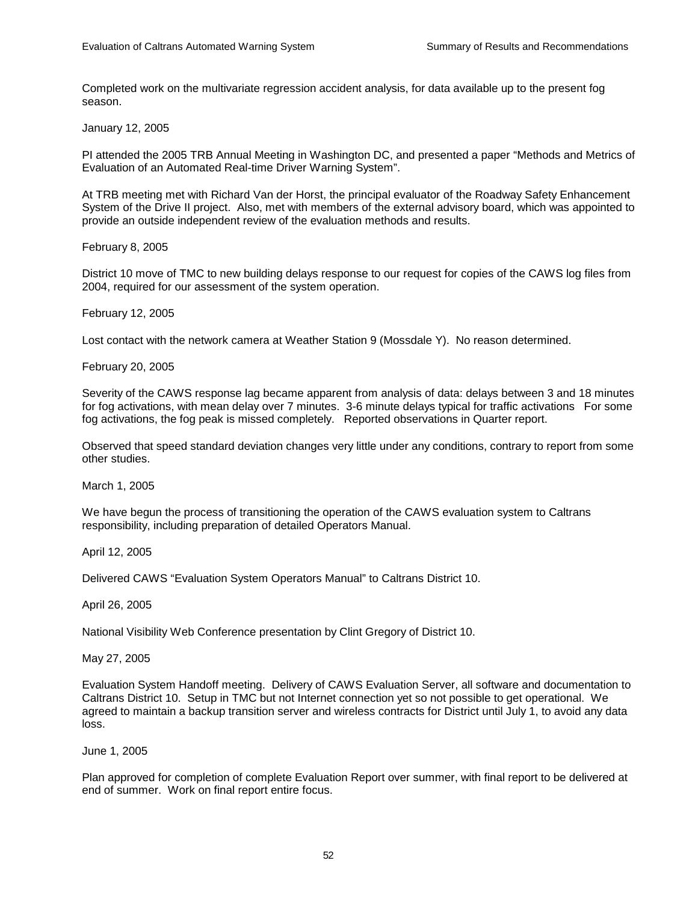Completed work on the multivariate regression accident analysis, for data available up to the present fog season.

January 12, 2005

PI attended the 2005 TRB Annual Meeting in Washington DC, and presented a paper "Methods and Metrics of Evaluation of an Automated Real-time Driver Warning System".

At TRB meeting met with Richard Van der Horst, the principal evaluator of the Roadway Safety Enhancement System of the Drive II project. Also, met with members of the external advisory board, which was appointed to provide an outside independent review of the evaluation methods and results.

February 8, 2005

District 10 move of TMC to new building delays response to our request for copies of the CAWS log files from 2004, required for our assessment of the system operation.

February 12, 2005

Lost contact with the network camera at Weather Station 9 (Mossdale Y). No reason determined.

February 20, 2005

Severity of the CAWS response lag became apparent from analysis of data: delays between 3 and 18 minutes for fog activations, with mean delay over 7 minutes. 3-6 minute delays typical for traffic activations For some fog activations, the fog peak is missed completely. Reported observations in Quarter report.

Observed that speed standard deviation changes very little under any conditions, contrary to report from some other studies.

March 1, 2005

We have begun the process of transitioning the operation of the CAWS evaluation system to Caltrans responsibility, including preparation of detailed Operators Manual.

April 12, 2005

Delivered CAWS "Evaluation System Operators Manual" to Caltrans District 10.

April 26, 2005

National Visibility Web Conference presentation by Clint Gregory of District 10.

May 27, 2005

Evaluation System Handoff meeting. Delivery of CAWS Evaluation Server, all software and documentation to Caltrans District 10. Setup in TMC but not Internet connection yet so not possible to get operational. We agreed to maintain a backup transition server and wireless contracts for District until July 1, to avoid any data loss.

June 1, 2005

Plan approved for completion of complete Evaluation Report over summer, with final report to be delivered at end of summer. Work on final report entire focus.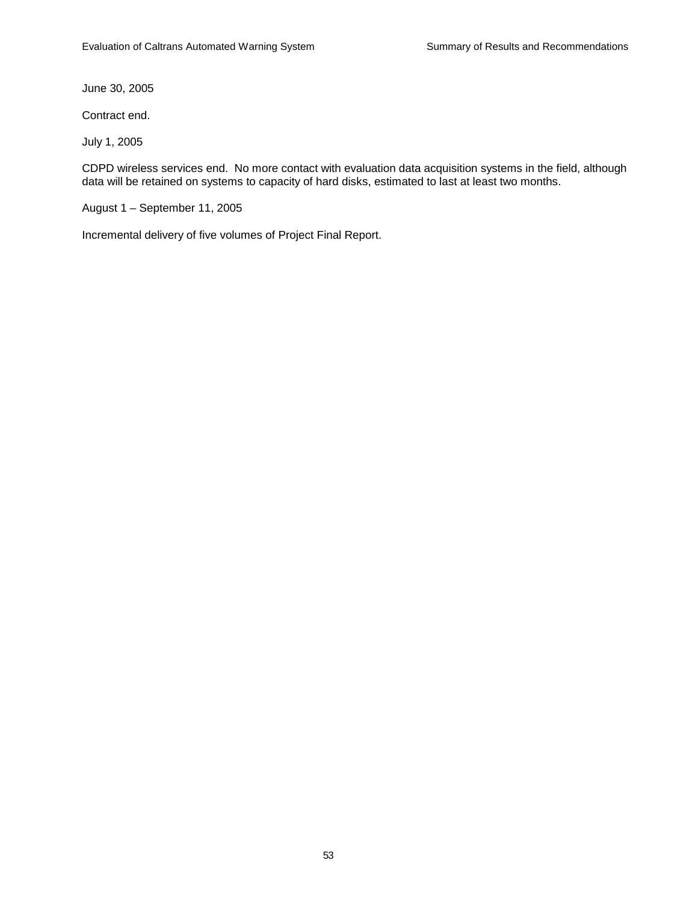June 30, 2005

Contract end.

July 1, 2005

CDPD wireless services end. No more contact with evaluation data acquisition systems in the field, although data will be retained on systems to capacity of hard disks, estimated to last at least two months.

August 1 – September 11, 2005

Incremental delivery of five volumes of Project Final Report.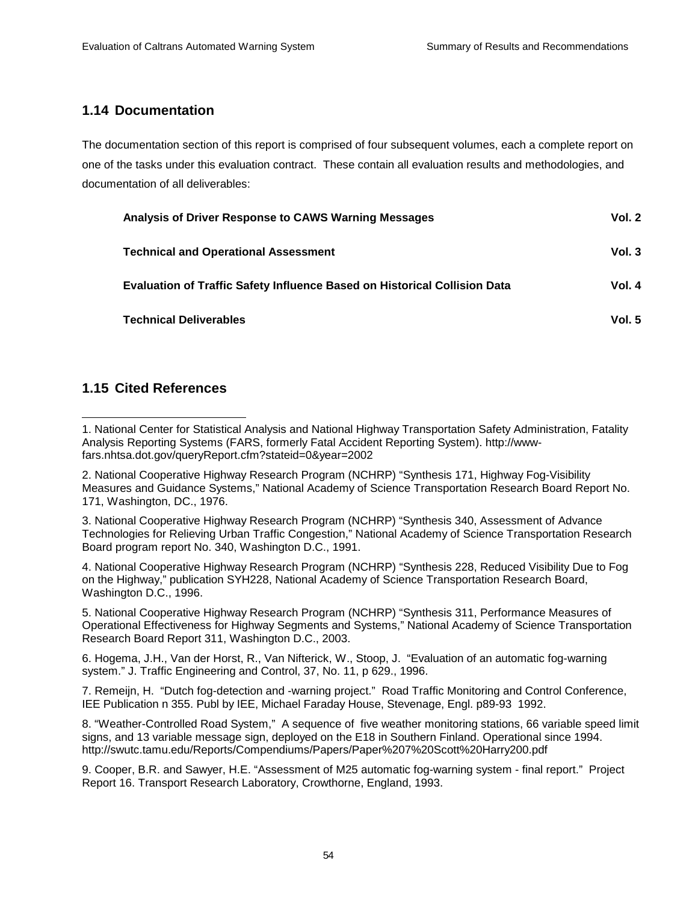# **1.14 Documentation**

The documentation section of this report is comprised of four subsequent volumes, each a complete report on one of the tasks under this evaluation contract. These contain all evaluation results and methodologies, and documentation of all deliverables:

| Analysis of Driver Response to CAWS Warning Messages                             | Vol. 2   |
|----------------------------------------------------------------------------------|----------|
| <b>Technical and Operational Assessment</b>                                      | Vol.3    |
| <b>Evaluation of Traffic Safety Influence Based on Historical Collision Data</b> | Vol. 4   |
| <b>Technical Deliverables</b>                                                    | Vol. $5$ |

# **1.15 Cited References**

2. National Cooperative Highway Research Program (NCHRP) "Synthesis 171, Highway Fog-Visibility Measures and Guidance Systems," National Academy of Science Transportation Research Board Report No. 171, Washington, DC., 1976.

3. National Cooperative Highway Research Program (NCHRP) "Synthesis 340, Assessment of Advance Technologies for Relieving Urban Traffic Congestion," National Academy of Science Transportation Research Board program report No. 340, Washington D.C., 1991.

4. National Cooperative Highway Research Program (NCHRP) "Synthesis 228, Reduced Visibility Due to Fog on the Highway," publication SYH228, National Academy of Science Transportation Research Board, Washington D.C., 1996.

5. National Cooperative Highway Research Program (NCHRP) "Synthesis 311, Performance Measures of Operational Effectiveness for Highway Segments and Systems," National Academy of Science Transportation Research Board Report 311, Washington D.C., 2003.

6. Hogema, J.H., Van der Horst, R., Van Nifterick, W., Stoop, J. "Evaluation of an automatic fog-warning system." J. Traffic Engineering and Control, 37, No. 11, p 629., 1996.

7. Remeijn, H. "Dutch fog-detection and -warning project." Road Traffic Monitoring and Control Conference, IEE Publication n 355. Publ by IEE, Michael Faraday House, Stevenage, Engl. p89-93 1992.

8. "Weather-Controlled Road System," A sequence of five weather monitoring stations, 66 variable speed limit signs, and 13 variable message sign, deployed on the E18 in Southern Finland. Operational since 1994. http://swutc.tamu.edu/Reports/Compendiums/Papers/Paper%207%20Scott%20Harry200.pdf

9. Cooper, B.R. and Sawyer, H.E. "Assessment of M25 automatic fog-warning system - final report." Project Report 16. Transport Research Laboratory, Crowthorne, England, 1993.

l 1. National Center for Statistical Analysis and National Highway Transportation Safety Administration, Fatality Analysis Reporting Systems (FARS, formerly Fatal Accident Reporting System). http://wwwfars.nhtsa.dot.gov/queryReport.cfm?stateid=0&year=2002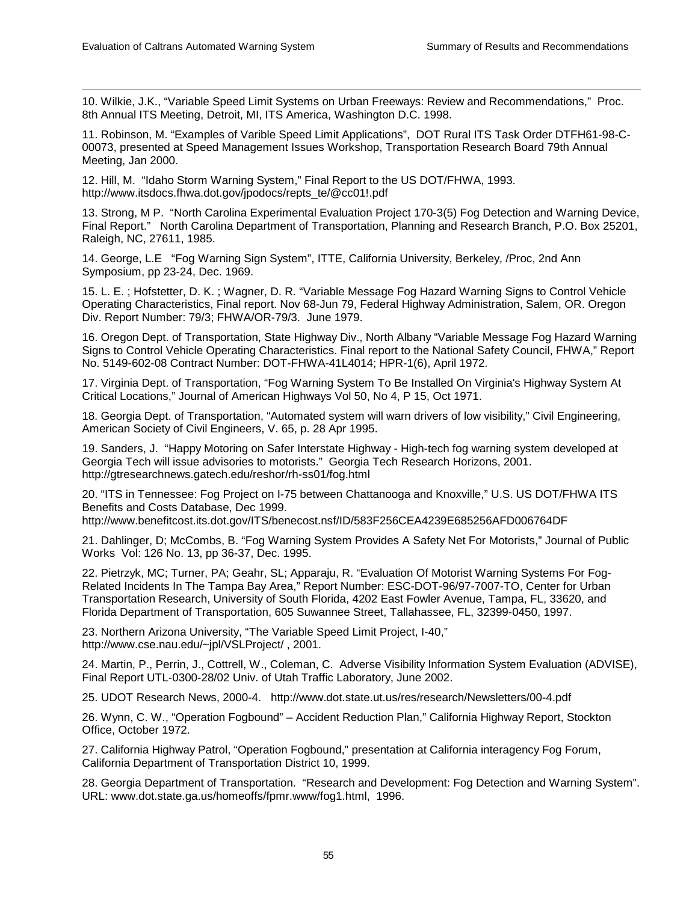l

10. Wilkie, J.K., "Variable Speed Limit Systems on Urban Freeways: Review and Recommendations," Proc. 8th Annual ITS Meeting, Detroit, MI, ITS America, Washington D.C. 1998.

11. Robinson, M. "Examples of Varible Speed Limit Applications", DOT Rural ITS Task Order DTFH61-98-C-00073, presented at Speed Management Issues Workshop, Transportation Research Board 79th Annual Meeting, Jan 2000.

12. Hill, M. "Idaho Storm Warning System," Final Report to the US DOT/FHWA, 1993. http://www.itsdocs.fhwa.dot.gov/jpodocs/repts\_te/@cc01!.pdf

13. Strong, M P. "North Carolina Experimental Evaluation Project 170-3(5) Fog Detection and Warning Device, Final Report." North Carolina Department of Transportation, Planning and Research Branch, P.O. Box 25201, Raleigh, NC, 27611, 1985.

14. George, L.E "Fog Warning Sign System", ITTE, California University, Berkeley, /Proc, 2nd Ann Symposium, pp 23-24, Dec. 1969.

15. L. E. ; Hofstetter, D. K. ; Wagner, D. R. "Variable Message Fog Hazard Warning Signs to Control Vehicle Operating Characteristics, Final report. Nov 68-Jun 79, Federal Highway Administration, Salem, OR. Oregon Div. Report Number: 79/3; FHWA/OR-79/3. June 1979.

16. Oregon Dept. of Transportation, State Highway Div., North Albany "Variable Message Fog Hazard Warning Signs to Control Vehicle Operating Characteristics. Final report to the National Safety Council, FHWA," Report No. 5149-602-08 Contract Number: DOT-FHWA-41L4014; HPR-1(6), April 1972.

17. Virginia Dept. of Transportation, "Fog Warning System To Be Installed On Virginia's Highway System At Critical Locations," Journal of American Highways Vol 50, No 4, P 15, Oct 1971.

18. Georgia Dept. of Transportation, "Automated system will warn drivers of low visibility," Civil Engineering, American Society of Civil Engineers, V. 65, p. 28 Apr 1995.

19. Sanders, J. "Happy Motoring on Safer Interstate Highway - High-tech fog warning system developed at Georgia Tech will issue advisories to motorists." Georgia Tech Research Horizons, 2001. http://gtresearchnews.gatech.edu/reshor/rh-ss01/fog.html

20. "ITS in Tennessee: Fog Project on I-75 between Chattanooga and Knoxville," U.S. US DOT/FHWA ITS Benefits and Costs Database, Dec 1999.

http://www.benefitcost.its.dot.gov/ITS/benecost.nsf/ID/583F256CEA4239E685256AFD006764DF

21. Dahlinger, D; McCombs, B. "Fog Warning System Provides A Safety Net For Motorists," Journal of Public Works Vol: 126 No. 13, pp 36-37, Dec. 1995.

22. Pietrzyk, MC; Turner, PA; Geahr, SL; Apparaju, R. "Evaluation Of Motorist Warning Systems For Fog-Related Incidents In The Tampa Bay Area," Report Number: ESC-DOT-96/97-7007-TO, Center for Urban Transportation Research, University of South Florida, 4202 East Fowler Avenue, Tampa, FL, 33620, and Florida Department of Transportation, 605 Suwannee Street, Tallahassee, FL, 32399-0450, 1997.

23. Northern Arizona University, "The Variable Speed Limit Project, I-40," http://www.cse.nau.edu/~jpl/VSLProject/ , 2001.

24. Martin, P., Perrin, J., Cottrell, W., Coleman, C. Adverse Visibility Information System Evaluation (ADVISE), Final Report UTL-0300-28/02 Univ. of Utah Traffic Laboratory, June 2002.

25. UDOT Research News, 2000-4. http://www.dot.state.ut.us/res/research/Newsletters/00-4.pdf

26. Wynn, C. W., "Operation Fogbound" – Accident Reduction Plan," California Highway Report, Stockton Office, October 1972.

27. California Highway Patrol, "Operation Fogbound," presentation at California interagency Fog Forum, California Department of Transportation District 10, 1999.

28. Georgia Department of Transportation. "Research and Development: Fog Detection and Warning System". URL: www.dot.state.ga.us/homeoffs/fpmr.www/fog1.html, 1996.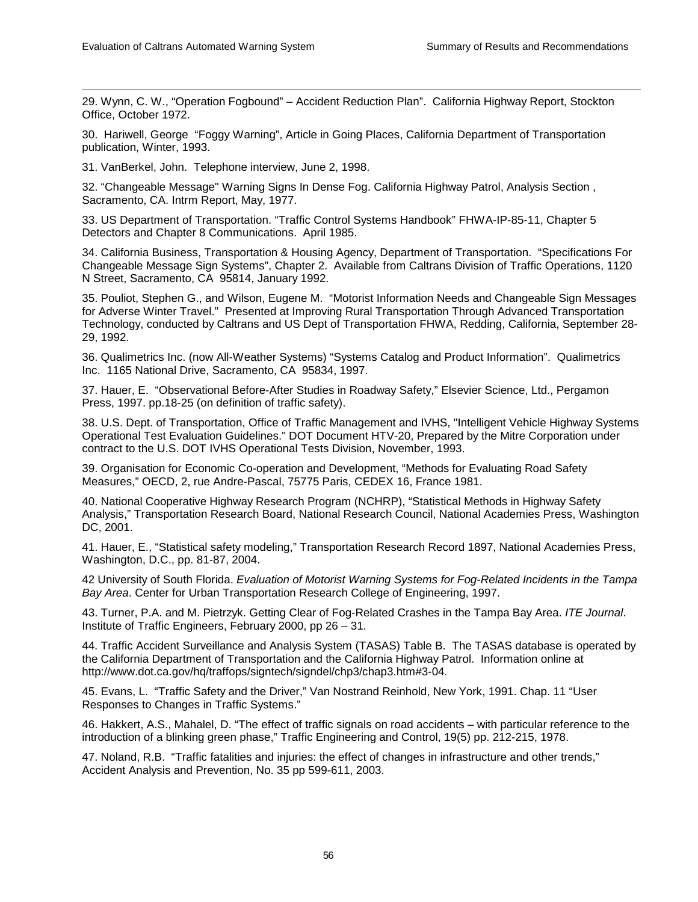l

29. Wynn, C. W., "Operation Fogbound" – Accident Reduction Plan". California Highway Report, Stockton Office, October 1972.

30. Hariwell, George "Foggy Warning", Article in Going Places, California Department of Transportation publication, Winter, 1993.

31. VanBerkel, John. Telephone interview, June 2, 1998.

32. "Changeable Message" Warning Signs In Dense Fog. California Highway Patrol, Analysis Section , Sacramento, CA. Intrm Report, May, 1977.

33. US Department of Transportation. "Traffic Control Systems Handbook" FHWA-IP-85-11, Chapter 5 Detectors and Chapter 8 Communications. April 1985.

34. California Business, Transportation & Housing Agency, Department of Transportation. "Specifications For Changeable Message Sign Systems", Chapter 2. Available from Caltrans Division of Traffic Operations, 1120 N Street, Sacramento, CA 95814, January 1992.

35. Pouliot, Stephen G., and Wilson, Eugene M. "Motorist Information Needs and Changeable Sign Messages for Adverse Winter Travel." Presented at Improving Rural Transportation Through Advanced Transportation Technology, conducted by Caltrans and US Dept of Transportation FHWA, Redding, California, September 28- 29, 1992.

36. Qualimetrics Inc. (now All-Weather Systems) "Systems Catalog and Product Information". Qualimetrics Inc. 1165 National Drive, Sacramento, CA 95834, 1997.

37. Hauer, E. "Observational Before-After Studies in Roadway Safety," Elsevier Science, Ltd., Pergamon Press, 1997. pp.18-25 (on definition of traffic safety).

38. U.S. Dept. of Transportation, Office of Traffic Management and IVHS, "Intelligent Vehicle Highway Systems Operational Test Evaluation Guidelines." DOT Document HTV-20, Prepared by the Mitre Corporation under contract to the U.S. DOT IVHS Operational Tests Division, November, 1993.

39. Organisation for Economic Co-operation and Development, "Methods for Evaluating Road Safety Measures," OECD, 2, rue Andre-Pascal, 75775 Paris, CEDEX 16, France 1981.

40. National Cooperative Highway Research Program (NCHRP), "Statistical Methods in Highway Safety Analysis," Transportation Research Board, National Research Council, National Academies Press, Washington DC, 2001.

41. Hauer, E., "Statistical safety modeling," Transportation Research Record 1897, National Academies Press, Washington, D.C., pp. 81-87, 2004.

42 University of South Florida. *Evaluation of Motorist Warning Systems for Fog-Related Incidents in the Tampa Bay Area*. Center for Urban Transportation Research College of Engineering, 1997.

43. Turner, P.A. and M. Pietrzyk. Getting Clear of Fog-Related Crashes in the Tampa Bay Area. *ITE Journal*. Institute of Traffic Engineers, February 2000, pp 26 – 31.

44. Traffic Accident Surveillance and Analysis System (TASAS) Table B. The TASAS database is operated by the California Department of Transportation and the California Highway Patrol. Information online at http://www.dot.ca.gov/hq/traffops/signtech/signdel/chp3/chap3.htm#3-04.

45. Evans, L. "Traffic Safety and the Driver," Van Nostrand Reinhold, New York, 1991. Chap. 11 "User Responses to Changes in Traffic Systems."

46. Hakkert, A.S., Mahalel, D. "The effect of traffic signals on road accidents – with particular reference to the introduction of a blinking green phase," Traffic Engineering and Control, 19(5) pp. 212-215, 1978.

47. Noland, R.B. "Traffic fatalities and injuries: the effect of changes in infrastructure and other trends," Accident Analysis and Prevention, No. 35 pp 599-611, 2003.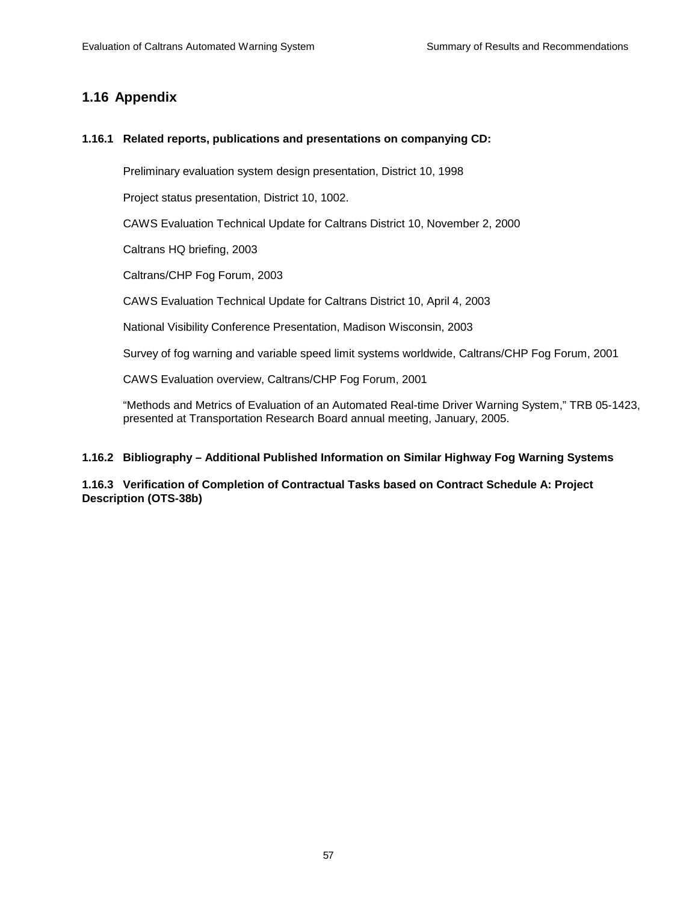# **1.16 Appendix**

## **1.16.1 Related reports, publications and presentations on companying CD:**

Preliminary evaluation system design presentation, District 10, 1998

Project status presentation, District 10, 1002.

CAWS Evaluation Technical Update for Caltrans District 10, November 2, 2000

Caltrans HQ briefing, 2003

Caltrans/CHP Fog Forum, 2003

CAWS Evaluation Technical Update for Caltrans District 10, April 4, 2003

National Visibility Conference Presentation, Madison Wisconsin, 2003

Survey of fog warning and variable speed limit systems worldwide, Caltrans/CHP Fog Forum, 2001

CAWS Evaluation overview, Caltrans/CHP Fog Forum, 2001

"Methods and Metrics of Evaluation of an Automated Real-time Driver Warning System," TRB 05-1423, presented at Transportation Research Board annual meeting, January, 2005.

# **1.16.2 Bibliography – Additional Published Information on Similar Highway Fog Warning Systems**

**1.16.3 Verification of Completion of Contractual Tasks based on Contract Schedule A: Project Description (OTS-38b)**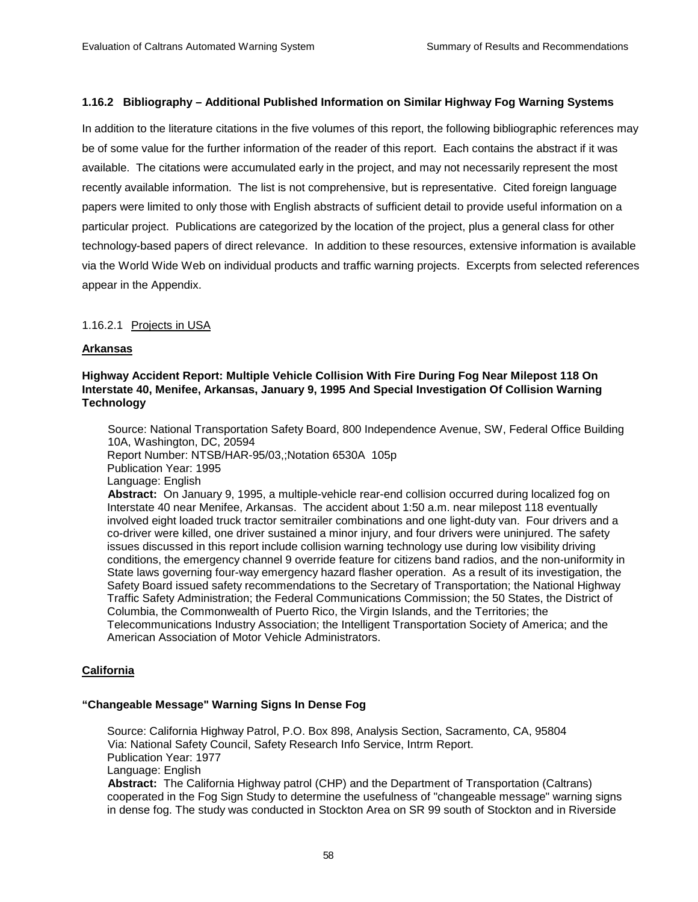## **1.16.2 Bibliography – Additional Published Information on Similar Highway Fog Warning Systems**

In addition to the literature citations in the five volumes of this report, the following bibliographic references may be of some value for the further information of the reader of this report. Each contains the abstract if it was available. The citations were accumulated early in the project, and may not necessarily represent the most recently available information. The list is not comprehensive, but is representative. Cited foreign language papers were limited to only those with English abstracts of sufficient detail to provide useful information on a particular project. Publications are categorized by the location of the project, plus a general class for other technology-based papers of direct relevance. In addition to these resources, extensive information is available via the World Wide Web on individual products and traffic warning projects. Excerpts from selected references appear in the Appendix.

## 1.16.2.1 Projects in USA

## **Arkansas**

## **Highway Accident Report: Multiple Vehicle Collision With Fire During Fog Near Milepost 118 On Interstate 40, Menifee, Arkansas, January 9, 1995 And Special Investigation Of Collision Warning Technology**

 Source: National Transportation Safety Board, 800 Independence Avenue, SW, Federal Office Building 10A, Washington, DC, 20594 Report Number: NTSB/HAR-95/03,;Notation 6530A 105p Publication Year: 1995 Language: English **Abstract:** On January 9, 1995, a multiple-vehicle rear-end collision occurred during localized fog on

 Interstate 40 near Menifee, Arkansas. The accident about 1:50 a.m. near milepost 118 eventually involved eight loaded truck tractor semitrailer combinations and one light-duty van. Four drivers and a co-driver were killed, one driver sustained a minor injury, and four drivers were uninjured. The safety issues discussed in this report include collision warning technology use during low visibility driving conditions, the emergency channel 9 override feature for citizens band radios, and the non-uniformity in State laws governing four-way emergency hazard flasher operation. As a result of its investigation, the Safety Board issued safety recommendations to the Secretary of Transportation; the National Highway Traffic Safety Administration; the Federal Communications Commission; the 50 States, the District of Columbia, the Commonwealth of Puerto Rico, the Virgin Islands, and the Territories; the Telecommunications Industry Association; the Intelligent Transportation Society of America; and the American Association of Motor Vehicle Administrators.

## **California**

## **"Changeable Message" Warning Signs In Dense Fog**

 Source: California Highway Patrol, P.O. Box 898, Analysis Section, Sacramento, CA, 95804 Via: National Safety Council, Safety Research Info Service, Intrm Report. Publication Year: 1977 Language: English **Abstract:** The California Highway patrol (CHP) and the Department of Transportation (Caltrans) cooperated in the Fog Sign Study to determine the usefulness of "changeable message" warning signs in dense fog. The study was conducted in Stockton Area on SR 99 south of Stockton and in Riverside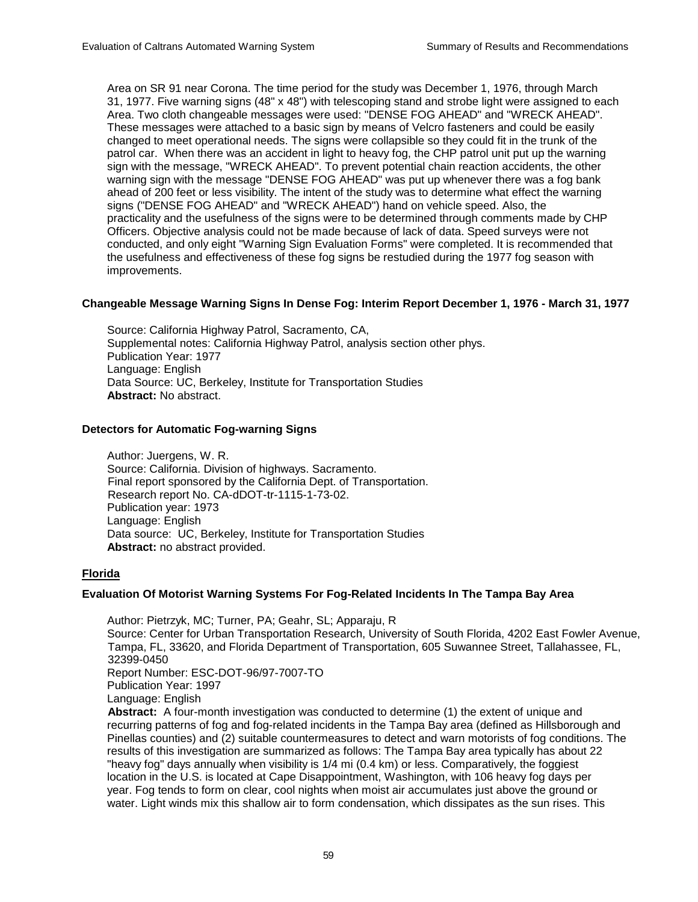Area on SR 91 near Corona. The time period for the study was December 1, 1976, through March 31, 1977. Five warning signs (48" x 48") with telescoping stand and strobe light were assigned to each Area. Two cloth changeable messages were used: "DENSE FOG AHEAD" and "WRECK AHEAD". These messages were attached to a basic sign by means of Velcro fasteners and could be easily changed to meet operational needs. The signs were collapsible so they could fit in the trunk of the patrol car. When there was an accident in light to heavy fog, the CHP patrol unit put up the warning sign with the message, "WRECK AHEAD". To prevent potential chain reaction accidents, the other warning sign with the message "DENSE FOG AHEAD" was put up whenever there was a fog bank ahead of 200 feet or less visibility. The intent of the study was to determine what effect the warning signs ("DENSE FOG AHEAD" and "WRECK AHEAD") hand on vehicle speed. Also, the practicality and the usefulness of the signs were to be determined through comments made by CHP Officers. Objective analysis could not be made because of lack of data. Speed surveys were not conducted, and only eight "Warning Sign Evaluation Forms" were completed. It is recommended that the usefulness and effectiveness of these fog signs be restudied during the 1977 fog season with improvements.

# **Changeable Message Warning Signs In Dense Fog: Interim Report December 1, 1976 - March 31, 1977**

 Source: California Highway Patrol, Sacramento, CA, Supplemental notes: California Highway Patrol, analysis section other phys. Publication Year: 1977 Language: English Data Source: UC, Berkeley, Institute for Transportation Studies **Abstract:** No abstract.

## **Detectors for Automatic Fog-warning Signs**

 Author: Juergens, W. R. Source: California. Division of highways. Sacramento. Final report sponsored by the California Dept. of Transportation. Research report No. CA-dDOT-tr-1115-1-73-02. Publication year: 1973 Language: English Data source: UC, Berkeley, Institute for Transportation Studies **Abstract:** no abstract provided.

# **Florida**

## **Evaluation Of Motorist Warning Systems For Fog-Related Incidents In The Tampa Bay Area**

 Author: Pietrzyk, MC; Turner, PA; Geahr, SL; Apparaju, R Source: Center for Urban Transportation Research, University of South Florida, 4202 East Fowler Avenue, Tampa, FL, 33620, and Florida Department of Transportation, 605 Suwannee Street, Tallahassee, FL, 32399-0450 Report Number: ESC-DOT-96/97-7007-TO Publication Year: 1997 Language: English **Abstract:** A four-month investigation was conducted to determine (1) the extent of unique and recurring patterns of fog and fog-related incidents in the Tampa Bay area (defined as Hillsborough and Pinellas counties) and (2) suitable countermeasures to detect and warn motorists of fog conditions. The results of this investigation are summarized as follows: The Tampa Bay area typically has about 22 "heavy fog" days annually when visibility is 1/4 mi (0.4 km) or less. Comparatively, the foggiest location in the U.S. is located at Cape Disappointment, Washington, with 106 heavy fog days per year. Fog tends to form on clear, cool nights when moist air accumulates just above the ground or water. Light winds mix this shallow air to form condensation, which dissipates as the sun rises. This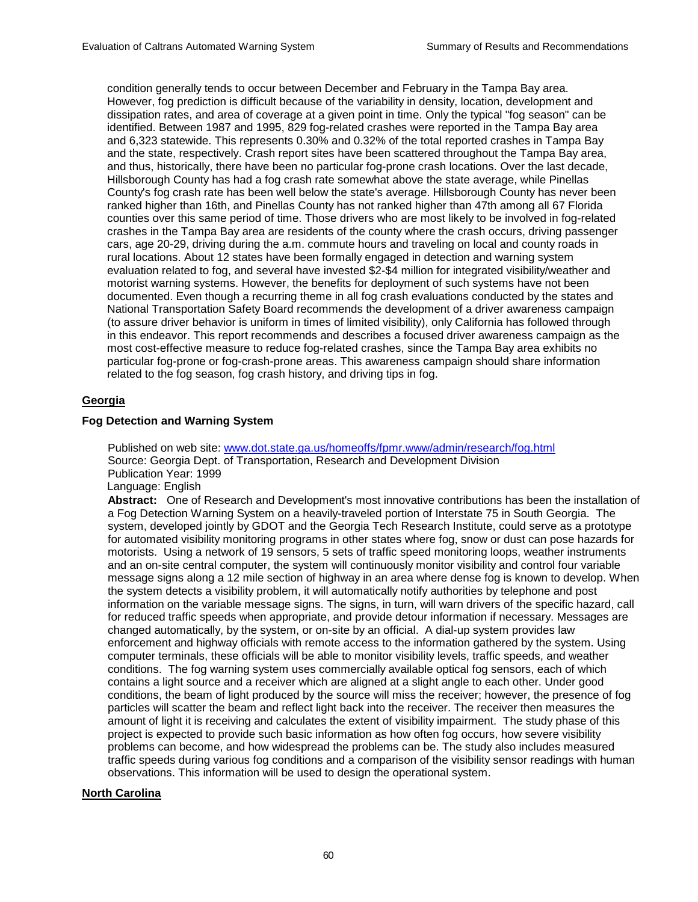condition generally tends to occur between December and February in the Tampa Bay area. However, fog prediction is difficult because of the variability in density, location, development and dissipation rates, and area of coverage at a given point in time. Only the typical "fog season" can be identified. Between 1987 and 1995, 829 fog-related crashes were reported in the Tampa Bay area and 6,323 statewide. This represents 0.30% and 0.32% of the total reported crashes in Tampa Bay and the state, respectively. Crash report sites have been scattered throughout the Tampa Bay area, and thus, historically, there have been no particular fog-prone crash locations. Over the last decade, Hillsborough County has had a fog crash rate somewhat above the state average, while Pinellas County's fog crash rate has been well below the state's average. Hillsborough County has never been ranked higher than 16th, and Pinellas County has not ranked higher than 47th among all 67 Florida counties over this same period of time. Those drivers who are most likely to be involved in fog-related crashes in the Tampa Bay area are residents of the county where the crash occurs, driving passenger cars, age 20-29, driving during the a.m. commute hours and traveling on local and county roads in rural locations. About 12 states have been formally engaged in detection and warning system evaluation related to fog, and several have invested \$2-\$4 million for integrated visibility/weather and motorist warning systems. However, the benefits for deployment of such systems have not been documented. Even though a recurring theme in all fog crash evaluations conducted by the states and National Transportation Safety Board recommends the development of a driver awareness campaign (to assure driver behavior is uniform in times of limited visibility), only California has followed through in this endeavor. This report recommends and describes a focused driver awareness campaign as the most cost-effective measure to reduce fog-related crashes, since the Tampa Bay area exhibits no particular fog-prone or fog-crash-prone areas. This awareness campaign should share information related to the fog season, fog crash history, and driving tips in fog.

# **Georgia**

# **Fog Detection and Warning System**

 Published on web site: www.dot.state.ga.us/homeoffs/fpmr.www/admin/research/fog.html Source: Georgia Dept. of Transportation, Research and Development Division Publication Year: 1999 Language: English

**Abstract:** One of Research and Development's most innovative contributions has been the installation of a Fog Detection Warning System on a heavily-traveled portion of Interstate 75 in South Georgia. The system, developed jointly by GDOT and the Georgia Tech Research Institute, could serve as a prototype for automated visibility monitoring programs in other states where fog, snow or dust can pose hazards for motorists. Using a network of 19 sensors, 5 sets of traffic speed monitoring loops, weather instruments and an on-site central computer, the system will continuously monitor visibility and control four variable message signs along a 12 mile section of highway in an area where dense fog is known to develop. When the system detects a visibility problem, it will automatically notify authorities by telephone and post information on the variable message signs. The signs, in turn, will warn drivers of the specific hazard, call for reduced traffic speeds when appropriate, and provide detour information if necessary. Messages are changed automatically, by the system, or on-site by an official. A dial-up system provides law enforcement and highway officials with remote access to the information gathered by the system. Using computer terminals, these officials will be able to monitor visibility levels, traffic speeds, and weather conditions. The fog warning system uses commercially available optical fog sensors, each of which contains a light source and a receiver which are aligned at a slight angle to each other. Under good conditions, the beam of light produced by the source will miss the receiver; however, the presence of fog particles will scatter the beam and reflect light back into the receiver. The receiver then measures the amount of light it is receiving and calculates the extent of visibility impairment. The study phase of this project is expected to provide such basic information as how often fog occurs, how severe visibility problems can become, and how widespread the problems can be. The study also includes measured traffic speeds during various fog conditions and a comparison of the visibility sensor readings with human observations. This information will be used to design the operational system.

# **North Carolina**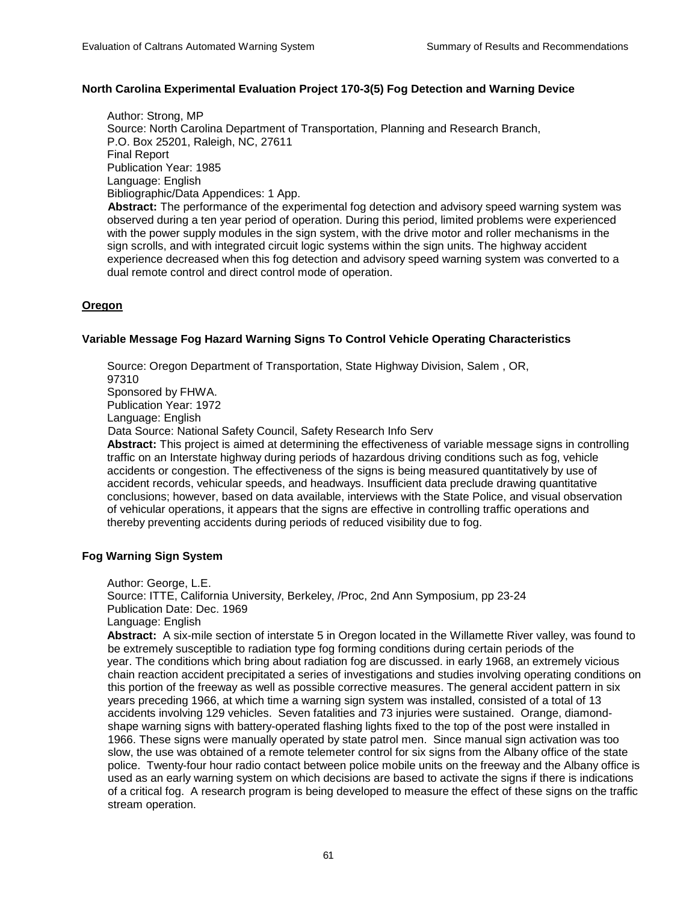## **North Carolina Experimental Evaluation Project 170-3(5) Fog Detection and Warning Device**

 Author: Strong, MP Source: North Carolina Department of Transportation, Planning and Research Branch, P.O. Box 25201, Raleigh, NC, 27611 Final Report Publication Year: 1985 Language: English Bibliographic/Data Appendices: 1 App. **Abstract:** The performance of the experimental fog detection and advisory speed warning system was observed during a ten year period of operation. During this period, limited problems were experienced with the power supply modules in the sign system, with the drive motor and roller mechanisms in the sign scrolls, and with integrated circuit logic systems within the sign units. The highway accident

experience decreased when this fog detection and advisory speed warning system was converted to a

# **Oregon**

## **Variable Message Fog Hazard Warning Signs To Control Vehicle Operating Characteristics**

dual remote control and direct control mode of operation.

 Source: Oregon Department of Transportation, State Highway Division, Salem , OR, 97310 Sponsored by FHWA. Publication Year: 1972 Language: English Data Source: National Safety Council, Safety Research Info Serv

 **Abstract:** This project is aimed at determining the effectiveness of variable message signs in controlling traffic on an Interstate highway during periods of hazardous driving conditions such as fog, vehicle accidents or congestion. The effectiveness of the signs is being measured quantitatively by use of accident records, vehicular speeds, and headways. Insufficient data preclude drawing quantitative conclusions; however, based on data available, interviews with the State Police, and visual observation of vehicular operations, it appears that the signs are effective in controlling traffic operations and thereby preventing accidents during periods of reduced visibility due to fog.

## **Fog Warning Sign System**

Author: George, L.E.

 Source: ITTE, California University, Berkeley, /Proc, 2nd Ann Symposium, pp 23-24 Publication Date: Dec. 1969

Language: English

 **Abstract:** A six-mile section of interstate 5 in Oregon located in the Willamette River valley, was found to be extremely susceptible to radiation type fog forming conditions during certain periods of the year. The conditions which bring about radiation fog are discussed. in early 1968, an extremely vicious chain reaction accident precipitated a series of investigations and studies involving operating conditions on this portion of the freeway as well as possible corrective measures. The general accident pattern in six years preceding 1966, at which time a warning sign system was installed, consisted of a total of 13 accidents involving 129 vehicles. Seven fatalities and 73 injuries were sustained. Orange, diamondshape warning signs with battery-operated flashing lights fixed to the top of the post were installed in 1966. These signs were manually operated by state patrol men. Since manual sign activation was too slow, the use was obtained of a remote telemeter control for six signs from the Albany office of the state police. Twenty-four hour radio contact between police mobile units on the freeway and the Albany office is used as an early warning system on which decisions are based to activate the signs if there is indications of a critical fog. A research program is being developed to measure the effect of these signs on the traffic stream operation.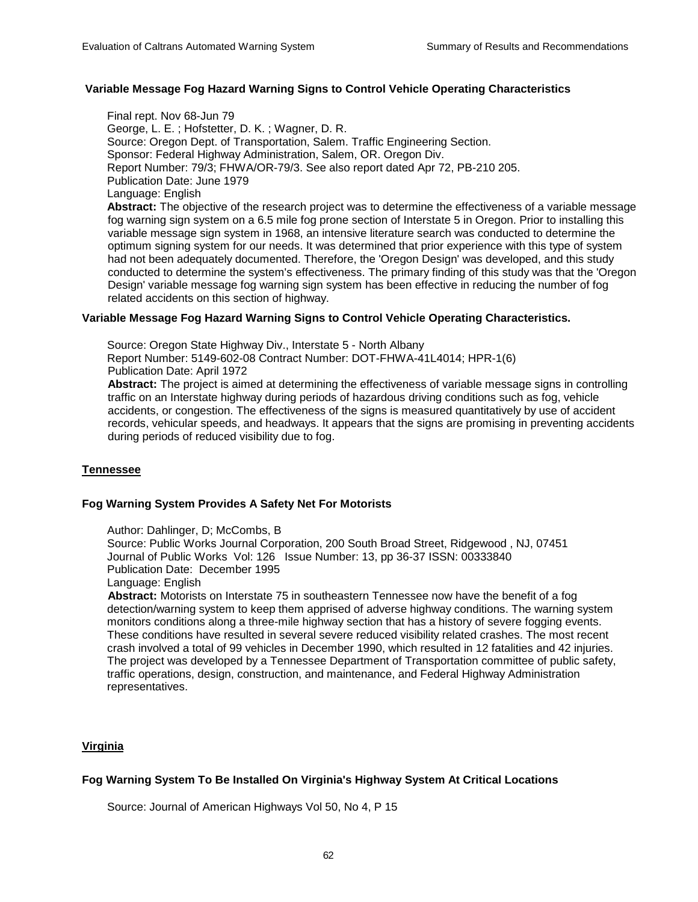## **Variable Message Fog Hazard Warning Signs to Control Vehicle Operating Characteristics**

 Final rept. Nov 68-Jun 79 George, L. E. ; Hofstetter, D. K. ; Wagner, D. R. Source: Oregon Dept. of Transportation, Salem. Traffic Engineering Section. Sponsor: Federal Highway Administration, Salem, OR. Oregon Div. Report Number: 79/3; FHWA/OR-79/3. See also report dated Apr 72, PB-210 205. Publication Date: June 1979 Language: English **Abstract:** The objective of the research project was to determine the effectiveness of a variable message fog warning sign system on a 6.5 mile fog prone section of Interstate 5 in Oregon. Prior to installing this variable message sign system in 1968, an intensive literature search was conducted to determine the optimum signing system for our needs. It was determined that prior experience with this type of system had not been adequately documented. Therefore, the 'Oregon Design' was developed, and this study conducted to determine the system's effectiveness. The primary finding of this study was that the 'Oregon Design' variable message fog warning sign system has been effective in reducing the number of fog related accidents on this section of highway.

## **Variable Message Fog Hazard Warning Signs to Control Vehicle Operating Characteristics.**

 Source: Oregon State Highway Div., Interstate 5 - North Albany Report Number: 5149-602-08 Contract Number: DOT-FHWA-41L4014; HPR-1(6) Publication Date: April 1972

 **Abstract:** The project is aimed at determining the effectiveness of variable message signs in controlling traffic on an Interstate highway during periods of hazardous driving conditions such as fog, vehicle accidents, or congestion. The effectiveness of the signs is measured quantitatively by use of accident records, vehicular speeds, and headways. It appears that the signs are promising in preventing accidents during periods of reduced visibility due to fog.

# **Tennessee**

## **Fog Warning System Provides A Safety Net For Motorists**

Author: Dahlinger, D; McCombs, B

 Source: Public Works Journal Corporation, 200 South Broad Street, Ridgewood , NJ, 07451 Journal of Public Works Vol: 126 Issue Number: 13, pp 36-37 ISSN: 00333840 Publication Date: December 1995

Language: English

**Abstract:** Motorists on Interstate 75 in southeastern Tennessee now have the benefit of a fog detection/warning system to keep them apprised of adverse highway conditions. The warning system monitors conditions along a three-mile highway section that has a history of severe fogging events. These conditions have resulted in several severe reduced visibility related crashes. The most recent crash involved a total of 99 vehicles in December 1990, which resulted in 12 fatalities and 42 injuries. The project was developed by a Tennessee Department of Transportation committee of public safety, traffic operations, design, construction, and maintenance, and Federal Highway Administration representatives.

# **Virginia**

# **Fog Warning System To Be Installed On Virginia's Highway System At Critical Locations**

Source: Journal of American Highways Vol 50, No 4, P 15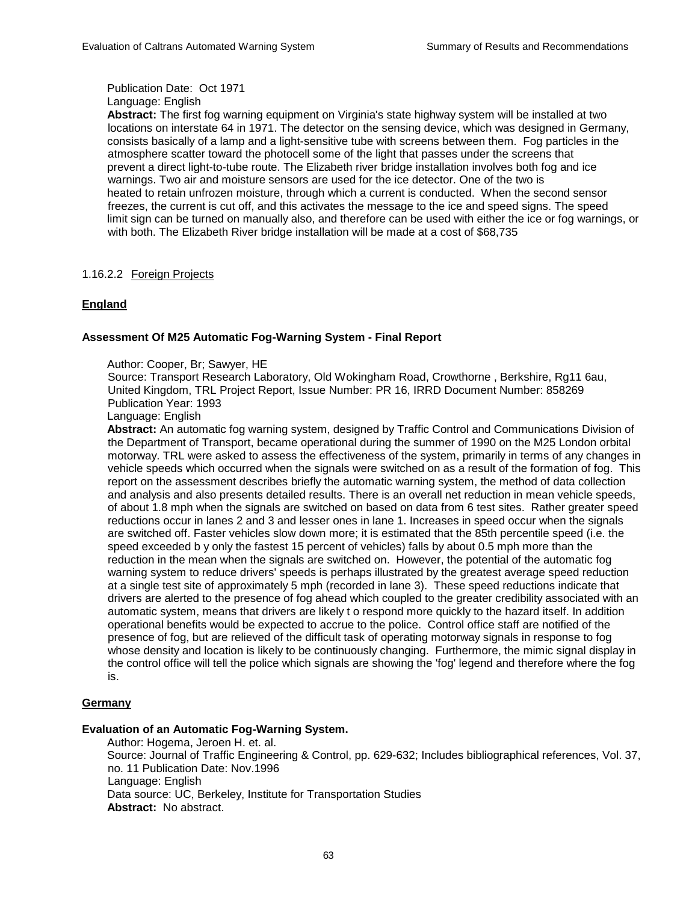Publication Date: Oct 1971 Language: English

 **Abstract:** The first fog warning equipment on Virginia's state highway system will be installed at two locations on interstate 64 in 1971. The detector on the sensing device, which was designed in Germany, consists basically of a lamp and a light-sensitive tube with screens between them. Fog particles in the atmosphere scatter toward the photocell some of the light that passes under the screens that prevent a direct light-to-tube route. The Elizabeth river bridge installation involves both fog and ice warnings. Two air and moisture sensors are used for the ice detector. One of the two is heated to retain unfrozen moisture, through which a current is conducted. When the second sensor freezes, the current is cut off, and this activates the message to the ice and speed signs. The speed limit sign can be turned on manually also, and therefore can be used with either the ice or fog warnings, or with both. The Elizabeth River bridge installation will be made at a cost of \$68,735

# 1.16.2.2 Foreign Projects

# **England**

## **Assessment Of M25 Automatic Fog-Warning System - Final Report**

Author: Cooper, Br; Sawyer, HE

Source: Transport Research Laboratory, Old Wokingham Road, Crowthorne , Berkshire, Rg11 6au, United Kingdom, TRL Project Report, Issue Number: PR 16, IRRD Document Number: 858269 Publication Year: 1993

Language: English

 **Abstract:** An automatic fog warning system, designed by Traffic Control and Communications Division of the Department of Transport, became operational during the summer of 1990 on the M25 London orbital motorway. TRL were asked to assess the effectiveness of the system, primarily in terms of any changes in vehicle speeds which occurred when the signals were switched on as a result of the formation of fog. This report on the assessment describes briefly the automatic warning system, the method of data collection and analysis and also presents detailed results. There is an overall net reduction in mean vehicle speeds, of about 1.8 mph when the signals are switched on based on data from 6 test sites. Rather greater speed reductions occur in lanes 2 and 3 and lesser ones in lane 1. Increases in speed occur when the signals are switched off. Faster vehicles slow down more; it is estimated that the 85th percentile speed (i.e. the speed exceeded b y only the fastest 15 percent of vehicles) falls by about 0.5 mph more than the reduction in the mean when the signals are switched on. However, the potential of the automatic fog warning system to reduce drivers' speeds is perhaps illustrated by the greatest average speed reduction at a single test site of approximately 5 mph (recorded in lane 3). These speed reductions indicate that drivers are alerted to the presence of fog ahead which coupled to the greater credibility associated with an automatic system, means that drivers are likely t o respond more quickly to the hazard itself. In addition operational benefits would be expected to accrue to the police. Control office staff are notified of the presence of fog, but are relieved of the difficult task of operating motorway signals in response to fog whose density and location is likely to be continuously changing. Furthermore, the mimic signal display in the control office will tell the police which signals are showing the 'fog' legend and therefore where the fog is.

# **Germany**

## **Evaluation of an Automatic Fog-Warning System.**

 Author: Hogema, Jeroen H. et. al. Source: Journal of Traffic Engineering & Control, pp. 629-632; Includes bibliographical references, Vol. 37, no. 11 Publication Date: Nov.1996 Language: English Data source: UC, Berkeley, Institute for Transportation Studies **Abstract:** No abstract.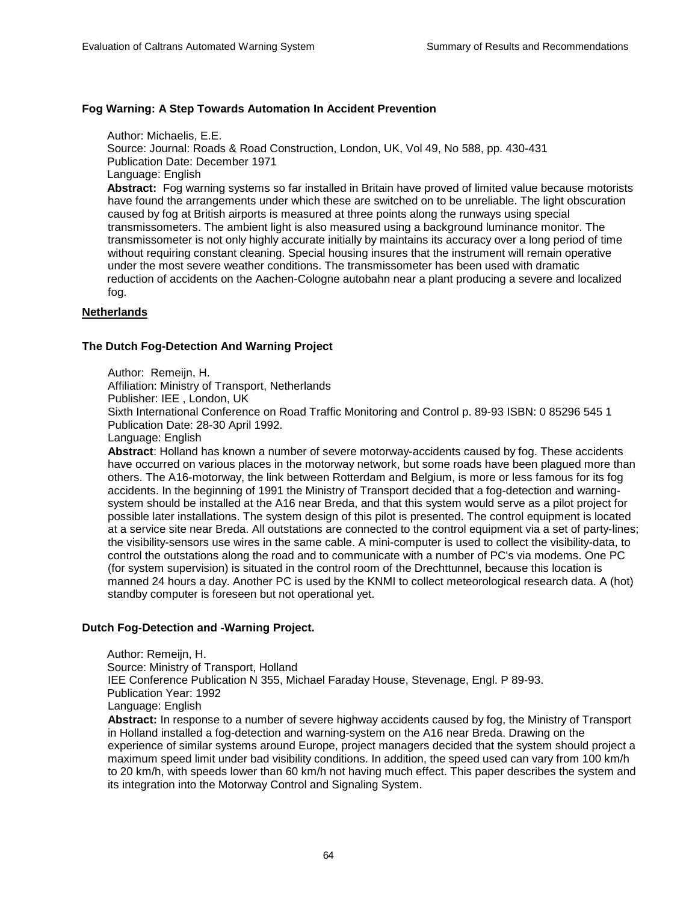## **Fog Warning: A Step Towards Automation In Accident Prevention**

Author: Michaelis, E.E.

 Source: Journal: Roads & Road Construction, London, UK, Vol 49, No 588, pp. 430-431 Publication Date: December 1971 Language: English **Abstract:** Fog warning systems so far installed in Britain have proved of limited value because motorists have found the arrangements under which these are switched on to be unreliable. The light obscuration caused by fog at British airports is measured at three points along the runways using special transmissometers. The ambient light is also measured using a background luminance monitor. The transmissometer is not only highly accurate initially by maintains its accuracy over a long period of time without requiring constant cleaning. Special housing insures that the instrument will remain operative under the most severe weather conditions. The transmissometer has been used with dramatic

 reduction of accidents on the Aachen-Cologne autobahn near a plant producing a severe and localized fog.

## **Netherlands**

## **The Dutch Fog-Detection And Warning Project**

Author: Remeiin, H.

Affiliation: Ministry of Transport, Netherlands

Publisher: IEE , London, UK

 Sixth International Conference on Road Traffic Monitoring and Control p. 89-93 ISBN: 0 85296 545 1 Publication Date: 28-30 April 1992.

Language: English

 **Abstract**: Holland has known a number of severe motorway-accidents caused by fog. These accidents have occurred on various places in the motorway network, but some roads have been plagued more than others. The A16-motorway, the link between Rotterdam and Belgium, is more or less famous for its fog accidents. In the beginning of 1991 the Ministry of Transport decided that a fog-detection and warningsystem should be installed at the A16 near Breda, and that this system would serve as a pilot project for possible later installations. The system design of this pilot is presented. The control equipment is located at a service site near Breda. All outstations are connected to the control equipment via a set of party-lines; the visibility-sensors use wires in the same cable. A mini-computer is used to collect the visibility-data, to control the outstations along the road and to communicate with a number of PC's via modems. One PC (for system supervision) is situated in the control room of the Drechttunnel, because this location is manned 24 hours a day. Another PC is used by the KNMI to collect meteorological research data. A (hot) standby computer is foreseen but not operational yet.

# **Dutch Fog-Detection and -Warning Project.**

 Author: Remeijn, H. Source: Ministry of Transport, Holland IEE Conference Publication N 355, Michael Faraday House, Stevenage, Engl. P 89-93. Publication Year: 1992 Language: English

**Abstract:** In response to a number of severe highway accidents caused by fog, the Ministry of Transport in Holland installed a fog-detection and warning-system on the A16 near Breda. Drawing on the experience of similar systems around Europe, project managers decided that the system should project a maximum speed limit under bad visibility conditions. In addition, the speed used can vary from 100 km/h to 20 km/h, with speeds lower than 60 km/h not having much effect. This paper describes the system and its integration into the Motorway Control and Signaling System.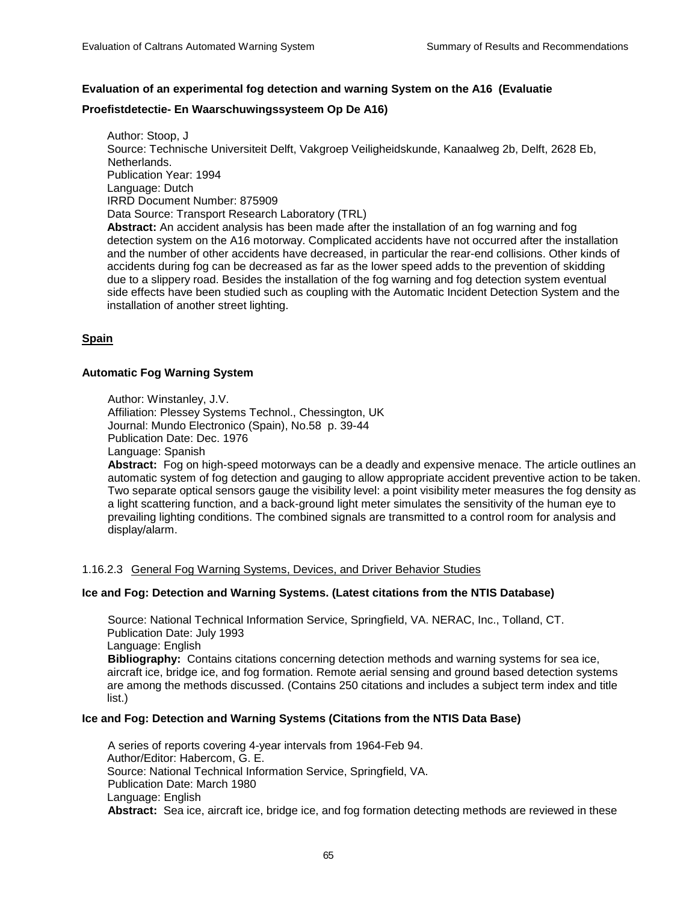## **Evaluation of an experimental fog detection and warning System on the A16 (Evaluatie**

## **Proefistdetectie- En Waarschuwingssysteem Op De A16)**

 Author: Stoop, J Source: Technische Universiteit Delft, Vakgroep Veiligheidskunde, Kanaalweg 2b, Delft, 2628 Eb, Netherlands. Publication Year: 1994 Language: Dutch IRRD Document Number: 875909 Data Source: Transport Research Laboratory (TRL) **Abstract:** An accident analysis has been made after the installation of an fog warning and fog detection system on the A16 motorway. Complicated accidents have not occurred after the installation and the number of other accidents have decreased, in particular the rear-end collisions. Other kinds of accidents during fog can be decreased as far as the lower speed adds to the prevention of skidding due to a slippery road. Besides the installation of the fog warning and fog detection system eventual side effects have been studied such as coupling with the Automatic Incident Detection System and the installation of another street lighting.

## **Spain**

## **Automatic Fog Warning System**

Author: Winstanley, J.V.

 Affiliation: Plessey Systems Technol., Chessington, UK Journal: Mundo Electronico (Spain), No.58 p. 39-44 Publication Date: Dec. 1976 Language: Spanish

**Abstract:** Fog on high-speed motorways can be a deadly and expensive menace. The article outlines an automatic system of fog detection and gauging to allow appropriate accident preventive action to be taken. Two separate optical sensors gauge the visibility level: a point visibility meter measures the fog density as a light scattering function, and a back-ground light meter simulates the sensitivity of the human eye to prevailing lighting conditions. The combined signals are transmitted to a control room for analysis and display/alarm.

## 1.16.2.3 General Fog Warning Systems, Devices, and Driver Behavior Studies

## **Ice and Fog: Detection and Warning Systems. (Latest citations from the NTIS Database)**

Source: National Technical Information Service, Springfield, VA. NERAC, Inc., Tolland, CT. Publication Date: July 1993 Language: English **Bibliography:** Contains citations concerning detection methods and warning systems for sea ice, aircraft ice, bridge ice, and fog formation. Remote aerial sensing and ground based detection systems are among the methods discussed. (Contains 250 citations and includes a subject term index and title list.)

### **Ice and Fog: Detection and Warning Systems (Citations from the NTIS Data Base)**

A series of reports covering 4-year intervals from 1964-Feb 94. Author/Editor: Habercom, G. E. Source: National Technical Information Service, Springfield, VA. Publication Date: March 1980 Language: English **Abstract:** Sea ice, aircraft ice, bridge ice, and fog formation detecting methods are reviewed in these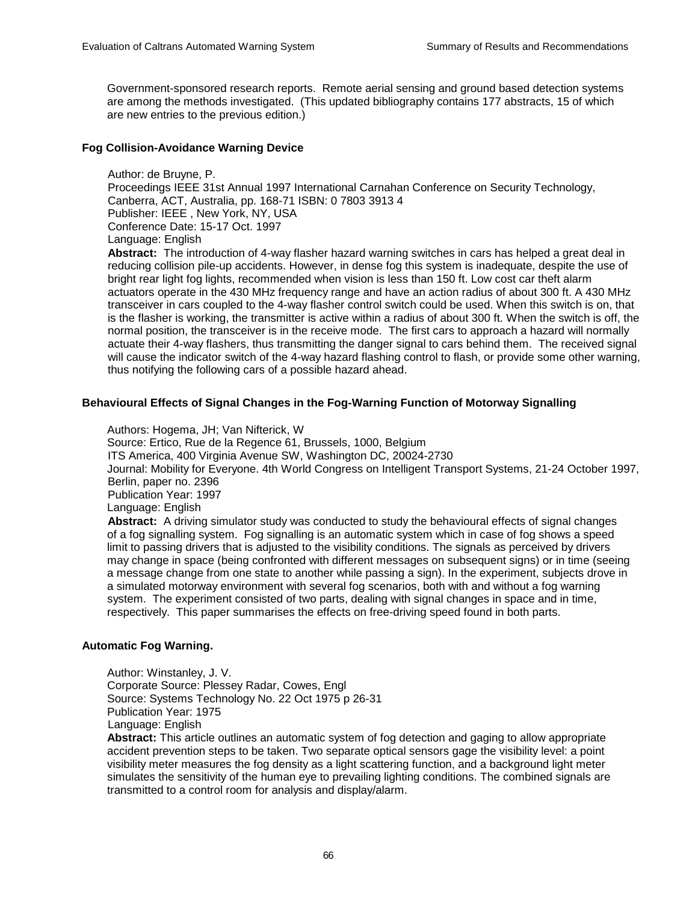Government-sponsored research reports. Remote aerial sensing and ground based detection systems are among the methods investigated. (This updated bibliography contains 177 abstracts, 15 of which are new entries to the previous edition.)

## **Fog Collision-Avoidance Warning Device**

Author: de Bruyne, P. Proceedings IEEE 31st Annual 1997 International Carnahan Conference on Security Technology, Canberra, ACT, Australia, pp. 168-71 ISBN: 0 7803 3913 4 Publisher: IEEE , New York, NY, USA Conference Date: 15-17 Oct. 1997 Language: English

 **Abstract:** The introduction of 4-way flasher hazard warning switches in cars has helped a great deal in reducing collision pile-up accidents. However, in dense fog this system is inadequate, despite the use of bright rear light fog lights, recommended when vision is less than 150 ft. Low cost car theft alarm actuators operate in the 430 MHz frequency range and have an action radius of about 300 ft. A 430 MHz transceiver in cars coupled to the 4-way flasher control switch could be used. When this switch is on, that is the flasher is working, the transmitter is active within a radius of about 300 ft. When the switch is off, the normal position, the transceiver is in the receive mode. The first cars to approach a hazard will normally actuate their 4-way flashers, thus transmitting the danger signal to cars behind them. The received signal will cause the indicator switch of the 4-way hazard flashing control to flash, or provide some other warning, thus notifying the following cars of a possible hazard ahead.

## **Behavioural Effects of Signal Changes in the Fog-Warning Function of Motorway Signalling**

 Authors: Hogema, JH; Van Nifterick, W Source: Ertico, Rue de la Regence 61, Brussels, 1000, Belgium ITS America, 400 Virginia Avenue SW, Washington DC, 20024-2730 Journal: Mobility for Everyone. 4th World Congress on Intelligent Transport Systems, 21-24 October 1997, Berlin, paper no. 2396 Publication Year: 1997 Language: English **Abstract:** A driving simulator study was conducted to study the behavioural effects of signal changes of a fog signalling system. Fog signalling is an automatic system which in case of fog shows a speed limit to passing drivers that is adjusted to the visibility conditions. The signals as perceived by drivers may change in space (being confronted with different messages on subsequent signs) or in time (seeing a message change from one state to another while passing a sign). In the experiment, subjects drove in a simulated motorway environment with several fog scenarios, both with and without a fog warning system. The experiment consisted of two parts, dealing with signal changes in space and in time, respectively. This paper summarises the effects on free-driving speed found in both parts.

## **Automatic Fog Warning.**

 Author: Winstanley, J. V. Corporate Source: Plessey Radar, Cowes, Engl Source: Systems Technology No. 22 Oct 1975 p 26-31 Publication Year: 1975 Language: English

 **Abstract:** This article outlines an automatic system of fog detection and gaging to allow appropriate accident prevention steps to be taken. Two separate optical sensors gage the visibility level: a point visibility meter measures the fog density as a light scattering function, and a background light meter simulates the sensitivity of the human eye to prevailing lighting conditions. The combined signals are transmitted to a control room for analysis and display/alarm.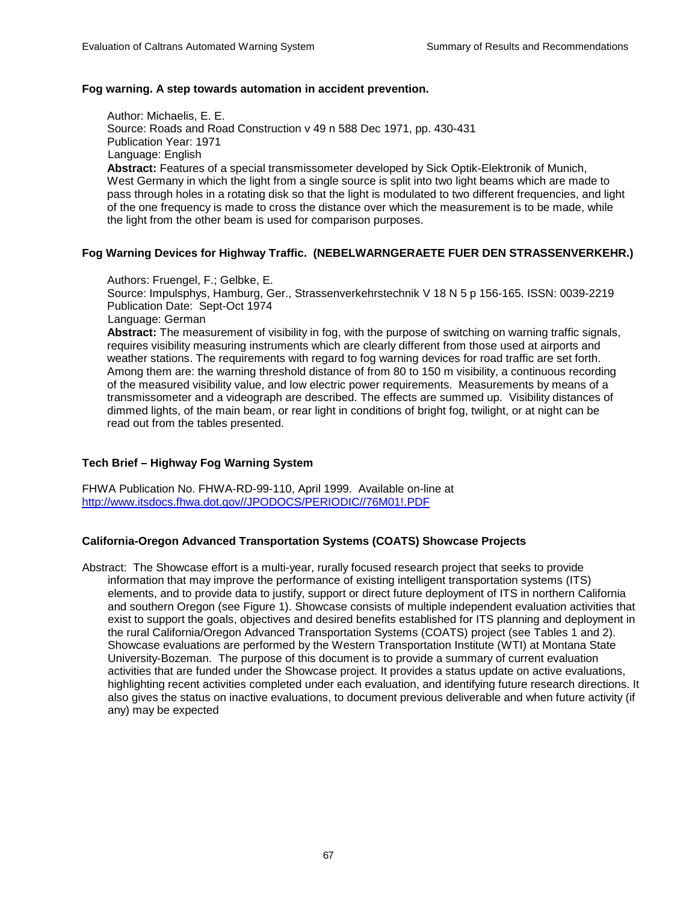## **Fog warning. A step towards automation in accident prevention.**

 Author: Michaelis, E. E. Source: Roads and Road Construction v 49 n 588 Dec 1971, pp. 430-431 Publication Year: 1971 Language: English **Abstract:** Features of a special transmissometer developed by Sick Optik-Elektronik of Munich,

 West Germany in which the light from a single source is split into two light beams which are made to pass through holes in a rotating disk so that the light is modulated to two different frequencies, and light of the one frequency is made to cross the distance over which the measurement is to be made, while the light from the other beam is used for comparison purposes.

## **Fog Warning Devices for Highway Traffic. (NEBELWARNGERAETE FUER DEN STRASSENVERKEHR.)**

## Authors: Fruengel, F.; Gelbke, E.

 Source: Impulsphys, Hamburg, Ger., Strassenverkehrstechnik V 18 N 5 p 156-165. ISSN: 0039-2219 Publication Date: Sept-Oct 1974

Language: German

 **Abstract:** The measurement of visibility in fog, with the purpose of switching on warning traffic signals, requires visibility measuring instruments which are clearly different from those used at airports and weather stations. The requirements with regard to fog warning devices for road traffic are set forth. Among them are: the warning threshold distance of from 80 to 150 m visibility, a continuous recording of the measured visibility value, and low electric power requirements. Measurements by means of a transmissometer and a videograph are described. The effects are summed up. Visibility distances of dimmed lights, of the main beam, or rear light in conditions of bright fog, twilight, or at night can be read out from the tables presented.

# **Tech Brief – Highway Fog Warning System**

FHWA Publication No. FHWA-RD-99-110, April 1999. Available on-line at http://www.itsdocs.fhwa.dot.gov//JPODOCS/PERIODIC//76M01!.PDF

## **California-Oregon Advanced Transportation Systems (COATS) Showcase Projects**

Abstract: The Showcase effort is a multi-year, rurally focused research project that seeks to provide information that may improve the performance of existing intelligent transportation systems (ITS) elements, and to provide data to justify, support or direct future deployment of ITS in northern California and southern Oregon (see Figure 1). Showcase consists of multiple independent evaluation activities that exist to support the goals, objectives and desired benefits established for ITS planning and deployment in the rural California/Oregon Advanced Transportation Systems (COATS) project (see Tables 1 and 2). Showcase evaluations are performed by the Western Transportation Institute (WTI) at Montana State University-Bozeman. The purpose of this document is to provide a summary of current evaluation activities that are funded under the Showcase project. It provides a status update on active evaluations, highlighting recent activities completed under each evaluation, and identifying future research directions. It also gives the status on inactive evaluations, to document previous deliverable and when future activity (if any) may be expected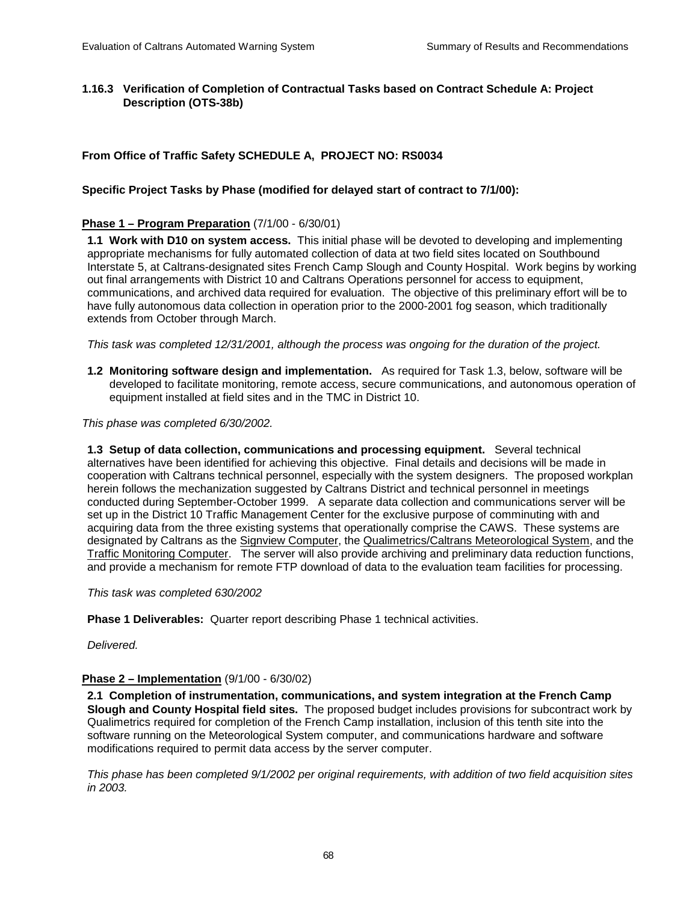# **1.16.3 Verification of Completion of Contractual Tasks based on Contract Schedule A: Project Description (OTS-38b)**

# **From Office of Traffic Safety SCHEDULE A, PROJECT NO: RS0034**

## **Specific Project Tasks by Phase (modified for delayed start of contract to 7/1/00):**

## **Phase 1 – Program Preparation** (7/1/00 - 6/30/01)

**1.1 Work with D10 on system access.** This initial phase will be devoted to developing and implementing appropriate mechanisms for fully automated collection of data at two field sites located on Southbound Interstate 5, at Caltrans-designated sites French Camp Slough and County Hospital. Work begins by working out final arrangements with District 10 and Caltrans Operations personnel for access to equipment, communications, and archived data required for evaluation. The objective of this preliminary effort will be to have fully autonomous data collection in operation prior to the 2000-2001 fog season, which traditionally extends from October through March.

*This task was completed 12/31/2001, although the process was ongoing for the duration of the project.*

**1.2 Monitoring software design and implementation.** As required for Task 1.3, below, software will be developed to facilitate monitoring, remote access, secure communications, and autonomous operation of equipment installed at field sites and in the TMC in District 10.

*This phase was completed 6/30/2002.* 

**1.3 Setup of data collection, communications and processing equipment.** Several technical alternatives have been identified for achieving this objective. Final details and decisions will be made in cooperation with Caltrans technical personnel, especially with the system designers. The proposed workplan herein follows the mechanization suggested by Caltrans District and technical personnel in meetings conducted during September-October 1999. A separate data collection and communications server will be set up in the District 10 Traffic Management Center for the exclusive purpose of comminuting with and acquiring data from the three existing systems that operationally comprise the CAWS. These systems are designated by Caltrans as the Signview Computer, the Qualimetrics/Caltrans Meteorological System, and the Traffic Monitoring Computer. The server will also provide archiving and preliminary data reduction functions, and provide a mechanism for remote FTP download of data to the evaluation team facilities for processing.

*This task was completed 630/2002* 

**Phase 1 Deliverables:** Quarter report describing Phase 1 technical activities.

*Delivered.* 

#### **Phase 2 – Implementation** (9/1/00 - 6/30/02)

**2.1 Completion of instrumentation, communications, and system integration at the French Camp Slough and County Hospital field sites.** The proposed budget includes provisions for subcontract work by Qualimetrics required for completion of the French Camp installation, inclusion of this tenth site into the software running on the Meteorological System computer, and communications hardware and software modifications required to permit data access by the server computer.

*This phase has been completed 9/1/2002 per original requirements, with addition of two field acquisition sites in 2003.*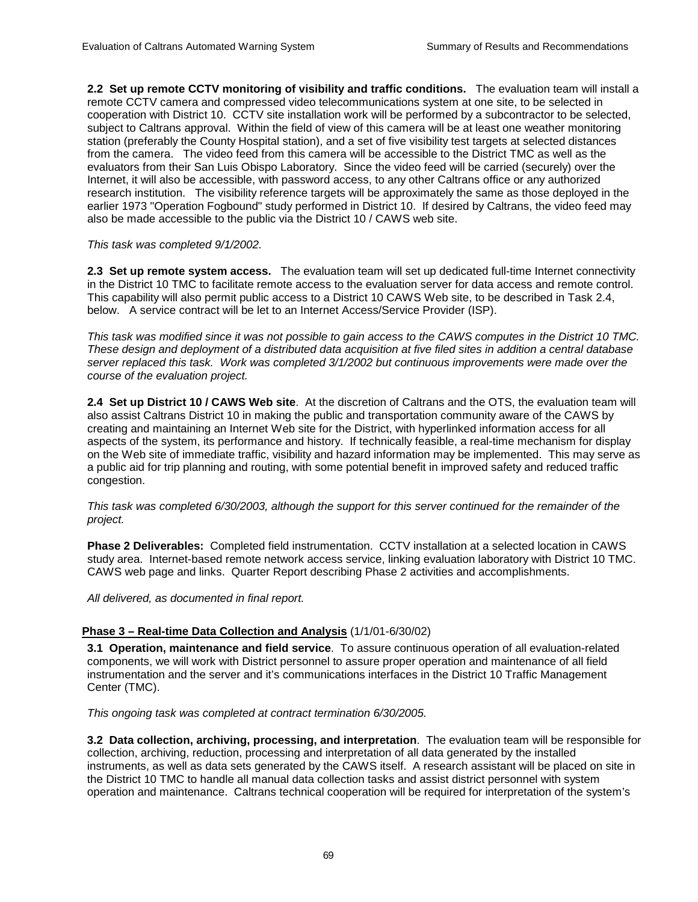**2.2 Set up remote CCTV monitoring of visibility and traffic conditions.** The evaluation team will install a remote CCTV camera and compressed video telecommunications system at one site, to be selected in cooperation with District 10. CCTV site installation work will be performed by a subcontractor to be selected, subject to Caltrans approval. Within the field of view of this camera will be at least one weather monitoring station (preferably the County Hospital station), and a set of five visibility test targets at selected distances from the camera. The video feed from this camera will be accessible to the District TMC as well as the evaluators from their San Luis Obispo Laboratory. Since the video feed will be carried (securely) over the Internet, it will also be accessible, with password access, to any other Caltrans office or any authorized research institution. The visibility reference targets will be approximately the same as those deployed in the earlier 1973 "Operation Fogbound" study performed in District 10. If desired by Caltrans, the video feed may also be made accessible to the public via the District 10 / CAWS web site.

*This task was completed 9/1/2002.* 

2.3 Set up remote system access. The evaluation team will set up dedicated full-time Internet connectivity in the District 10 TMC to facilitate remote access to the evaluation server for data access and remote control. This capability will also permit public access to a District 10 CAWS Web site, to be described in Task 2.4, below. A service contract will be let to an Internet Access/Service Provider (ISP).

*This task was modified since it was not possible to gain access to the CAWS computes in the District 10 TMC. These design and deployment of a distributed data acquisition at five filed sites in addition a central database server replaced this task. Work was completed 3/1/2002 but continuous improvements were made over the course of the evaluation project.* 

**2.4 Set up District 10 / CAWS Web site**. At the discretion of Caltrans and the OTS, the evaluation team will also assist Caltrans District 10 in making the public and transportation community aware of the CAWS by creating and maintaining an Internet Web site for the District, with hyperlinked information access for all aspects of the system, its performance and history. If technically feasible, a real-time mechanism for display on the Web site of immediate traffic, visibility and hazard information may be implemented. This may serve as a public aid for trip planning and routing, with some potential benefit in improved safety and reduced traffic congestion.

*This task was completed 6/30/2003, although the support for this server continued for the remainder of the project.* 

**Phase 2 Deliverables:** Completed field instrumentation. CCTV installation at a selected location in CAWS study area. Internet-based remote network access service, linking evaluation laboratory with District 10 TMC. CAWS web page and links. Quarter Report describing Phase 2 activities and accomplishments.

*All delivered, as documented in final report.* 

# **Phase 3 – Real-time Data Collection and Analysis** (1/1/01-6/30/02)

**3.1 Operation, maintenance and field service**. To assure continuous operation of all evaluation-related components, we will work with District personnel to assure proper operation and maintenance of all field instrumentation and the server and it's communications interfaces in the District 10 Traffic Management Center (TMC).

*This ongoing task was completed at contract termination 6/30/2005.* 

**3.2 Data collection, archiving, processing, and interpretation**. The evaluation team will be responsible for collection, archiving, reduction, processing and interpretation of all data generated by the installed instruments, as well as data sets generated by the CAWS itself. A research assistant will be placed on site in the District 10 TMC to handle all manual data collection tasks and assist district personnel with system operation and maintenance. Caltrans technical cooperation will be required for interpretation of the system's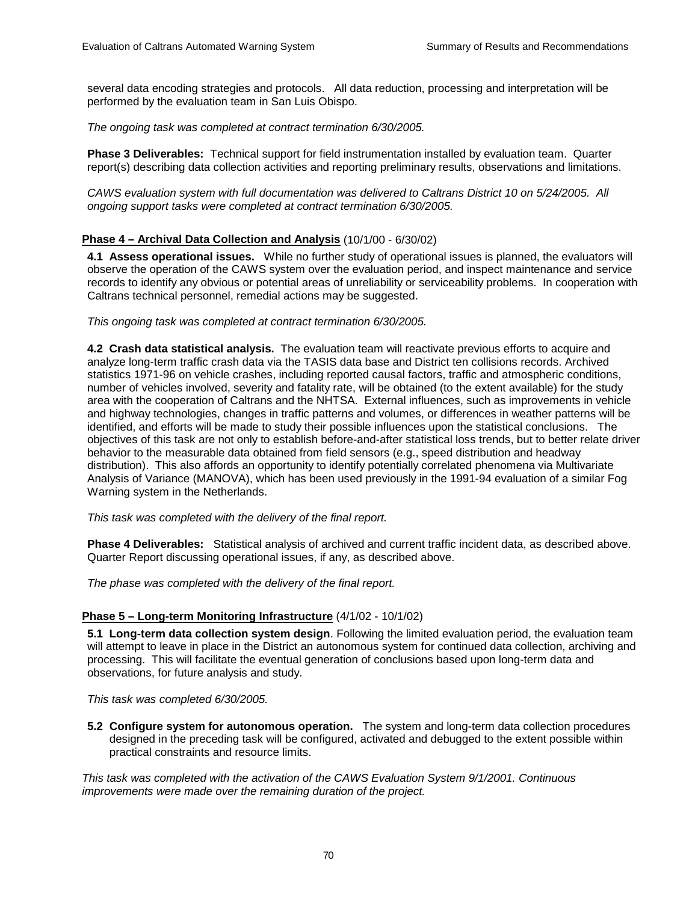several data encoding strategies and protocols. All data reduction, processing and interpretation will be performed by the evaluation team in San Luis Obispo.

*The ongoing task was completed at contract termination 6/30/2005.* 

**Phase 3 Deliverables:** Technical support for field instrumentation installed by evaluation team. Quarter report(s) describing data collection activities and reporting preliminary results, observations and limitations.

*CAWS evaluation system with full documentation was delivered to Caltrans District 10 on 5/24/2005. All ongoing support tasks were completed at contract termination 6/30/2005.* 

#### **Phase 4 – Archival Data Collection and Analysis** (10/1/00 - 6/30/02)

**4.1 Assess operational issues.** While no further study of operational issues is planned, the evaluators will observe the operation of the CAWS system over the evaluation period, and inspect maintenance and service records to identify any obvious or potential areas of unreliability or serviceability problems. In cooperation with Caltrans technical personnel, remedial actions may be suggested.

*This ongoing task was completed at contract termination 6/30/2005.* 

**4.2 Crash data statistical analysis.** The evaluation team will reactivate previous efforts to acquire and analyze long-term traffic crash data via the TASIS data base and District ten collisions records. Archived statistics 1971-96 on vehicle crashes, including reported causal factors, traffic and atmospheric conditions, number of vehicles involved, severity and fatality rate, will be obtained (to the extent available) for the study area with the cooperation of Caltrans and the NHTSA. External influences, such as improvements in vehicle and highway technologies, changes in traffic patterns and volumes, or differences in weather patterns will be identified, and efforts will be made to study their possible influences upon the statistical conclusions. The objectives of this task are not only to establish before-and-after statistical loss trends, but to better relate driver behavior to the measurable data obtained from field sensors (e.g., speed distribution and headway distribution). This also affords an opportunity to identify potentially correlated phenomena via Multivariate Analysis of Variance (MANOVA), which has been used previously in the 1991-94 evaluation of a similar Fog Warning system in the Netherlands.

*This task was completed with the delivery of the final report.* 

**Phase 4 Deliverables:** Statistical analysis of archived and current traffic incident data, as described above. Quarter Report discussing operational issues, if any, as described above.

*The phase was completed with the delivery of the final report.* 

#### **Phase 5 – Long-term Monitoring Infrastructure** (4/1/02 - 10/1/02)

**5.1 Long-term data collection system design**. Following the limited evaluation period, the evaluation team will attempt to leave in place in the District an autonomous system for continued data collection, archiving and processing. This will facilitate the eventual generation of conclusions based upon long-term data and observations, for future analysis and study.

*This task was completed 6/30/2005.* 

**5.2 Configure system for autonomous operation.** The system and long-term data collection procedures designed in the preceding task will be configured, activated and debugged to the extent possible within practical constraints and resource limits.

*This task was completed with the activation of the CAWS Evaluation System 9/1/2001. Continuous improvements were made over the remaining duration of the project.*